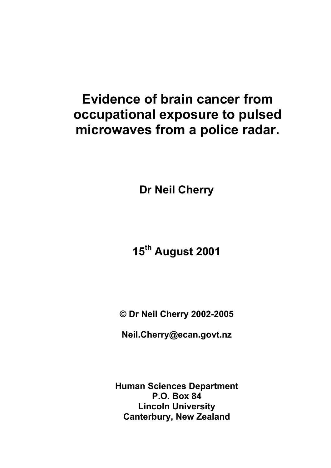# **Evidence of brain cancer from occupational exposure to pulsed microwaves from a police radar.**

**Dr Neil Cherry** 

# **15th August 2001**

**© Dr Neil Cherry 2002-2005** 

**Neil.Cherry@ecan.govt.nz** 

**Human Sciences Department P.O. Box 84 Lincoln University Canterbury, New Zealand**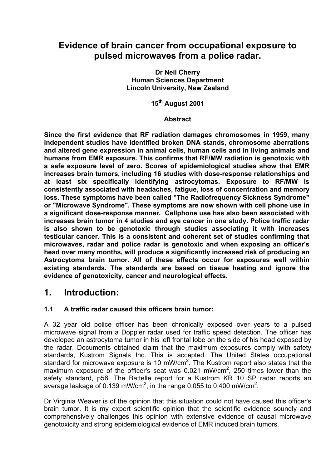## **Evidence of brain cancer from occupational exposure to pulsed microwaves from a police radar.**

**Dr Neil Cherry Human Sciences Department Lincoln University, New Zealand** 

**15th August 2001** 

#### **Abstract**

**Since the first evidence that RF radiation damages chromosomes in 1959, many independent studies have identified broken DNA stands, chromosome aberrations and altered gene expression in animal cells, human cells and in living animals and humans from EMR exposure. This confirms that RF/MW radiation is genotoxic with a safe exposure level of zero. Scores of epidemiological studies show that EMR increases brain tumors, including 16 studies with dose-response relationships and at least six specifically identifying astrocytomas. Exposure to RF/MW is consistently associated with headaches, fatigue, loss of concentration and memory loss. These symptoms have been called "The Radiofrequency Sickness Syndrome" or "Microwave Syndrome". These symptoms are now shown with cell phone use in a significant dose-response manner. Cellphone use has also been associated with increases brain tumor in 4 studies and eye cancer in one study. Police traffic radar is also shown to be genotoxic through studies associating it with increases testicular cancer. This is a consistent and coherent set of studies confirming that microwaves, radar and police radar is genotoxic and when exposing an officer's head over many months, will produce a significantly increased risk of producing an Astrocytoma brain tumor. All of these effects occur for exposures well within existing standards. The standards are based on tissue heating and ignore the evidence of genotoxicity, cancer and neurological effects.** 

## **1. Introduction:**

## **1.1 A traffic radar caused this officers brain tumor:**

A 32 year old police officer has been chronically exposed over years to a pulsed microwave signal from a Doppler radar used for traffic speed detection. The officer has developed an astrocytoma tumor in his left frontal lobe on the side of his head exposed by the radar. Documents obtained claim that the maximum exposures comply with safety standards, Kustrom Signals Inc. This is accepted. The United States occupational standard for microwave exposure is 10 mW/cm<sup>2</sup>. The Kustrom report also states that the maximum exposure of the officer's seat was 0.021 mW/cm<sup>2</sup>, 250 times lower than the safety standard, p56. The Battelle report for a Kustrom KR 10 SP radar reports an average leakage of 0.139 mW/cm<sup>2</sup>, in the range 0.055 to 0.400 mW/cm<sup>2</sup>.

Dr Virginia Weaver is of the opinion that this situation could not have caused this officer's brain tumor. It is my expert scientific opinion that the scientific evidence soundly and comprehensively challenges this opinion with extensive evidence of causal microwave genotoxicity and strong epidemiological evidence of EMR induced brain tumors.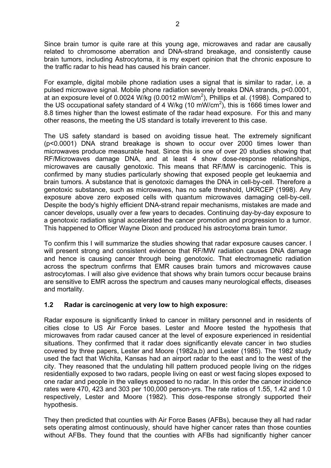Since brain tumor is quite rare at this young age, microwaves and radar are causally related to chromosome aberration and DNA-strand breakage, and consistently cause brain tumors, including Astrocytoma, it is my expert opinion that the chronic exposure to the traffic radar to his head has caused his brain cancer.

For example, digital mobile phone radiation uses a signal that is similar to radar, i.e. a pulsed microwave signal. Mobile phone radiation severely breaks DNA strands, p<0.0001, at an exposure level of 0.0024 W/kg (0.0012 mW/cm<sup>2</sup>), Phillips et al. (1998). Compared to the US occupational safety standard of 4 W/kg (10 mW/cm<sup>2</sup>), this is 1666 times lower and 8.8 times higher than the lowest estimate of the radar head exposure. For this and many other reasons, the meeting the US standard is totally irreverent to this case.

The US safety standard is based on avoiding tissue heat. The extremely significant (p<0.0001) DNA strand breakage is shown to occur over 2000 times lower than microwaves produce measurable heat. Since this is one of over 20 studies showing that RF/Microwaves damage DNA, and at least 4 show dose-response relationships, microwaves are causally genotoxic. This means that RF/MW is carcinogenic. This is confirmed by many studies particularly showing that exposed people get leukaemia and brain tumors. A substance that is genotoxic damages the DNA in cell-by-cell. Therefore a genotoxic substance, such as microwaves, has no safe threshold, UKRCEP (1998). Any exposure above zero exposed cells with quantum microwaves damaging cell-by-cell. Despite the body's highly efficient DNA-strand repair mechanisms, mistakes are made and cancer develops, usually over a few years to decades. Continuing day-by-day exposure to a genotoxic radiation signal accelerated the cancer promotion and progression to a tumor. This happened to Officer Wayne Dixon and produced his astrocytoma brain tumor.

To confirm this I will summarize the studies showing that radar exposure causes cancer. I will present strong and consistent evidence that RF/MW radiation causes DNA damage and hence is causing cancer through being genotoxic. That electromagnetic radiation across the spectrum confirms that EMR causes brain tumors and microwaves cause astrocytomas. I will also give evidence that shows why brain tumors occur because brains are sensitive to EMR across the spectrum and causes many neurological effects, diseases and mortality.

#### **1.2 Radar is carcinogenic at very low to high exposure:**

Radar exposure is significantly linked to cancer in military personnel and in residents of cities close to US Air Force bases. Lester and Moore tested the hypothesis that microwaves from radar caused cancer at the level of exposure experienced in residential situations. They confirmed that it radar does significantly elevate cancer in two studies covered by three papers, Lester and Moore (1982a,b) and Lester (1985). The 1982 study used the fact that Wichita, Kansas had an airport radar to the east and to the west of the city. They reasoned that the undulating hill pattern produced people living on the ridges residentially exposed to two radars, people living on east or west facing slopes exposed to one radar and people in the valleys exposed to no radar. In this order the cancer incidence rates were 470, 423 and 303 per 100,000 person-yrs. The rate ratios of 1.55, 1.42 and 1.0 respectively, Lester and Moore (1982). This dose-response strongly supported their hypothesis.

They then predicted that counties with Air Force Bases (AFBs), because they all had radar sets operating almost continuously, should have higher cancer rates than those counties without AFBs. They found that the counties with AFBs had significantly higher cancer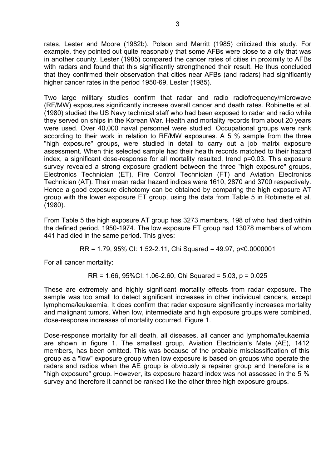rates, Lester and Moore (1982b). Polson and Merritt (1985) criticized this study. For example, they pointed out quite reasonably that some AFBs were close to a city that was in another county. Lester (1985) compared the cancer rates of cities in proximity to AFBs with radars and found that this significantly strengthened their result. He thus concluded that they confirmed their observation that cities near AFBs (and radars) had significantly higher cancer rates in the period 1950-69, Lester (1985).

Two large military studies confirm that radar and radio radiofrequency/microwave (RF/MW) exposures significantly increase overall cancer and death rates. Robinette et al. (1980) studied the US Navy technical staff who had been exposed to radar and radio while they served on ships in the Korean War. Health and mortality records from about 20 years were used. Over 40,000 naval personnel were studied. Occupational groups were rank according to their work in relation to RF/MW exposures. A 5 % sample from the three "high exposure" groups, were studied in detail to carry out a job matrix exposure assessment. When this selected sample had their health records matched to their hazard index, a significant dose-response for all mortality resulted, trend p=0.03. This exposure survey revealed a strong exposure gradient between the three "high exposure" groups, Electronics Technician (ET), Fire Control Technician (FT) and Aviation Electronics Technician (AT). Their mean radar hazard indices were 1610, 2870 and 3700 respectively. Hence a good exposure dichotomy can be obtained by comparing the high exposure AT group with the lower exposure ET group, using the data from Table 5 in Robinette et al. (1980).

From Table 5 the high exposure AT group has 3273 members, 198 of who had died within the defined period, 1950-1974. The low exposure ET group had 13078 members of whom 441 had died in the same period. This gives:

RR = 1.79, 95% CI: 1.52-2.11, Chi Squared = 49.97, p<0.0000001

For all cancer mortality:

RR = 1.66, 95%CI: 1.06-2.60, Chi Squared = 5.03, p = 0.025

These are extremely and highly significant mortality effects from radar exposure. The sample was too small to detect significant increases in other individual cancers, except lymphoma/leukaemia. It does confirm that radar exposure significantly increases mortality and malignant tumors. When low, intermediate and high exposure groups were combined, dose-response increases of mortality occurred, Figure 1.

Dose-response mortality for all death, all diseases, all cancer and lymphoma/leukaemia are shown in figure 1. The smallest group, Aviation Electrician's Mate (AE), 1412 members, has been omitted. This was because of the probable misclassification of this group as a "low" exposure group when low exposure is based on groups who operate the radars and radios when the AE group is obviously a repairer group and therefore is a "high exposure" group. However, its exposure hazard index was not assessed in the 5 % survey and therefore it cannot be ranked like the other three high exposure groups.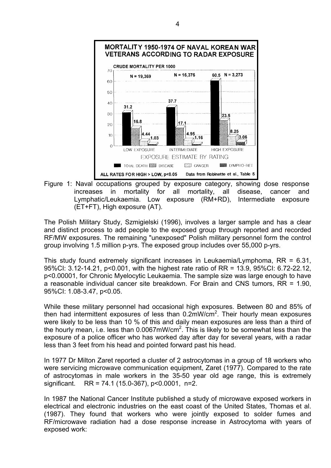

Figure 1: Naval occupations grouped by exposure category, showing dose response increases in mortality for all mortality, all disease, cancer and Lymphatic/Leukaemia. Low exposure (RM+RD), Intermediate exposure (ET+FT), High exposure (AT).

The Polish Military Study, Szmigielski (1996), involves a larger sample and has a clear and distinct process to add people to the exposed group through reported and recorded RF/MW exposures. The remaining "unexposed" Polish military personnel form the control group involving 1.5 million p-yrs. The exposed group includes over 55,000 p-yrs.

This study found extremely significant increases in Leukaemia/Lymphoma, RR = 6.31, 95%CI: 3.12-14.21, p<0.001, with the highest rate ratio of RR = 13.9, 95%CI: 6.72-22.12, p<0.00001, for Chronic Myelocytic Leukaemia. The sample size was large enough to have a reasonable individual cancer site breakdown. For Brain and CNS tumors, RR = 1.90, 95%CI: 1.08-3.47, p<0.05.

While these military personnel had occasional high exposures. Between 80 and 85% of then had intermittent exposures of less than  $0.2$ mW/cm<sup>2</sup>. Their hourly mean exposures were likely to be less than 10 % of this and daily mean exposures are less than a third of the hourly mean, i.e. less than 0.0067mW/cm<sup>2</sup>. This is likely to be somewhat less than the exposure of a police officer who has worked day after day for several years, with a radar less than 3 feet from his head and pointed forward past his head.

In 1977 Dr Milton Zaret reported a cluster of 2 astrocytomas in a group of 18 workers who were servicing microwave communication equipment, Zaret (1977). Compared to the rate of astrocytomas in male workers in the 35-50 year old age range, this is extremely significant. RR = 74.1 (15.0-367), p<0.0001, n=2.

In 1987 the National Cancer Institute published a study of microwave exposed workers in electrical and electronic industries on the east coast of the United States, Thomas et al. (1987). They found that workers who were jointly exposed to solder fumes and RF/microwave radiation had a dose response increase in Astrocytoma with years of exposed work: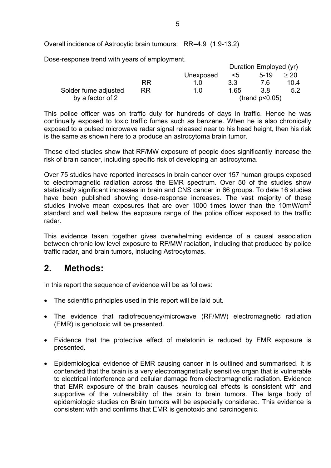Overall incidence of Astrocytic brain tumours: RR=4.9 (1.9-13.2)

Dose-response trend with years of employment.

|                      |           |           | Duration Employed (yr) |                |      |
|----------------------|-----------|-----------|------------------------|----------------|------|
|                      |           | Unexposed | $\leq 5$               | $5-19$         | > 20 |
|                      | RR        | 1 በ       | 3.3                    | 76             | 10.4 |
| Solder fume adjusted | <b>RR</b> | 1.0       | 1 65                   | 38             | 5.2  |
| by a factor of 2     |           |           |                        | (trend p<0.05) |      |

This police officer was on traffic duty for hundreds of days in traffic. Hence he was continually exposed to toxic traffic fumes such as benzene. When he is also chronically exposed to a pulsed microwave radar signal released near to his head height, then his risk is the same as shown here to a produce an astrocytoma brain tumor.

These cited studies show that RF/MW exposure of people does significantly increase the risk of brain cancer, including specific risk of developing an astrocytoma.

Over 75 studies have reported increases in brain cancer over 157 human groups exposed to electromagnetic radiation across the EMR spectrum. Over 50 of the studies show statistically significant increases in brain and CNS cancer in 66 groups. To date 16 studies have been published showing dose-response increases. The vast majority of these studies involve mean exposures that are over 1000 times lower than the 10mW/cm<sup>2</sup> standard and well below the exposure range of the police officer exposed to the traffic radar.

This evidence taken together gives overwhelming evidence of a causal association between chronic low level exposure to RF/MW radiation, including that produced by police traffic radar, and brain tumors, including Astrocytomas.

## **2. Methods:**

In this report the sequence of evidence will be as follows:

- The scientific principles used in this report will be laid out.
- The evidence that radiofrequency/microwave (RF/MW) electromagnetic radiation (EMR) is genotoxic will be presented.
- Evidence that the protective effect of melatonin is reduced by EMR exposure is presented.
- Epidemiological evidence of EMR causing cancer in is outlined and summarised. It is contended that the brain is a very electromagnetically sensitive organ that is vulnerable to electrical interference and cellular damage from electromagnetic radiation. Evidence that EMR exposure of the brain causes neurological effects is consistent with and supportive of the vulnerability of the brain to brain tumors. The large body of epidemiologic studies on Brain tumors will be especially considered. This evidence is consistent with and confirms that EMR is genotoxic and carcinogenic.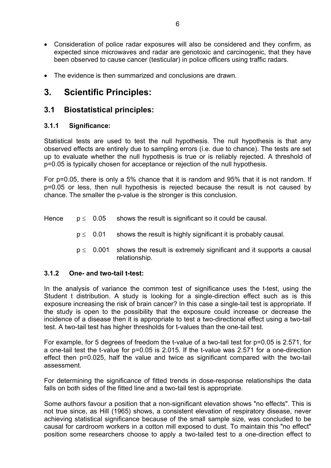- Consideration of police radar exposures will also be considered and they confirm, as expected since microwaves and radar are genotoxic and carcinogenic, that they have been observed to cause cancer (testicular) in police officers using traffic radars.
- The evidence is then summarized and conclusions are drawn.

# **3. Scientific Principles:**

## **3.1 Biostatistical principles:**

#### **3.1.1 Significance:**

Statistical tests are used to test the null hypothesis. The null hypothesis is that any observed effects are entirely due to sampling errors (i.e. due to chance). The tests are set up to evaluate whether the null hypothesis is true or is reliably rejected. A threshold of p=0.05 is typically chosen for acceptance or rejection of the null hypothesis.

For p=0.05, there is only a 5% chance that it is random and 95% that it is not random. If p=0.05 or less, then null hypothesis is rejected because the result is not caused by chance. The smaller the p-value is the stronger is this conclusion.

- Hence  $p \leq 0.05$  shows the result is significant so it could be causal.
	- $p \leq 0.01$  shows the result is highly significant it is probably causal.
	- $p \leq 0.001$  shows the result is extremely significant and it supports a causal relationship.

#### **3.1.2 One- and two-tail t-test:**

In the analysis of variance the common test of significance uses the t-test, using the Student t distribution. A study is looking for a single-direction effect such as is this exposure increasing the risk of brain cancer? In this case a single-tail test is appropriate. If the study is open to the possibility that the exposure could increase or decrease the incidence of a disease then it is appropriate to test a two-directional effect using a two-tail test. A two-tail test has higher thresholds for t-values than the one-tail test.

For example, for 5 degrees of freedom the t-value of a two-tail test for p=0.05 is 2.571, for a one-tail test the t-value for p=0.05 is 2.015. If the t-value was 2.571 for a one-direction effect then p=0.025, half the value and twice as significant compared with the two-tail assessment.

For determining the significance of fitted trends in dose-response relationships the data falls on both sides of the fitted line and a two-tail test is appropriate.

Some authors favour a position that a non-significant elevation shows "no effects". This is not true since, as Hill (1965) shows, a consistent elevation of respiratory disease, never achieving statistical significance because of the small sample size, was concluded to be causal for cardroom workers in a cotton mill exposed to dust. To maintain this "no effect" position some researchers choose to apply a two-tailed test to a one-direction effect to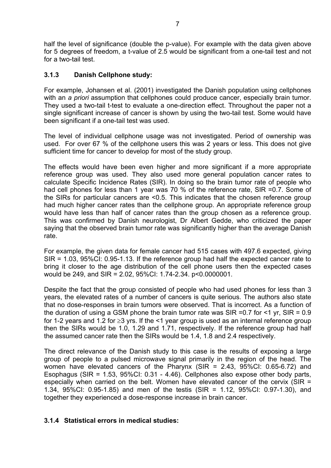half the level of significance (double the p-value). For example with the data given above for 5 degrees of freedom, a t-value of 2.5 would be significant from a one-tail test and not for a two-tail test.

## **3.1.3 Danish Cellphone study:**

For example, Johansen et al. (2001) investigated the Danish population using cellphones with an *a priori* assumption that cellphones could produce cancer, especially brain tumor. They used a two-tail t-test to evaluate a one-direction effect. Throughout the paper not a single significant increase of cancer is shown by using the two-tail test. Some would have been significant if a one-tail test was used.

The level of individual cellphone usage was not investigated. Period of ownership was used. For over 67 % of the cellphone users this was 2 years or less. This does not give sufficient time for cancer to develop for most of the study group.

The effects would have been even higher and more significant if a more appropriate reference group was used. They also used more general population cancer rates to calculate Specific Incidence Rates (SIR). In doing so the brain tumor rate of people who had cell phones for less than 1 year was 70 % of the reference rate, SIR =0.7. Some of the SIRs for particular cancers are <0.5. This indicates that the chosen reference group had much higher cancer rates than the cellphone group. An appropriate reference group would have less than half of cancer rates than the group chosen as a reference group. This was confirmed by Danish neurologist, Dr Albert Gedde, who criticized the paper saying that the observed brain tumor rate was significantly higher than the average Danish rate.

For example, the given data for female cancer had 515 cases with 497.6 expected, giving SIR = 1.03, 95%CI: 0.95-1.13. If the reference group had half the expected cancer rate to bring it closer to the age distribution of the cell phone users then the expected cases would be 249, and SIR = 2.02, 95%CI: 1.74-2.34. p<0.0000001.

Despite the fact that the group consisted of people who had used phones for less than 3 years, the elevated rates of a number of cancers is quite serious. The authors also state that no dose-responses in brain tumors were observed. That is incorrect. As a function of the duration of using a GSM phone the brain tumor rate was SIR =  $0.7$  for  $\leq 1$  yr, SIR =  $0.9$ for 1-2 years and 1.2 for ≥3 yrs. If the <1 year group is used as an internal reference group then the SIRs would be 1.0, 1.29 and 1.71, respectively. If the reference group had half the assumed cancer rate then the SIRs would be 1.4, 1.8 and 2.4 respectively.

The direct relevance of the Danish study to this case is the results of exposing a large group of people to a pulsed microwave signal primarily in the region of the head. The women have elevated cancers of the Pharynx (SIR = 2.43, 95%CI: 0.65-6.72) and Esophagus (SIR = 1.53, 95%CI: 0.31 - 4.46). Cellphones also expose other body parts, especially when carried on the belt. Women have elevated cancer of the cervix (SIR = 1.34, 95%CI: 0.95-1.85) and men of the testis (SIR = 1.12, 95%CI: 0.97-1.30), and together they experienced a dose-response increase in brain cancer.

## **3.1.4 Statistical errors in medical studies:**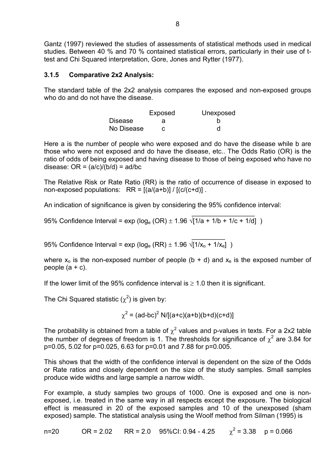Gantz (1997) reviewed the studies of assessments of statistical methods used in medical studies. Between 40 % and 70 % contained statistical errors, particularly in their use of ttest and Chi Squared interpretation, Gore, Jones and Rytter (1977).

#### **3.1.5 Comparative 2x2 Analysis:**

The standard table of the 2x2 analysis compares the exposed and non-exposed groups who do and do not have the disease.

|                | Exposed | Unexposed |
|----------------|---------|-----------|
| <b>Disease</b> |         |           |
| No Disease     |         |           |

Here a is the number of people who were exposed and do have the disease while b are those who were not exposed and do have the disease, etc.. The Odds Ratio (OR) is the ratio of odds of being exposed and having disease to those of being exposed who have no disease:  $OR = (a/c)/(b/d) = ad/bc$ 

The Relative Risk or Rate Ratio (RR) is the ratio of occurrence of disease in exposed to non-exposed populations:  $RR = [(a/(a+b)] / [(c/(c+d))]$ .

An indication of significance is given by considering the 95% confidence interval:

95% Confidence Interval =  $\exp (\log_e (OR) \pm 1.96 \sqrt{1/a + 1/b + 1/c + 1/d})$ 

 $\mathcal{L}_\text{max} = \frac{1}{2} \sum_{i=1}^n \mathcal{L}_\text{max}(\mathcal{L}_\text{max}(\mathcal{L}_\text{max}(\mathcal{L}_\text{max}(\mathcal{L}_\text{max}(\mathcal{L}_\text{max}(\mathcal{L}_\text{max}(\mathcal{L}_\text{max}(\mathcal{L}_\text{max}(\mathcal{L}_\text{max}(\mathcal{L}_\text{max}(\mathcal{L}_\text{max}(\mathcal{L}_\text{max}(\mathcal{L}_\text{max}(\mathcal{L}_\text{max}(\mathcal{L}_\text{max}(\mathcal{L}_\text{max}(\mathcal{L$ 

 $\mathcal{L}_\text{max}$  and  $\mathcal{L}_\text{max}$  and  $\mathcal{L}_\text{max}$  and  $\mathcal{L}_\text{max}$  and  $\mathcal{L}_\text{max}$ 95% Confidence Interval = exp (log<sub>e</sub> (RR)  $\pm$  1.96  $\sqrt{[1/x_{o} + 1/x_{e}]}$  )

where  $x_0$  is the non-exposed number of people (b + d) and  $x_e$  is the exposed number of people  $(a + c)$ .

If the lower limit of the 95% confidence interval is  $\geq 1.0$  then it is significant.

The Chi Squared statistic ( $\chi^2$ ) is given by:

 $\chi^2$  = (ad-bc)<sup>2</sup> N/[(a+c)(a+b)(b+d)(c+d)]

The probability is obtained from a table of  $\chi^2$  values and p-values in texts. For a 2x2 table the number of degrees of freedom is 1. The thresholds for significance of  $\chi^2$  are 3.84 for p=0.05, 5.02 for p=0.025, 6.63 for p=0.01 and 7.88 for p=0.005.

This shows that the width of the confidence interval is dependent on the size of the Odds or Rate ratios and closely dependent on the size of the study samples. Small samples produce wide widths and large sample a narrow width.

For example, a study samples two groups of 1000. One is exposed and one is nonexposed, i.e. treated in the same way in all respects except the exposure. The biological effect is measured in 20 of the exposed samples and 10 of the unexposed (sham exposed) sample. The statistical analysis using the Woolf method from Silman (1995) is

n=20 OR = 2.02 RR = 2.0 95%CI: 0.94 - 4.25  $\chi^2$  = 3.38 p = 0.066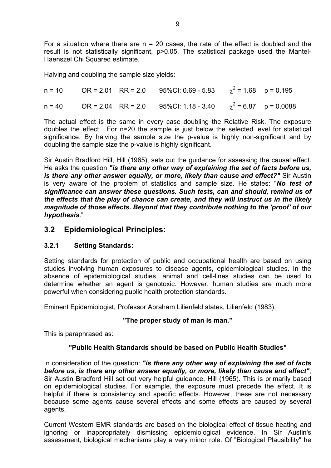For a situation where there are  $n = 20$  cases, the rate of the effect is doubled and the result is not statistically significant, p>0.05. The statistical package used the Mantel-Haenszel Chi Squared estimate.

Halving and doubling the sample size yields:

n = 10 OR = 2.01 RR = 2.0 95%CI: 0.69 - 5.83  $\gamma^2$  = 1.68  $p = 0.195$ n = 40  $\,$  OR = 2.04  $\,$  RR = 2.0  $\,$  95%CI: 1.18 - 3.40  $\,$   $\chi^2$  = 6.87  $\,$  p = 0.0088

The actual effect is the same in every case doubling the Relative Risk. The exposure doubles the effect. For n=20 the sample is just below the selected level for statistical significance. By halving the sample size the p-value is highly non-significant and by doubling the sample size the p-value is highly significant.

Sir Austin Bradford Hill, Hill (1965), sets out the guidance for assessing the causal effect. He asks the question *"is there any other way of explaining the set of facts before us, is there any other answer equally, or more, likely than cause and effect?"* Sir Austin is very aware of the problem of statistics and sample size. He states: "*No test of significance can answer these questions. Such tests, can and should, remind us of the effects that the play of chance can create, and they will instruct us in the likely magnitude of those effects. Beyond that they contribute nothing to the 'proof' of our hypothesis*."

## **3.2 Epidemiological Principles:**

## **3.2.1 Setting Standards:**

Setting standards for protection of public and occupational health are based on using studies involving human exposures to disease agents, epidemiological studies. In the absence of epidemiological studies, animal and cell-lines studies can be used to determine whether an agent is genotoxic. However, human studies are much more powerful when considering public health protection standards.

Eminent Epidemiologist, Professor Abraham Lilienfeld states, Lilienfeld (1983),

## **"The proper study of man is man."**

This is paraphrased as:

## **"Public Health Standards should be based on Public Health Studies"**

In consideration of the question: *"is there any other way of explaining the set of facts before us, is there any other answer equally, or more, likely than cause and effect"*, Sir Austin Bradford Hill set out very helpful guidance, Hill (1965). This is primarily based on epidemiological studies. For example, the exposure must precede the effect. It is helpful if there is consistency and specific effects. However, these are not necessary because some agents cause several effects and some effects are caused by several agents.

Current Western EMR standards are based on the biological effect of tissue heating and ignoring or inappropriately dismissing epidemiological evidence. In Sir Austin's assessment, biological mechanisms play a very minor role. Of "Biological Plausibility" he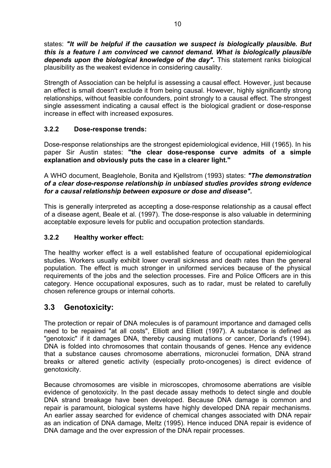states: *"It will be helpful if the causation we suspect is biologically plausible. But this is a feature I am convinced we cannot demand. What is biologically plausible*  depends upon the biological knowledge of the day". This statement ranks biological plausibility as the weakest evidence in considering causality.

Strength of Association can be helpful is assessing a causal effect. However, just because an effect is small doesn't exclude it from being causal. However, highly significantly strong relationships, without feasible confounders, point strongly to a causal effect. The strongest single assessment indicating a causal effect is the biological gradient or dose-response increase in effect with increased exposures.

## **3.2.2 Dose-response trends:**

Dose-response relationships are the strongest epidemiological evidence, Hill (1965). In his paper Sir Austin states: **"the clear dose-response curve admits of a simple explanation and obviously puts the case in a clearer light."**

A WHO document, Beaglehole, Bonita and Kjellstrom (1993) states: *"The demonstration of a clear dose-response relationship in unbiased studies provides strong evidence for a causal relationship between exposure or dose and disease".* 

This is generally interpreted as accepting a dose-response relationship as a causal effect of a disease agent, Beale et al. (1997). The dose-response is also valuable in determining acceptable exposure levels for public and occupation protection standards.

## **3.2.2 Healthy worker effect:**

The healthy worker effect is a well established feature of occupational epidemiological studies. Workers usually exhibit lower overall sickness and death rates than the general population. The effect is much stronger in uniformed services because of the physical requirements of the jobs and the selection processes. Fire and Police Officers are in this category. Hence occupational exposures, such as to radar, must be related to carefully chosen reference groups or internal cohorts.

## **3.3 Genotoxicity:**

The protection or repair of DNA molecules is of paramount importance and damaged cells need to be repaired "at all costs", Elliott and Elliott (1997). A substance is defined as "genotoxic" if it damages DNA, thereby causing mutations or cancer, Dorland's (1994). DNA is folded into chromosomes that contain thousands of genes. Hence any evidence that a substance causes chromosome aberrations, micronuclei formation, DNA strand breaks or altered genetic activity (especially proto-oncogenes) is direct evidence of genotoxicity.

Because chromosomes are visible in microscopes, chromosome aberrations are visible evidence of genotoxicity. In the past decade assay methods to detect single and double DNA strand breakage have been developed. Because DNA damage is common and repair is paramount, biological systems have highly developed DNA repair mechanisms. An earlier assay searched for evidence of chemical changes associated with DNA repair as an indication of DNA damage, Meltz (1995). Hence induced DNA repair is evidence of DNA damage and the over expression of the DNA repair processes.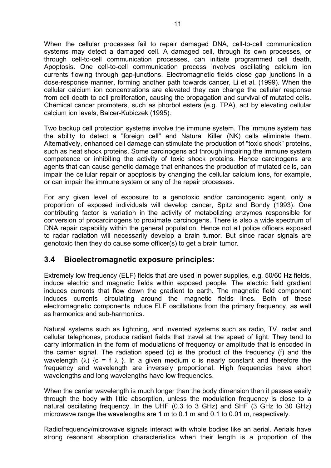When the cellular processes fail to repair damaged DNA, cell-to-cell communication systems may detect a damaged cell. A damaged cell, through its own processes, or through cell-to-cell communication processes, can initiate programmed cell death, Apoptosis. One cell-to-cell communication process involves oscillating calcium ion currents flowing through gap-junctions. Electromagnetic fields close gap junctions in a dose-response manner, forming another path towards cancer, Li et al. (1999). When the cellular calcium ion concentrations are elevated they can change the cellular response from cell death to cell proliferation, causing the propagation and survival of mutated cells. Chemical cancer promoters, such as phorbol esters (e.g. TPA), act by elevating cellular calcium ion levels, Balcer-Kubiczek (1995).

Two backup cell protection systems involve the immune system. The immune system has the ability to detect a "foreign cell" and Natural Killer (NK) cells eliminate them. Alternatively, enhanced cell damage can stimulate the production of "toxic shock" proteins, such as heat shock proteins. Some carcinogens act through impairing the immune system competence or inhibiting the activity of toxic shock proteins. Hence carcinogens are agents that can cause genetic damage that enhances the production of mutated cells, can impair the cellular repair or apoptosis by changing the cellular calcium ions, for example, or can impair the immune system or any of the repair processes.

For any given level of exposure to a genotoxic and/or carcinogenic agent, only a proportion of exposed individuals will develop cancer, Spitz and Bondy (1993). One contributing factor is variation in the activity of metabolizing enzymes responsible for conversion of procarcinogens to proximate carcinogens. There is also a wide spectrum of DNA repair capability within the general population. Hence not all police officers exposed to radar radiation will necessarily develop a brain tumor. But since radar signals are genotoxic then they do cause some officer(s) to get a brain tumor.

## **3.4 Bioelectromagnetic exposure principles:**

Extremely low frequency (ELF) fields that are used in power supplies, e.g. 50/60 Hz fields, induce electric and magnetic fields within exposed people. The electric field gradient induces currents that flow down the gradient to earth. The magnetic field component induces currents circulating around the magnetic fields lines. Both of these electromagnetic components induce ELF oscillations from the primary frequency, as well as harmonics and sub-harmonics.

Natural systems such as lightning, and invented systems such as radio, TV, radar and cellular telephones, produce radiant fields that travel at the speed of light. They tend to carry information in the form of modulations of frequency or amplitude that is encoded in the carrier signal. The radiation speed (c) is the product of the frequency (f) and the wavelength ( $\lambda$ ) {c = f  $\lambda$  }. In a given medium c is nearly constant and therefore the frequency and wavelength are inversely proportional. High frequencies have short wavelengths and long wavelengths have low frequencies.

When the carrier wavelength is much longer than the body dimension then it passes easily through the body with little absorption, unless the modulation frequency is close to a natural oscillating frequency. In the UHF (0.3 to 3 GHz) and SHF (3 GHz to 30 GHz) microwave range the wavelengths are 1 m to 0.1 m and 0.1 to 0.01 m, respectively.

Radiofrequency/microwave signals interact with whole bodies like an aerial. Aerials have strong resonant absorption characteristics when their length is a proportion of the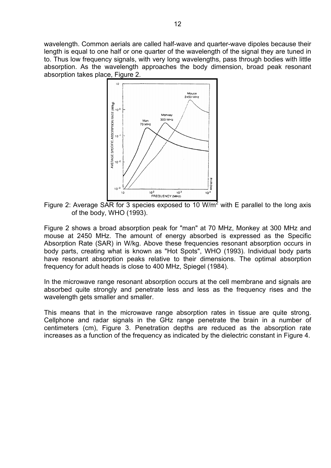wavelength. Common aerials are called half-wave and quarter-wave dipoles because their length is equal to one half or one quarter of the wavelength of the signal they are tuned in to. Thus low frequency signals, with very long wavelengths, pass through bodies with little absorption. As the wavelength approaches the body dimension, broad peak resonant absorption takes place, Figure 2.



Figure 2: Average SAR for 3 species exposed to 10 W/m<sup>2</sup> with E parallel to the long axis of the body, WHO (1993).

Figure 2 shows a broad absorption peak for "man" at 70 MHz, Monkey at 300 MHz and mouse at 2450 MHz. The amount of energy absorbed is expressed as the Specific Absorption Rate (SAR) in W/kg. Above these frequencies resonant absorption occurs in body parts, creating what is known as "Hot Spots", WHO (1993). Individual body parts have resonant absorption peaks relative to their dimensions. The optimal absorption frequency for adult heads is close to 400 MHz, Spiegel (1984).

In the microwave range resonant absorption occurs at the cell membrane and signals are absorbed quite strongly and penetrate less and less as the frequency rises and the wavelength gets smaller and smaller.

This means that in the microwave range absorption rates in tissue are quite strong. Cellphone and radar signals in the GHz range penetrate the brain in a number of centimeters (cm), Figure 3. Penetration depths are reduced as the absorption rate increases as a function of the frequency as indicated by the dielectric constant in Figure 4.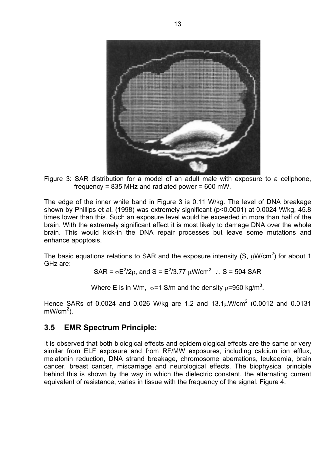

Figure 3: SAR distribution for a model of an adult male with exposure to a cellphone, frequency = 835 MHz and radiated power = 600 mW.

The edge of the inner white band in Figure 3 is 0.11 W/kg. The level of DNA breakage shown by Phillips et al. (1998) was extremely significant (p<0.0001) at 0.0024 W/kg, 45.8 times lower than this. Such an exposure level would be exceeded in more than half of the brain. With the extremely significant effect it is most likely to damage DNA over the whole brain. This would kick-in the DNA repair processes but leave some mutations and enhance apoptosis.

The basic equations relations to SAR and the exposure intensity (S,  $\mu$ W/cm<sup>2</sup>) for about 1 GHz are:

SAR =  $\sigma E^2/2\rho$ , and S =  $E^2/3.77 \mu W/cm^2$  : S = 504 SAR

Where E is in V/m,  $\sigma$ =1 S/m and the density  $\rho$ =950 kg/m<sup>3</sup>.

Hence SARs of 0.0024 and 0.026 W/kg are 1.2 and 13.1 $\mu$ W/cm<sup>2</sup> (0.0012 and 0.0131  $mW/cm<sup>2</sup>$ ).

## **3.5 EMR Spectrum Principle:**

It is observed that both biological effects and epidemiological effects are the same or very similar from ELF exposure and from RF/MW exposures, including calcium ion efflux, melatonin reduction, DNA strand breakage, chromosome aberrations, leukaemia, brain cancer, breast cancer, miscarriage and neurological effects. The biophysical principle behind this is shown by the way in which the dielectric constant, the alternating current equivalent of resistance, varies in tissue with the frequency of the signal, Figure 4.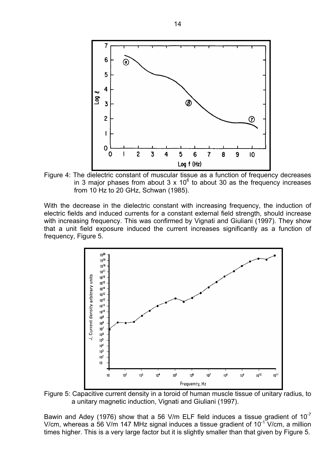

Figure 4: The dielectric constant of muscular tissue as a function of frequency decreases in 3 major phases from about 3 x 10 $<sup>6</sup>$  to about 30 as the frequency increases</sup> from 10 Hz to 20 GHz, Schwan (1985).

With the decrease in the dielectric constant with increasing frequency, the induction of electric fields and induced currents for a constant external field strength, should increase with increasing frequency. This was confirmed by Vignati and Giuliani (1997). They show that a unit field exposure induced the current increases significantly as a function of frequency, Figure 5.



Figure 5: Capacitive current density in a toroid of human muscle tissue of unitary radius, to a unitary magnetic induction, Vignati and Giuliani (1997).

Bawin and Adey (1976) show that a 56 V/m ELF field induces a tissue gradient of  $10^{-7}$ V/cm, whereas a 56 V/m 147 MHz signal induces a tissue gradient of  $10^{-1}$  V/cm, a million times higher. This is a very large factor but it is slightly smaller than that given by Figure 5.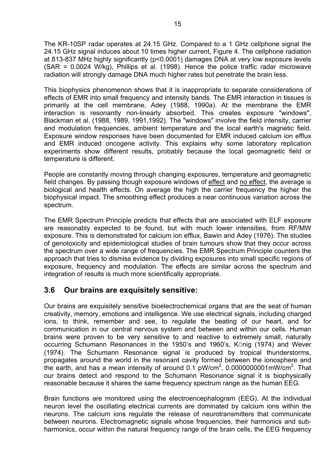The KR-10SP radar operates at 24.15 GHz. Compared to a 1 GHz cellphone signal the 24.15 GHz signal induces about 10 times higher current, Figure 4. The cellphone radiation at 813-837 MHz highly significantly (p<0.0001) damages DNA at very low exposure levels (SAR = 0.0024 W/kg), Phillips et al. (1998). Hence the police traffic radar microwave radiation will strongly damage DNA much higher rates but penetrate the brain less.

This biophysics phenomenon shows that it is inappropriate to separate considerations of effects of EMR into small frequency and intensity bands. The EMR interaction in tissues is primarily at the cell membrane, Adey (1988, 1990a). At the membrane the EMR interaction is resonantly non-linearly absorbed. This creates exposure "windows", Blackman et al. (1988, 1989, 1991,1992). The "windows" involve the field intensity, carrier and modulation frequencies, ambient temperature and the local earth's magnetic field. Exposure window responses have been documented for EMR induced calcium ion efflux and EMR induced oncogene activity. This explains why some laboratory replication experiments show different results, probably because the local geomagnetic field or temperature is different.

People are constantly moving through changing exposures, temperature and geomagnetic field changes. By passing though exposure windows of effect and no effect, the average is biological and health effects. On average the high the carrier frequency the higher the biophysical impact. The smoothing effect produces a near continuous variation across the spectrum.

The EMR Spectrum Principle predicts that effects that are associated with ELF exposure are reasonably expected to be found, but with much lower intensities, from RF/MW exposure. This is demonstrated for calcium ion efflux, Bawin and Adey (1976). The studies of genotoxicity and epidemiological studies of brain tumours show that they occur across the spectrum over a wide range of frequencies. The EMR Spectrum Principle counters the approach that tries to dismiss evidence by dividing exposures into small specific regions of exposure, frequency and modulation. The effects are similar across the spectrum and integration of results is much more scientifically appropriate.

## **3.6 Our brains are exquisitely sensitive:**

Our brains are exquisitely sensitive bioelectrochemical organs that are the seat of human creativity, memory, emotions and intelligence. We use electrical signals, including charged ions, to think, remember and see, to regulate the beating of our heart, and for communication in our central nervous system and between and within our cells. Human brains were proven to be very sensitive to and reactive to extremely small, naturally occurring Schumann Resonances in the 1950's and 1960's, KÖnig (1974) and Wever (1974). The Schumann Resonance signal is produced by tropical thunderstorms, propagates around the world in the resonant cavity formed between the ionosphere and the earth, and has a mean intensity of around 0.1 pW/cm<sup>2</sup>, 0.0000000001mW/cm<sup>2</sup>. That our brains detect and respond to the Schumann Resonance signal it is biophysically reasonable because it shares the same frequency spectrum range as the human EEG.

Brain functions are monitored using the electroencephalogram (EEG). At the individual neuron level the oscillating electrical currents are dominated by calcium ions within the neurons. The calcium ions regulate the release of neurotransmitters that communicate between neurons. Electromagnetic signals whose frequencies, their harmonics and subharmonics, occur within the natural frequency range of the brain cells, the EEG frequency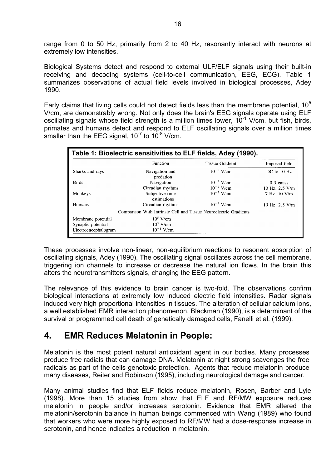range from 0 to 50 Hz, primarily from 2 to 40 Hz, resonantly interact with neurons at extremely low intensities.

Biological Systems detect and respond to external ULF/ELF signals using their built-in receiving and decoding systems (cell-to-cell communication, EEG, ECG). Table 1 summarizes observations of actual field levels involved in biological processes, Adey 1990.

Early claims that living cells could not detect fields less than the membrane potential,  $10<sup>5</sup>$ V/cm, are demonstrably wrong. Not only does the brain's EEG signals operate using ELF oscillating signals whose field strength is a million times lower,  $10^{-1}$  V/cm, but fish, birds, primates and humans detect and respond to ELF oscillating signals over a million times smaller than the EEG signal,  $10^{-7}$  to  $10^{-8}$  V/cm.

|                      | Function                                                          | <b>Tissue Gradient</b>           | Imposed field                  |
|----------------------|-------------------------------------------------------------------|----------------------------------|--------------------------------|
| Sharks and rays      | Navigation and<br>predation                                       | $10^{-8}$ V/cm                   | $DC$ to $10$ Hz                |
| <b>Birds</b>         | Navigation<br>Circadian rhythms                                   | $10^{-7}$ V/cm<br>$10^{-7}$ V/cm | $0.3$ gauss                    |
| Monkeys              | Subjective time<br>estimations                                    | $10^{-7}$ V/cm                   | 10 Hz, 2.5 V/m<br>7 Hz, 10 V/m |
| Humans               | Circadian rhythms                                                 | $10^{-7}$ V/cm                   | 10 Hz, $2.5$ V/m               |
|                      | Comparison With Intrinsic Cell and Tissue Neuroelectric Gradients |                                  |                                |
| Membrane potential   | $10^5$ V/cm                                                       |                                  |                                |
| Synaptic potential   | $10^3$ V/cm                                                       |                                  |                                |
| Electroencephalogram | $10^{-1}$ V/cm                                                    |                                  |                                |

These processes involve non-linear, non-equilibrium reactions to resonant absorption of oscillating signals, Adey (1990). The oscillating signal oscillates across the cell membrane, triggering ion channels to increase or decrease the natural ion flows. In the brain this alters the neurotransmitters signals, changing the EEG pattern.

The relevance of this evidence to brain cancer is two-fold. The observations confirm biological interactions at extremely low induced electric field intensities. Radar signals induced very high proportional intensities in tissues. The alteration of cellular calcium ions, a well established EMR interaction phenomenon, Blackman (1990), is a determinant of the survival or programmed cell death of genetically damaged cells, Fanelli et al. (1999).

## **4. EMR Reduces Melatonin in People:**

Melatonin is the most potent natural antioxidant agent in our bodies. Many processes produce free radials that can damage DNA. Melatonin at night strong scavenges the free radicals as part of the cells genotoxic protection. Agents that reduce melatonin produce many diseases, Reiter and Robinson (1995), including neurological damage and cancer.

Many animal studies find that ELF fields reduce melatonin, Rosen, Barber and Lyle (1998). More than 15 studies from show that ELF and RF/MW exposure reduces melatonin in people and/or increases serotonin. Evidence that EMR altered the melatonin/serotonin balance in human beings commenced with Wang (1989) who found that workers who were more highly exposed to RF/MW had a dose-response increase in serotonin, and hence indicates a reduction in melatonin.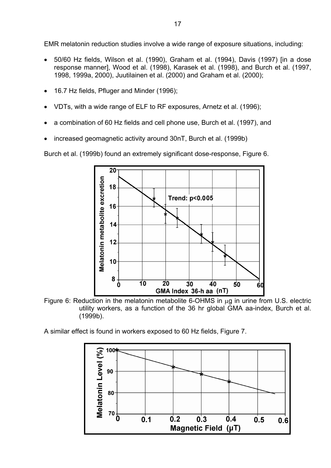EMR melatonin reduction studies involve a wide range of exposure situations, including:

- 50/60 Hz fields, Wilson et al. (1990), Graham et al. (1994), Davis (1997) [in a dose response manner], Wood et al. (1998), Karasek et al. (1998), and Burch et al. (1997, 1998, 1999a, 2000), Juutilainen et al. (2000) and Graham et al. (2000);
- 16.7 Hz fields, Pfluger and Minder (1996);
- VDTs, with a wide range of ELF to RF exposures, Arnetz et al. (1996);
- a combination of 60 Hz fields and cell phone use, Burch et al. (1997), and
- increased geomagnetic activity around 30nT, Burch et al. (1999b)

Burch et al. (1999b) found an extremely significant dose-response, Figure 6.



Figure 6: Reduction in the melatonin metabolite 6-OHMS in  $\mu$ g in urine from U.S. electric utility workers, as a function of the 36 hr global GMA aa-index, Burch et al. (1999b).

A similar effect is found in workers exposed to 60 Hz fields, Figure 7.

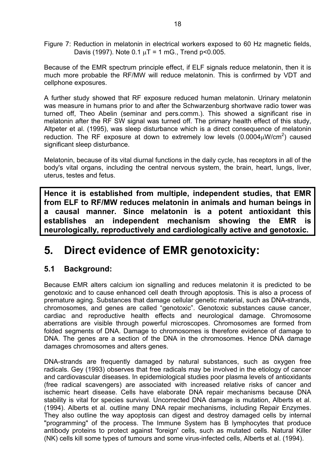Figure 7: Reduction in melatonin in electrical workers exposed to 60 Hz magnetic fields, Davis (1997). Note  $0.1 \mu T = 1 \text{ mG}$ ., Trend p<0.005.

Because of the EMR spectrum principle effect, if ELF signals reduce melatonin, then it is much more probable the RF/MW will reduce melatonin. This is confirmed by VDT and cellphone exposures.

A further study showed that RF exposure reduced human melatonin. Urinary melatonin was measure in humans prior to and after the Schwarzenburg shortwave radio tower was turned off, Theo Abelin (seminar and pers.comm.). This showed a significant rise in melatonin after the RF SW signal was turned off. The primary health effect of this study, Altpeter et al. (1995), was sleep disturbance which is a direct consequence of melatonin reduction. The RF exposure at down to extremely low levels  $(0.0004 \mu W/cm^2)$  caused significant sleep disturbance.

Melatonin, because of its vital diurnal functions in the daily cycle, has receptors in all of the body's vital organs, including the central nervous system, the brain, heart, lungs, liver, uterus, testes and fetus.

**Hence it is established from multiple, independent studies, that EMR from ELF to RF/MW reduces melatonin in animals and human beings in a causal manner. Since melatonin is a potent antioxidant this establishes an independent mechanism showing the EMR is neurologically, reproductively and cardiologically active and genotoxic.** 

# **5. Direct evidence of EMR genotoxicity:**

## **5.1 Background:**

Because EMR alters calcium ion signalling and reduces melatonin it is predicted to be genotoxic and to cause enhanced cell death through apoptosis. This is also a process of premature aging. Substances that damage cellular genetic material, such as DNA-strands, chromosomes, and genes are called "genotoxic". Genotoxic substances cause cancer, cardiac and reproductive health effects and neurological damage. Chromosome aberrations are visible through powerful microscopes. Chromosomes are formed from folded segments of DNA. Damage to chromosomes is therefore evidence of damage to DNA. The genes are a section of the DNA in the chromosomes. Hence DNA damage damages chromosomes and alters genes.

DNA-strands are frequently damaged by natural substances, such as oxygen free radicals. Gey (1993) observes that free radicals may be involved in the etiology of cancer and cardiovascular diseases. In epidemiological studies poor plasma levels of antioxidants (free radical scavengers) are associated with increased relative risks of cancer and ischemic heart disease. Cells have elaborate DNA repair mechanisms because DNA stability is vital for species survival. Uncorrected DNA damage is mutation, Alberts et al. (1994). Alberts et al. outline many DNA repair mechanisms, including Repair Enzymes. They also outline the way apoptosis can digest and destroy damaged cells by internal "programming" of the process. The Immune System has B lymphocytes that produce antibody proteins to protect against 'foreign' cells, such as mutated cells. Natural Killer (NK) cells kill some types of tumours and some virus-infected cells, Alberts et al. (1994).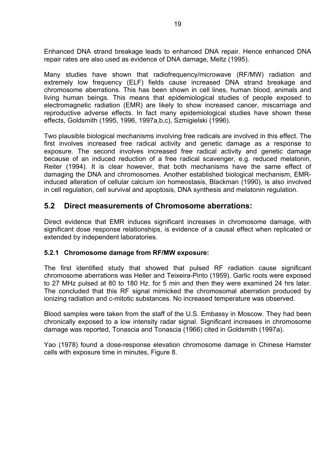Enhanced DNA strand breakage leads to enhanced DNA repair. Hence enhanced DNA repair rates are also used as evidence of DNA damage, Meltz (1995).

Many studies have shown that radiofrequency/microwave (RF/MW) radiation and extremely low frequency (ELF) fields cause increased DNA strand breakage and chromosome aberrations. This has been shown in cell lines, human blood, animals and living human beings. This means that epidemiological studies of people exposed to electromagnetic radiation (EMR) are likely to show increased cancer, miscarriage and reproductive adverse effects. In fact many epidemiological studies have shown these effects, Goldsmith (1995, 1996, 1997a,b,c), Szmigielski (1996).

Two plausible biological mechanisms involving free radicals are involved in this effect. The first involves increased free radical activity and genetic damage as a response to exposure. The second involves increased free radical activity and genetic damage because of an induced reduction of a free radical scavenger, e.g. reduced melatonin, Reiter (1994). It is clear however, that both mechanisms have the same effect of damaging the DNA and chromosomes. Another established biological mechanism, EMRinduced alteration of cellular calcium ion homeostasis, Blackman (1990), is also involved in cell regulation, cell survival and apoptosis, DNA synthesis and melatonin regulation.

## **5.2 Direct measurements of Chromosome aberrations:**

Direct evidence that EMR induces significant increases in chromosome damage, with significant dose response relationships, is evidence of a causal effect when replicated or extended by independent laboratories.

#### **5.2.1 Chromosome damage from RF/MW exposure:**

The first identified study that showed that pulsed RF radiation cause significant chromosome aberrations was Heller and Teixeira-Pinto (1959). Garlic roots were exposed to 27 MHz pulsed at 80 to 180 Hz. for 5 min and then they were examined 24 hrs later. The concluded that this RF signal mimicked the chromosomal aberration produced by ionizing radiation and c-mitotic substances. No increased temperature was observed.

Blood samples were taken from the staff of the U.S. Embassy in Moscow. They had been chronically exposed to a low intensity radar signal. Significant increases in chromosome damage was reported, Tonascia and Tonascia (1966) cited in Goldsmith (1997a).

Yao (1978) found a dose-response elevation chromosome damage in Chinese Hamster cells with exposure time in minutes, Figure 8.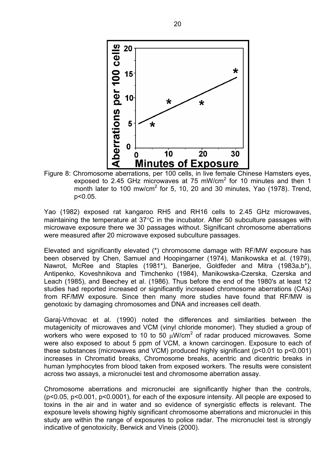

Figure 8: Chromosome aberrations, per 100 cells, in live female Chinese Hamsters eyes, exposed to 2.45 GHz microwaves at 75 mW/cm<sup>2</sup> for 10 minutes and then 1 month later to 100 mw/cm<sup>2</sup> for 5, 10, 20 and 30 minutes, Yao (1978). Trend, p<0.05.

Yao (1982) exposed rat kangaroo RH5 and RH16 cells to 2.45 GHz microwaves, maintaining the temperature at 37°C in the incubator. After 50 subculture passages with microwave exposure there we 30 passages without. Significant chromosome aberrations were measured after 20 microwave exposed subculture passages.

Elevated and significantly elevated (\*) chromosome damage with RF/MW exposure has been observed by Chen, Samuel and Hoopingarner (1974), Manikowska et al. (1979), Nawrot, McRee and Staples (1981\*), Banerjee, Goldfeder and Mitra (1983a,b\*), Antipenko, Koveshnikova and Timchenko (1984), Manikowska-Czerska, Czerska and Leach (1985), and Beechey et al. (1986). Thus before the end of the 1980's at least 12 studies had reported increased or significantly increased chromosome aberrations (CAs) from RF/MW exposure. Since then many more studies have found that RF/MW is genotoxic by damaging chromosomes and DNA and increases cell death.

Garaj-Vrhovac et al. (1990) noted the differences and similarities between the mutagenicity of microwaves and VCM (vinyl chloride monomer). They studied a group of workers who were exposed to 10 to 50  $\mu$ W/cm<sup>2</sup> of radar produced microwaves. Some were also exposed to about 5 ppm of VCM, a known carcinogen. Exposure to each of these substances (microwaves and VCM) produced highly significant (p<0.01 to p<0.001) increases in Chromatid breaks, Chromosome breaks, acentric and dicentric breaks in human lymphocytes from blood taken from exposed workers. The results were consistent across two assays, a micronuclei test and chromosome aberration assay.

Chromosome aberrations and micronuclei are significantly higher than the controls, (p<0.05, p<0.001, p<0.0001), for each of the exposure intensity. All people are exposed to toxins in the air and in water and so evidence of synergistic effects is relevant. The exposure levels showing highly significant chromosome aberrations and micronuclei in this study are within the range of exposures to police radar. The micronuclei test is strongly indicative of genotoxicity, Berwick and Vineis (2000).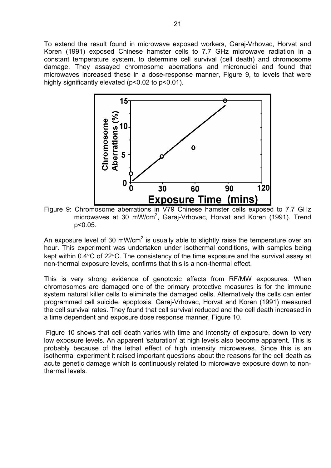To extend the result found in microwave exposed workers, Garaj-Vrhovac, Horvat and Koren (1991) exposed Chinese hamster cells to 7.7 GHz microwave radiation in a constant temperature system, to determine cell survival (cell death) and chromosome damage. They assayed chromosome aberrations and micronuclei and found that microwaves increased these in a dose-response manner, Figure 9, to levels that were highly significantly elevated (p<0.02 to p<0.01).



Figure 9: Chromosome aberrations in V79 Chinese hamster cells exposed to 7.7 GHz microwaves at 30 mW/cm<sup>2</sup>, Garaj-Vrhovac, Horvat and Koren (1991). Trend p<0.05.

An exposure level of 30 mW/cm<sup>2</sup> is usually able to slightly raise the temperature over an hour. This experiment was undertaken under isothermal conditions, with samples being kept within 0.4°C of 22°C. The consistency of the time exposure and the survival assay at non-thermal exposure levels, confirms that this is a non-thermal effect.

This is very strong evidence of genotoxic effects from RF/MW exposures. When chromosomes are damaged one of the primary protective measures is for the immune system natural killer cells to eliminate the damaged cells. Alternatively the cells can enter programmed cell suicide, apoptosis. Garaj-Vrhovac, Horvat and Koren (1991) measured the cell survival rates. They found that cell survival reduced and the cell death increased in a time dependent and exposure dose response manner, Figure 10.

 Figure 10 shows that cell death varies with time and intensity of exposure, down to very low exposure levels. An apparent 'saturation' at high levels also become apparent. This is probably because of the lethal effect of high intensity microwaves. Since this is an isothermal experiment it raised important questions about the reasons for the cell death as acute genetic damage which is continuously related to microwave exposure down to nonthermal levels.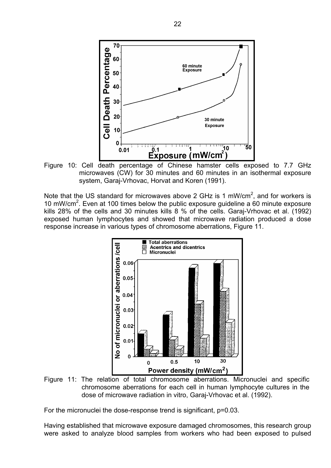

Figure 10: Cell death percentage of Chinese hamster cells exposed to 7.7 GHz microwaves (CW) for 30 minutes and 60 minutes in an isothermal exposure system, Garaj-Vrhovac, Horvat and Koren (1991).

Note that the US standard for microwaves above 2 GHz is 1 mW/cm<sup>2</sup>, and for workers is 10 mW/cm<sup>2</sup>. Even at 100 times below the public exposure guideline a 60 minute exposure kills 28% of the cells and 30 minutes kills 8 % of the cells. Garaj-Vrhovac et al. (1992) exposed human lymphocytes and showed that microwave radiation produced a dose response increase in various types of chromosome aberrations, Figure 11.



Figure 11: The relation of total chromosome aberrations. Micronuclei and specific chromosome aberrations for each cell in human lymphocyte cultures in the dose of microwave radiation in vitro, Garaj-Vrhovac et al. (1992).

For the micronuclei the dose-response trend is significant, p=0.03.

Having established that microwave exposure damaged chromosomes, this research group were asked to analyze blood samples from workers who had been exposed to pulsed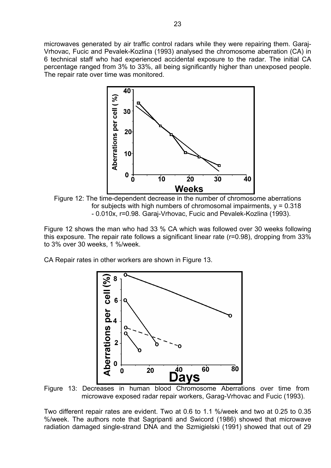microwaves generated by air traffic control radars while they were repairing them. Garaj-Vrhovac, Fucic and Pevalek-Kozlina (1993) analysed the chromosome aberration (CA) in 6 technical staff who had experienced accidental exposure to the radar. The initial CA percentage ranged from 3% to 33%, all being significantly higher than unexposed people. The repair rate over time was monitored.



Figure 12: The time-dependent decrease in the number of chromosome aberrations for subjects with high numbers of chromosomal impairments,  $y = 0.318$ - 0.010x, r=0.98. Garaj-Vrhovac, Fucic and Pevalek-Kozlina (1993).

Figure 12 shows the man who had 33 % CA which was followed over 30 weeks following this exposure. The repair rate follows a significant linear rate (r=0.98), dropping from 33% to 3% over 30 weeks, 1 %/week.

CA Repair rates in other workers are shown in Figure 13.



Figure 13: Decreases in human blood Chromosome Aberrations over time from microwave exposed radar repair workers, Garag-Vrhovac and Fucic (1993).

Two different repair rates are evident. Two at 0.6 to 1.1 %/week and two at 0.25 to 0.35 %/week. The authors note that Sagripanti and Swicord (1986) showed that microwave radiation damaged single-strand DNA and the Szmigielski (1991) showed that out of 29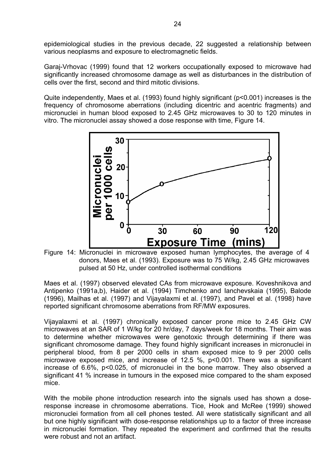epidemiological studies in the previous decade, 22 suggested a relationship between various neoplasms and exposure to electromagnetic fields.

Garaj-Vrhovac (1999) found that 12 workers occupationally exposed to microwave had significantly increased chromosome damage as well as disturbances in the distribution of cells over the first, second and third mitotic divisions.

Quite independently, Maes et al. (1993) found highly significant (p<0.001) increases is the frequency of chromosome aberrations (including dicentric and acentric fragments) and micronuclei in human blood exposed to 2.45 GHz microwaves to 30 to 120 minutes in vitro. The micronuclei assay showed a dose response with time, Figure 14.



donors, Maes et al. (1993). Exposure was to 75 W/kg, 2.45 GHz microwaves pulsed at 50 Hz, under controlled isothermal conditions

Maes et al. (1997) observed elevated CAs from microwave exposure. Koveshnikova and Antipenko (1991a,b), Haider et al. (1994) Timchenko and Ianchevskaia (1995), Balode (1996), Mailhas et al. (1997) and Vijayalaxmi et al. (1997), and Pavel et al. (1998) have reported significant chromosome aberrations from RF/MW exposures.

Vijayalaxmi et al. (1997) chronically exposed cancer prone mice to 2.45 GHz CW microwaves at an SAR of 1 W/kg for 20 hr/day, 7 days/week for 18 months. Their aim was to determine whether microwaves were genotoxic through determining if there was significant chromosome damage. They found highly significant increases in micronuclei in peripheral blood, from 8 per 2000 cells in sham exposed mice to 9 per 2000 cells microwave exposed mice, and increase of 12.5 %, p<0.001. There was a significant increase of 6.6%, p<0.025, of micronuclei in the bone marrow. They also observed a significant 41 % increase in tumours in the exposed mice compared to the sham exposed mice.

With the mobile phone introduction research into the signals used has shown a doseresponse increase in chromosome aberrations. Tice, Hook and McRee (1999) showed micronuclei formation from all cell phones tested. All were statistically significant and all but one highly significant with dose-response relationships up to a factor of three increase in micronuclei formation. They repeated the experiment and confirmed that the results were robust and not an artifact.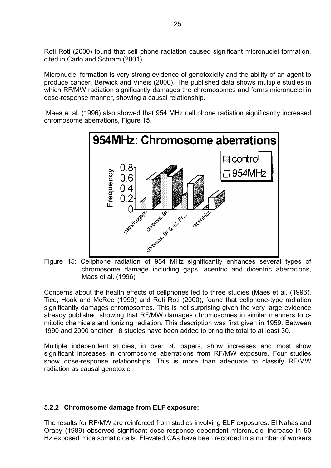Roti Roti (2000) found that cell phone radiation caused significant micronuclei formation, cited in Carlo and Schram (2001).

Micronuclei formation is very strong evidence of genotoxicity and the ability of an agent to produce cancer, Berwick and Vineis (2000). The published data shows multiple studies in which RF/MW radiation significantly damages the chromosomes and forms micronuclei in dose-response manner, showing a causal relationship.

 Maes et al. (1996) also showed that 954 MHz cell phone radiation significantly increased chromosome aberrations, Figure 15.



Figure 15: Cellphone radiation of 954 MHz significantly enhances several types of chromosome damage including gaps, acentric and dicentric aberrations, Maes et al. (1996)

Concerns about the health effects of cellphones led to three studies (Maes et al. (1996), Tice, Hook and McRee (1999) and Roti Roti (2000), found that cellphone-type radiation significantly damages chromosomes. This is not surprising given the very large evidence already published showing that RF/MW damages chromosomes in similar manners to cmitotic chemicals and ionizing radiation. This description was first given in 1959. Between 1990 and 2000 another 18 studies have been added to bring the total to at least 30.

Multiple independent studies, in over 30 papers, show increases and most show significant increases in chromosome aberrations from RF/MW exposure. Four studies show dose-response relationships. This is more than adequate to classify RF/MW radiation as causal genotoxic.

#### **5.2.2 Chromosome damage from ELF exposure:**

The results for RF/MW are reinforced from studies involving ELF exposures. El Nahas and Oraby (1989) observed significant dose-response dependent micronuclei increase in 50 Hz exposed mice somatic cells. Elevated CAs have been recorded in a number of workers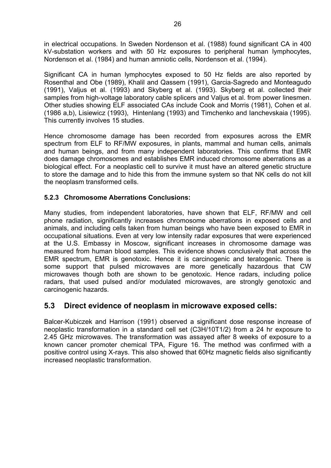in electrical occupations. In Sweden Nordenson et al. (1988) found significant CA in 400 kV-substation workers and with 50 Hz exposures to peripheral human lymphocytes, Nordenson et al. (1984) and human amniotic cells, Nordenson et al. (1994).

Significant CA in human lymphocytes exposed to 50 Hz fields are also reported by Rosenthal and Obe (1989), Khalil and Qassem (1991), Garcia-Sagredo and Monteagudo (1991), Valjus et al. (1993) and Skyberg et al. (1993). Skyberg et al. collected their samples from high-voltage laboratory cable splicers and Valjus et al. from power linesmen. Other studies showing ELF associated CAs include Cook and Morris (1981), Cohen et al. (1986 a,b), Lisiewicz (1993), Hintenlang (1993) and Timchenko and Ianchevskaia (1995). This currently involves 15 studies.

Hence chromosome damage has been recorded from exposures across the EMR spectrum from ELF to RF/MW exposures, in plants, mammal and human cells, animals and human beings, and from many independent laboratories. This confirms that EMR does damage chromosomes and establishes EMR induced chromosome aberrations as a biological effect. For a neoplastic cell to survive it must have an altered genetic structure to store the damage and to hide this from the immune system so that NK cells do not kill the neoplasm transformed cells.

## **5.2.3 Chromosome Aberrations Conclusions:**

Many studies, from independent laboratories, have shown that ELF, RF/MW and cell phone radiation, significantly increases chromosome aberrations in exposed cells and animals, and including cells taken from human beings who have been exposed to EMR in occupational situations. Even at very low intensity radar exposures that were experienced at the U.S. Embassy in Moscow, significant increases in chromosome damage was measured from human blood samples. This evidence shows conclusively that across the EMR spectrum, EMR is genotoxic. Hence it is carcinogenic and teratogenic. There is some support that pulsed microwaves are more genetically hazardous that CW microwaves though both are shown to be genotoxic. Hence radars, including police radars, that used pulsed and/or modulated microwaves, are strongly genotoxic and carcinogenic hazards.

## **5.3 Direct evidence of neoplasm in microwave exposed cells:**

Balcer-Kubiczek and Harrison (1991) observed a significant dose response increase of neoplastic transformation in a standard cell set (C3H/10T1/2) from a 24 hr exposure to 2.45 GHz microwaves. The transformation was assayed after 8 weeks of exposure to a known cancer promoter chemical TPA, Figure 16. The method was confirmed with a positive control using X-rays. This also showed that 60Hz magnetic fields also significantly increased neoplastic transformation.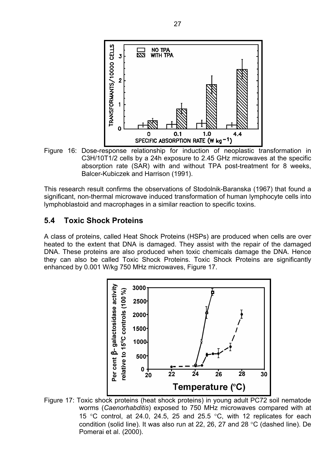

Figure 16: Dose-response relationship for induction of neoplastic transformation in C3H/10T1/2 cells by a 24h exposure to 2.45 GHz microwaves at the specific absorption rate (SAR) with and without TPA post-treatment for 8 weeks, Balcer-Kubiczek and Harrison (1991).

This research result confirms the observations of Stodolnik-Baranska (1967) that found a significant, non-thermal microwave induced transformation of human lymphocyte cells into lymphoblastoid and macrophages in a similar reaction to specific toxins.

## **5.4 Toxic Shock Proteins**

A class of proteins, called Heat Shock Proteins (HSPs) are produced when cells are over heated to the extent that DNA is damaged. They assist with the repair of the damaged DNA. These proteins are also produced when toxic chemicals damage the DNA. Hence they can also be called Toxic Shock Proteins. Toxic Shock Proteins are significantly enhanced by 0.001 W/kg 750 MHz microwaves, Figure 17.



Figure 17: Toxic shock proteins (heat shock proteins) in young adult PC72 soil nematode worms (*Caenorhabditis*) exposed to 750 MHz microwaves compared with at 15 °C control, at 24.0, 24.5, 25 and 25.5 °C, with 12 replicates for each condition (solid line). It was also run at 22, 26, 27 and 28 °C (dashed line). De Pomerai et al. (2000).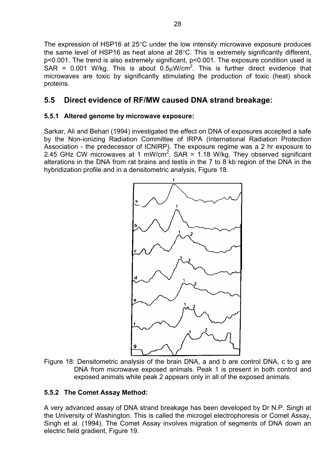The expression of HSP16 at 25°C under the low intensity microwave exposure produces the same level of HSP16 as heat alone at 28°C. This is extremely significantly different, p<0.001. The trend is also extremely significant, p<0.001. The exposure condition used is SAR = 0.001 W/kg. This is about  $0.5 \mu$ W/cm<sup>2</sup>. This is further direct evidence that microwaves are toxic by significantly stimulating the production of toxic (heat) shock proteins.

## **5.5 Direct evidence of RF/MW caused DNA strand breakage:**

#### **5.5.1 Altered genome by microwave exposure:**

Sarkar, Ali and Behari (1994) investigated the effect on DNA of exposures accepted a safe by the Non-ionizing Radiation Committee of IRPA (International Radiation Protection Association - the predecessor of ICNIRP). The exposure regime was a 2 hr exposure to 2.45 GHz CW microwaves at 1 mW/cm<sup>2</sup>, SAR = 1.18 W/kg. They observed significant alterations in the DNA from rat brains and testis in the 7 to 8 kb region of the DNA in the hybridization profile and in a densitometric analysis, Figure 18.



Figure 18: Densitometric analysis of the brain DNA, a and b are control DNA, c to g are DNA from microwave exposed animals. Peak 1 is present in both control and exposed animals while peak 2 appears only in all of the exposed animals.

#### **5.5.2 The Comet Assay Method:**

A very advanced assay of DNA strand breakage has been developed by Dr N.P. Singh at the University of Washington. This is called the microgel electrophoresis or Comet Assay, Singh et al. (1994). The Comet Assay involves migration of segments of DNA down an electric field gradient, Figure 19.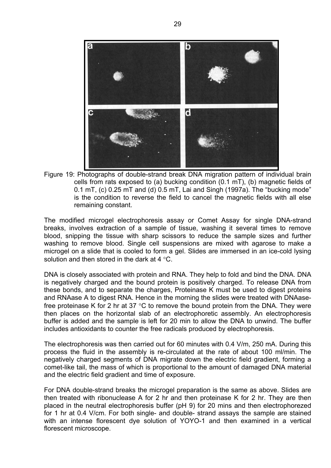

Figure 19: Photographs of double-strand break DNA migration pattern of individual brain cells from rats exposed to (a) bucking condition (0.1 mT), (b) magnetic fields of 0.1 mT, (c) 0.25 mT and (d) 0.5 mT, Lai and Singh (1997a). The "bucking mode" is the condition to reverse the field to cancel the magnetic fields with all else remaining constant.

The modified microgel electrophoresis assay or Comet Assay for single DNA-strand breaks, involves extraction of a sample of tissue, washing it several times to remove blood, snipping the tissue with sharp scissors to reduce the sample sizes and further washing to remove blood. Single cell suspensions are mixed with agarose to make a microgel on a slide that is cooled to form a gel. Slides are immersed in an ice-cold lysing solution and then stored in the dark at 4 °C.

DNA is closely associated with protein and RNA. They help to fold and bind the DNA. DNA is negatively charged and the bound protein is positively charged. To release DNA from these bonds, and to separate the charges, Proteinase K must be used to digest proteins and RNAase A to digest RNA. Hence in the morning the slides were treated with DNAasefree proteinase K for 2 hr at 37 °C to remove the bound protein from the DNA. They were then places on the horizontal slab of an electrophoretic assembly. An electrophoresis buffer is added and the sample is left for 20 min to allow the DNA to unwind. The buffer includes antioxidants to counter the free radicals produced by electrophoresis.

The electrophoresis was then carried out for 60 minutes with 0.4 V/m, 250 mA. During this process the fluid in the assembly is re-circulated at the rate of about 100 ml/min. The negatively charged segments of DNA migrate down the electric field gradient, forming a comet-like tail, the mass of which is proportional to the amount of damaged DNA material and the electric field gradient and time of exposure.

For DNA double-strand breaks the microgel preparation is the same as above. Slides are then treated with ribonuclease A for 2 hr and then proteinase K for 2 hr. They are then placed in the neutral electrophoresis buffer (pH 9) for 20 mins and then electrophorezed for 1 hr at 0.4 V/cm. For both single- and double- strand assays the sample are stained with an intense florescent dye solution of YOYO-1 and then examined in a vertical florescent microscope.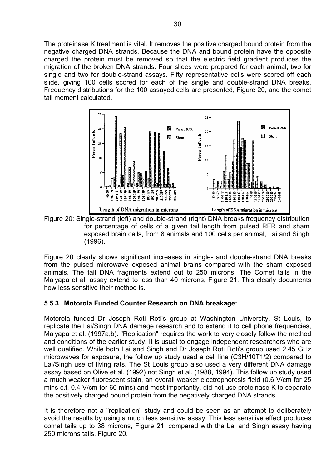The proteinase K treatment is vital. It removes the positive charged bound protein from the negative charged DNA strands. Because the DNA and bound protein have the opposite charged the protein must be removed so that the electric field gradient produces the migration of the broken DNA strands. Four slides were prepared for each animal, two for single and two for double-strand assays. Fifty representative cells were scored off each slide, giving 100 cells scored for each of the single and double-strand DNA breaks. Frequency distributions for the 100 assayed cells are presented, Figure 20, and the comet tail moment calculated.



Figure 20: Single-strand (left) and double-strand (right) DNA breaks frequency distribution for percentage of cells of a given tail length from pulsed RFR and sham exposed brain cells, from 8 animals and 100 cells per animal, Lai and Singh (1996).

Figure 20 clearly shows significant increases in single- and double-strand DNA breaks from the pulsed microwave exposed animal brains compared with the sham exposed animals. The tail DNA fragments extend out to 250 microns. The Comet tails in the Malyapa et al. assay extend to less than 40 microns, Figure 21. This clearly documents how less sensitive their method is.

## **5.5.3 Motorola Funded Counter Research on DNA breakage:**

Motorola funded Dr Joseph Roti Roti's group at Washington University, St Louis, to replicate the Lai/Singh DNA damage research and to extend it to cell phone frequencies, Malyapa et al. (1997a,b). "Replication" requires the work to very closely follow the method and conditions of the earlier study. It is usual to engage independent researchers who are well qualified. While both Lai and Singh and Dr Joseph Roti Roti's group used 2.45 GHz microwaves for exposure, the follow up study used a cell line (C3H/10T1/2) compared to Lai/Singh use of living rats. The St Louis group also used a very different DNA damage assay based on Olive et al. (1992) not Singh et al. (1988, 1994). This follow up study used a much weaker fluorescent stain, an overall weaker electrophoresis field (0.6 V/cm for 25 mins c.f. 0.4 V/cm for 60 mins) and most importantly, did not use proteinase K to separate the positively charged bound protein from the negatively charged DNA strands.

It is therefore not a "replication" study and could be seen as an attempt to deliberately avoid the results by using a much less sensitive assay. This less sensitive effect produces comet tails up to 38 microns, Figure 21, compared with the Lai and Singh assay having 250 microns tails, Figure 20.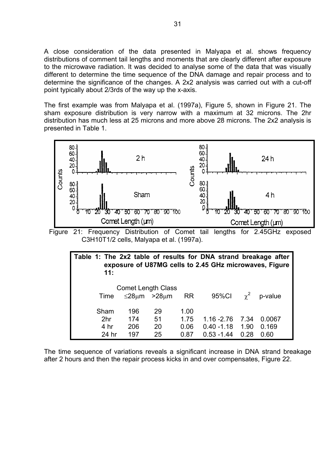A close consideration of the data presented in Malyapa et al. shows frequency distributions of comment tail lengths and moments that are clearly different after exposure to the microwave radiation. It was decided to analyse some of the data that was visually different to determine the time sequence of the DNA damage and repair process and to determine the significance of the changes. A 2x2 analysis was carried out with a cut-off point typically about 2/3rds of the way up the x-axis.

The first example was from Malyapa et al. (1997a), Figure 5, shown in Figure 21. The sham exposure distribution is very narrow with a maximum at 32 microns. The 2hr distribution has much less at 25 microns and more above 28 microns. The 2x2 analysis is presented in Table 1.



| Table 1: The 2x2 table of results for DNA strand breakage after<br>11: |                           |                               |           | exposure of U87MG cells to 2.45 GHz microwaves, Figure |      |                    |
|------------------------------------------------------------------------|---------------------------|-------------------------------|-----------|--------------------------------------------------------|------|--------------------|
| Time                                                                   | <b>Comet Length Class</b> | $\leq$ 28 $\mu$ m >28 $\mu$ m | <b>RR</b> | 95%Cl                                                  |      | $\gamma^2$ p-value |
| Sham                                                                   | 196                       | 29                            | 1.00      |                                                        |      |                    |
| 2 <sub>hr</sub>                                                        | 174                       | 51                            | 1.75      | $1.16 - 2.76$                                          | 7.34 | 0.0067             |
| 4 hr                                                                   | 206                       | 20                            | 0.06      | $0.40 - 1.18$                                          | 1.90 | 0.169              |
| 24 hr                                                                  | 197                       | 25                            | 0.87      | $0.53 - 1.44$                                          | 0.28 | 0.60               |

The time sequence of variations reveals a significant increase in DNA strand breakage after 2 hours and then the repair process kicks in and over compensates, Figure 22.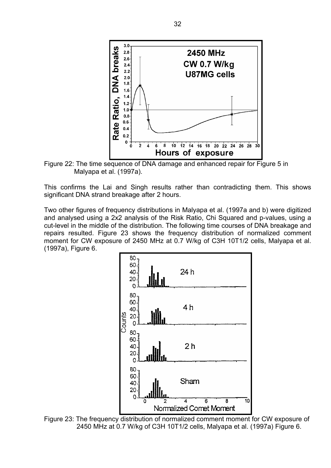

Figure 22: The time sequence of DNA damage and enhanced repair for Figure 5 in Malyapa et al. (1997a).

This confirms the Lai and Singh results rather than contradicting them. This shows significant DNA strand breakage after 2 hours.

Two other figures of frequency distributions in Malyapa et al. (1997a and b) were digitized and analysed using a 2x2 analysis of the Risk Ratio, Chi Squared and p-values, using a cut-level in the middle of the distribution. The following time courses of DNA breakage and repairs resulted. Figure 23 shows the frequency distribution of normalized comment moment for CW exposure of 2450 MHz at 0.7 W/kg of C3H 10T1/2 cells, Malyapa et al. (1997a), Figure 6.



Figure 23: The frequency distribution of normalized comment moment for CW exposure of 2450 MHz at 0.7 W/kg of C3H 10T1/2 cells, Malyapa et al. (1997a) Figure 6.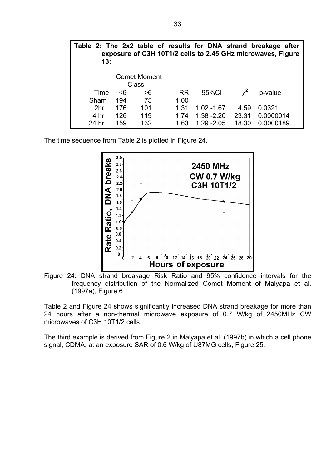| 13:             |     |                                     |           |               |            | Table 2: The 2x2 table of results for DNA strand breakage after<br>exposure of C3H 10T1/2 cells to 2.45 GHz microwaves, Figure |
|-----------------|-----|-------------------------------------|-----------|---------------|------------|--------------------------------------------------------------------------------------------------------------------------------|
|                 |     | <b>Comet Moment</b><br><b>Class</b> |           |               |            |                                                                                                                                |
| Time            | ≤6  | >6                                  | <b>RR</b> | 95%Cl         | $\gamma^2$ | p-value                                                                                                                        |
| Sham            | 194 | 75                                  | 1.00      |               |            |                                                                                                                                |
| 2 <sub>hr</sub> | 176 | 101                                 | 1.31      | $1.02 - 1.67$ | 4.59       | 0.0321                                                                                                                         |
| 4 hr            | 126 | 119                                 | 1.74      | $1.38 - 2.20$ | 23.31      | 0.0000014                                                                                                                      |
| 24 hr           | 159 | 132                                 | 1.63      | $1.29 - 2.05$ | 18.30      | 0.0000189                                                                                                                      |

The time sequence from Table 2 is plotted in Figure 24.



Figure 24: DNA strand breakage Risk Ratio and 95% confidence intervals for the frequency distribution of the Normalized Comet Moment of Malyapa et al. (1997a), Figure 6

Table 2 and Figure 24 shows significantly increased DNA strand breakage for more than 24 hours after a non-thermal microwave exposure of 0.7 W/kg of 2450MHz CW microwaves of C3H 10T1/2 cells.

The third example is derived from Figure 2 in Malyapa et al. (1997b) in which a cell phone signal, CDMA, at an exposure SAR of 0.6 W/kg of U87MG cells, Figure 25.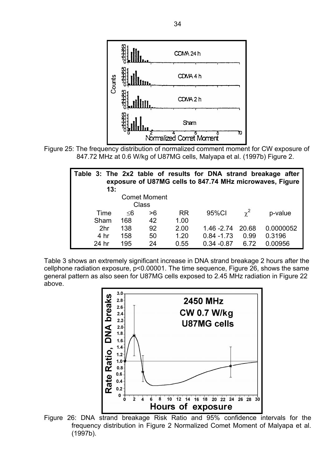

Figure 25: The frequency distribution of normalized comment moment for CW exposure of 847.72 MHz at 0.6 W/kg of U87MG cells, Malyapa et al. (1997b) Figure 2.

| Table 3: The 2x2 table of results for DNA strand breakage after<br>exposure of U87MG cells to 847.74 MHz microwaves, Figure<br>13: |     |                     |           |               |            |           |
|------------------------------------------------------------------------------------------------------------------------------------|-----|---------------------|-----------|---------------|------------|-----------|
|                                                                                                                                    |     | <b>Comet Moment</b> |           |               |            |           |
|                                                                                                                                    |     | Class               |           |               |            |           |
| Time                                                                                                                               | ≤6  | >6                  | <b>RR</b> | 95%CI         | $\gamma^2$ | p-value   |
| Sham                                                                                                                               | 168 | 42                  | 1.00      |               |            |           |
| 2 <sub>hr</sub>                                                                                                                    | 138 | 92                  | 2.00      | $1.46 - 2.74$ | 20.68      | 0.0000052 |
| 4 hr                                                                                                                               | 158 | 50                  | 1.20      | $0.84 - 1.73$ | 0.99       | 0.3196    |
| 24 hr                                                                                                                              | 195 | 24                  | 0.55      | $0.34 - 0.87$ | 6.72       | 0.00956   |

Table 3 shows an extremely significant increase in DNA strand breakage 2 hours after the cellphone radiation exposure, p<0.00001. The time sequence, Figure 26, shows the same general pattern as also seen for U87MG cells exposed to 2.45 MHz radiation in Figure 22 above.



Figure 26: DNA strand breakage Risk Ratio and 95% confidence intervals for the frequency distribution in Figure 2 Normalized Comet Moment of Malyapa et al. (1997b).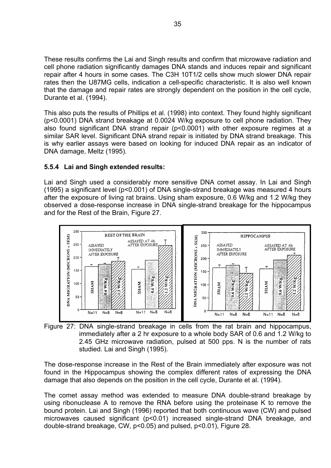These results confirms the Lai and Singh results and confirm that microwave radiation and cell phone radiation significantly damages DNA stands and induces repair and significant repair after 4 hours in some cases. The C3H 10T1/2 cells show much slower DNA repair rates then the U87MG cells, indication a cell-specific characteristic. It is also well known that the damage and repair rates are strongly dependent on the position in the cell cycle, Durante et al. (1994).

This also puts the results of Phillips et al. (1998) into context. They found highly significant (p<0.0001) DNA strand breakage at 0.0024 W/kg exposure to cell phone radiation. They also found significant DNA strand repair (p<0.0001) with other exposure regimes at a similar SAR level. Significant DNA strand repair is initiated by DNA strand breakage. This is why earlier assays were based on looking for induced DNA repair as an indicator of DNA damage, Meltz (1995).

#### **5.5.4 Lai and Singh extended results:**

Lai and Singh used a considerably more sensitive DNA comet assay. In Lai and Singh (1995) a significant level (p<0.001) of DNA single-strand breakage was measured 4 hours after the exposure of living rat brains. Using sham exposure, 0.6 W/kg and 1.2 W/kg they observed a dose-response increase in DNA single-strand breakage for the hippocampus and for the Rest of the Brain, Figure 27.





The dose-response increase in the Rest of the Brain immediately after exposure was not found in the Hippocampus showing the complex different rates of expressing the DNA damage that also depends on the position in the cell cycle, Durante et al. (1994).

The comet assay method was extended to measure DNA double-strand breakage by using ribonuclease A to remove the RNA before using the proteinase K to remove the bound protein. Lai and Singh (1996) reported that both continuous wave (CW) and pulsed microwaves caused significant (p<0.01) increased single-strand DNA breakage, and double-strand breakage, CW, p<0.05) and pulsed, p<0.01), Figure 28.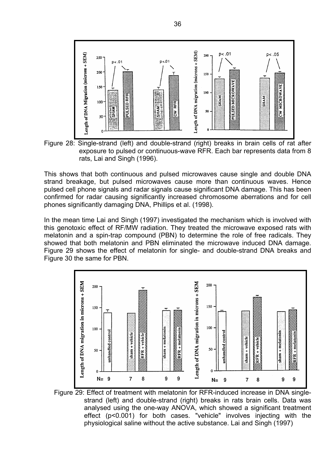

Figure 28: Single-strand (left) and double-strand (right) breaks in brain cells of rat after exposure to pulsed or continuous-wave RFR. Each bar represents data from 8 rats, Lai and Singh (1996).

This shows that both continuous and pulsed microwaves cause single and double DNA strand breakage, but pulsed microwaves cause more than continuous waves. Hence pulsed cell phone signals and radar signals cause significant DNA damage. This has been confirmed for radar causing significantly increased chromosome aberrations and for cell phones significantly damaging DNA, Phillips et al. (1998).

In the mean time Lai and Singh (1997) investigated the mechanism which is involved with this genotoxic effect of RF/MW radiation. They treated the microwave exposed rats with melatonin and a spin-trap compound (PBN) to determine the role of free radicals. They showed that both melatonin and PBN eliminated the microwave induced DNA damage. Figure 29 shows the effect of melatonin for single- and double-strand DNA breaks and Figure 30 the same for PBN.



Figure 29: Effect of treatment with melatonin for RFR-induced increase in DNA singlestrand (left) and double-strand (right) breaks in rats brain cells. Data was analysed using the one-way ANOVA, which showed a significant treatment effect (p<0.001) for both cases. "vehicle" involves injecting with the physiological saline without the active substance. Lai and Singh (1997)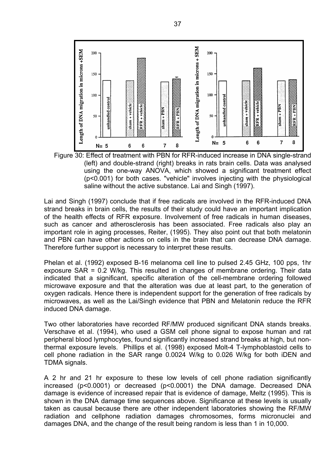

Figure 30: Effect of treatment with PBN for RFR-induced increase in DNA single-strand (left) and double-strand (right) breaks in rats brain cells. Data was analysed using the one-way ANOVA, which showed a significant treatment effect (p<0.001) for both cases. "vehicle" involves injecting with the physiological saline without the active substance. Lai and Singh (1997).

Lai and Singh (1997) conclude that if free radicals are involved in the RFR-induced DNA strand breaks in brain cells, the results of their study could have an important implication of the health effects of RFR exposure. Involvement of free radicals in human diseases, such as cancer and atherosclerosis has been associated. Free radicals also play an important role in aging processes, Reiter, (1995). They also point out that both melatonin and PBN can have other actions on cells in the brain that can decrease DNA damage. Therefore further support is necessary to interpret these results.

Phelan et al. (1992) exposed B-16 melanoma cell line to pulsed 2.45 GHz, 100 pps, 1hr exposure SAR = 0.2 W/kg. This resulted in changes of membrane ordering. Their data indicated that a significant, specific alteration of the cell-membrane ordering followed microwave exposure and that the alteration was due at least part, to the generation of oxygen radicals. Hence there is independent support for the generation of free radicals by microwaves, as well as the Lai/Singh evidence that PBN and Melatonin reduce the RFR induced DNA damage.

Two other laboratories have recorded RF/MW produced significant DNA stands breaks. Verschave et al. (1994), who used a GSM cell phone signal to expose human and rat peripheral blood lymphocytes, found significantly increased strand breaks at high, but nonthermal exposure levels. Phillips et al. (1998) exposed Molt-4 T-lymphoblastoid cells to cell phone radiation in the SAR range 0.0024 W/kg to 0.026 W/kg for both iDEN and TDMA signals.

A 2 hr and 21 hr exposure to these low levels of cell phone radiation significantly increased (p<0.0001) or decreased (p<0.0001) the DNA damage. Decreased DNA damage is evidence of increased repair that is evidence of damage, Meltz (1995). This is shown in the DNA damage time sequences above. Significance at these levels is usually taken as causal because there are other independent laboratories showing the RF/MW radiation and cellphone radiation damages chromosomes, forms micronuclei and damages DNA, and the change of the result being random is less than 1 in 10,000.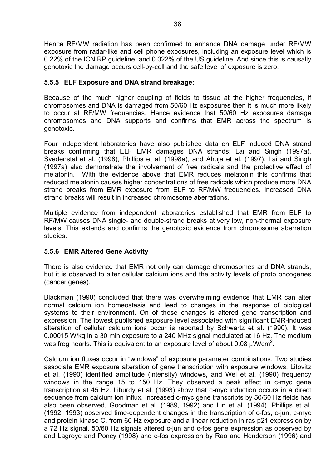Hence RF/MW radiation has been confirmed to enhance DNA damage under RF/MW exposure from radar-like and cell phone exposures, including an exposure level which is 0.22% of the ICNIRP guideline, and 0.022% of the US guideline. And since this is causally genotoxic the damage occurs cell-by-cell and the safe level of exposure is zero.

### **5.5.5 ELF Exposure and DNA strand breakage:**

Because of the much higher coupling of fields to tissue at the higher frequencies, if chromosomes and DNA is damaged from 50/60 Hz exposures then it is much more likely to occur at RF/MW frequencies. Hence evidence that 50/60 Hz exposures damage chromosomes and DNA supports and confirms that EMR across the spectrum is genotoxic.

Four independent laboratories have also published data on ELF induced DNA strand breaks confirming that ELF EMR damages DNA strands; Lai and Singh (1997a), Svedenstal et al. (1998), Phillips et al. (1998a), and Ahuja et al. (1997). Lai and Singh (1997a) also demonstrate the involvement of free radicals and the protective effect of melatonin. With the evidence above that EMR reduces melatonin this confirms that reduced melatonin causes higher concentrations of free radicals which produce more DNA strand breaks from EMR exposure from ELF to RF/MW frequencies. Increased DNA strand breaks will result in increased chromosome aberrations.

Multiple evidence from independent laboratories established that EMR from ELF to RF/MW causes DNA single- and double-strand breaks at very low, non-thermal exposure levels. This extends and confirms the genotoxic evidence from chromosome aberration studies.

### **5.5.6 EMR Altered Gene Activity**

There is also evidence that EMR not only can damage chromosomes and DNA strands, but it is observed to alter cellular calcium ions and the activity levels of proto oncogenes (cancer genes).

Blackman (1990) concluded that there was overwhelming evidence that EMR can alter normal calcium ion homeostasis and lead to changes in the response of biological systems to their environment. On of these changes is altered gene transcription and expression. The lowest published exposure level associated with significant EMR-induced alteration of cellular calcium ions occur is reported by Schwartz et al. (1990). It was 0.00015 W/kg in a 30 min exposure to a 240 MHz signal modulated at 16 Hz. The medium was frog hearts. This is equivalent to an exposure level of about 0.08  $\mu$ W/cm<sup>2</sup>.

Calcium ion fluxes occur in "windows" of exposure parameter combinations. Two studies associate EMR exposure alteration of gene transcription with exposure windows. Litovitz et al. (1990) identified amplitude (intensity) windows, and Wei et al. (1990) frequency windows in the range 15 to 150 Hz. They observed a peak effect in c-myc gene transcription at 45 Hz. Liburdy et al. (1993) show that c-myc induction occurs in a direct sequence from calcium ion influx. Increased c-myc gene transcripts by 50/60 Hz fields has also been observed, Goodman et al. (1989, 1992) and Lin et al. (1994). Phillips et al. (1992, 1993) observed time-dependent changes in the transcription of c-fos, c-jun, c-myc and protein kinase C, from 60 Hz exposure and a linear reduction in ras p21 expression by a 72 Hz signal. 50/60 Hz signals altered c-jun and c-fos gene expression as observed by and Lagroye and Poncy (1998) and c-fos expression by Rao and Henderson (1996) and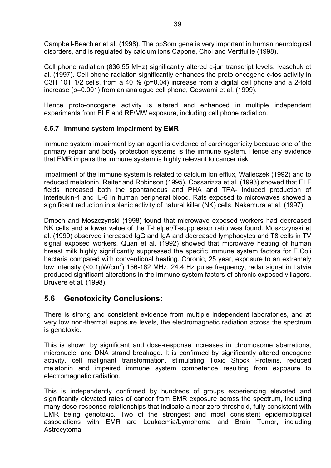Campbell-Beachler et al. (1998). The ppSom gene is very important in human neurological disorders, and is regulated by calcium ions Capone, Choi and Vertifuille (1998).

Cell phone radiation (836.55 MHz) significantly altered c-jun transcript levels, Ivaschuk et al. (1997). Cell phone radiation significantly enhances the proto oncogene c-fos activity in C3H 10T 1/2 cells, from a 40 % (p=0.04) increase from a digital cell phone and a 2-fold increase (p=0.001) from an analogue cell phone, Goswami et al. (1999).

Hence proto-oncogene activity is altered and enhanced in multiple independent experiments from ELF and RF/MW exposure, including cell phone radiation.

### **5.5.7 Immune system impairment by EMR**

Immune system impairment by an agent is evidence of carcinogenicity because one of the primary repair and body protection systems is the immune system. Hence any evidence that EMR impairs the immune system is highly relevant to cancer risk.

Impairment of the immune system is related to calcium ion efflux, Walleczek (1992) and to reduced melatonin, Reiter and Robinson (1995). Cossarizza et al. (1993) showed that ELF fields increased both the spontaneous and PHA and TPA- induced production of interleukin-1 and IL-6 in human peripheral blood. Rats exposed to microwaves showed a significant reduction in splenic activity of natural killer (NK) cells, Nakamura et al. (1997).

Dmoch and Moszczynski (1998) found that microwave exposed workers had decreased NK cells and a lower value of the T-helper/T-suppressor ratio was found. Moszczynski et al. (1999) observed increased IgG and IgA and decreased lymphocytes and T8 cells in TV signal exposed workers. Quan et al. (1992) showed that microwave heating of human breast milk highly significantly suppressed the specific immune system factors for E.Coli bacteria compared with conventional heating. Chronic, 25 year, exposure to an extremely low intensity (<0.1 $\mu$ W/cm<sup>2</sup>) 156-162 MHz, 24.4 Hz pulse frequency, radar signal in Latvia produced significant alterations in the immune system factors of chronic exposed villagers, Bruvere et al. (1998).

## **5.6 Genotoxicity Conclusions:**

There is strong and consistent evidence from multiple independent laboratories, and at very low non-thermal exposure levels, the electromagnetic radiation across the spectrum is genotoxic.

This is shown by significant and dose-response increases in chromosome aberrations, micronuclei and DNA strand breakage. It is confirmed by significantly altered oncogene activity, cell malignant transformation, stimulating Toxic Shock Proteins, reduced melatonin and impaired immune system competence resulting from exposure to electromagnetic radiation.

This is independently confirmed by hundreds of groups experiencing elevated and significantly elevated rates of cancer from EMR exposure across the spectrum, including many dose-response relationships that indicate a near zero threshold, fully consistent with EMR being genotoxic. Two of the strongest and most consistent epidemiological associations with EMR are Leukaemia/Lymphoma and Brain Tumor, including Astrocytoma.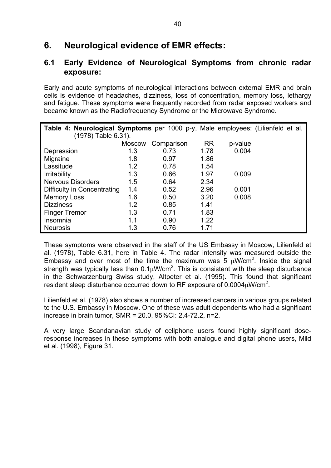## **6. Neurological evidence of EMR effects:**

## **6.1 Early Evidence of Neurological Symptoms from chronic radar exposure:**

Early and acute symptoms of neurological interactions between external EMR and brain cells is evidence of headaches, dizziness, loss of concentration, memory loss, lethargy and fatigue. These symptoms were frequently recorded from radar exposed workers and became known as the Radiofrequency Syndrome or the Microwave Syndrome.

| Table 4: Neurological Symptoms per 1000 p-y, Male employees: (Lilienfeld et al. |               |            |           |         |  |
|---------------------------------------------------------------------------------|---------------|------------|-----------|---------|--|
| (1978) Table 6.31).                                                             |               |            |           |         |  |
|                                                                                 | <b>Moscow</b> | Comparison | <b>RR</b> | p-value |  |
| Depression                                                                      | 1.3           | 0.73       | 1.78      | 0.004   |  |
| Migraine                                                                        | 1.8           | 0.97       | 1.86      |         |  |
| Lassitude                                                                       | 1.2           | 0.78       | 1.54      |         |  |
| <b>Irritability</b>                                                             | 1.3           | 0.66       | 1.97      | 0.009   |  |
| <b>Nervous Disorders</b>                                                        | 1.5           | 0.64       | 2.34      |         |  |
| Difficulty in Concentrating                                                     | 1.4           | 0.52       | 2.96      | 0.001   |  |
| <b>Memory Loss</b>                                                              | 1.6           | 0.50       | 3.20      | 0.008   |  |
| <b>Dizziness</b>                                                                | 1.2           | 0.85       | 1.41      |         |  |
| <b>Finger Tremor</b>                                                            | 1.3           | 0.71       | 1.83      |         |  |
| Insomnia                                                                        | 1.1           | 0.90       | 1.22      |         |  |
| <b>Neurosis</b>                                                                 | 1.3           | 0.76       | 1.71      |         |  |

These symptoms were observed in the staff of the US Embassy in Moscow, Lilienfeld et al. (1978), Table 6.31, here in Table 4. The radar intensity was measured outside the Embassy and over most of the time the maximum was 5  $\mu$ W/cm<sup>2</sup>. Inside the signal strength was typically less than  $0.1 \mu$ W/cm<sup>2</sup>. This is consistent with the sleep disturbance in the Schwarzenburg Swiss study, Altpeter et al. (1995). This found that significant resident sleep disturbance occurred down to RF exposure of 0.0004 $\mu$ W/cm<sup>2</sup>.

Lilienfeld et al. (1978) also shows a number of increased cancers in various groups related to the U.S. Embassy in Moscow. One of these was adult dependents who had a significant increase in brain tumor, SMR = 20.0, 95%CI: 2.4-72.2, n=2.

A very large Scandanavian study of cellphone users found highly significant doseresponse increases in these symptoms with both analogue and digital phone users, Mild et al. (1998), Figure 31.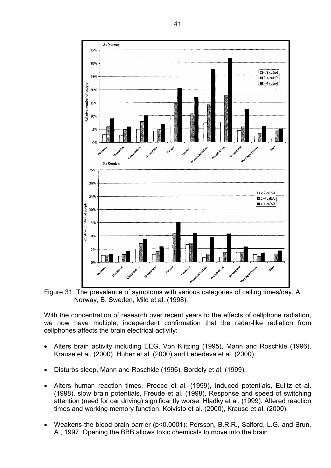

Figure 31: The prevalence of symptoms with various categories of calling times/day, A. Norway, B. Sweden, Mild et al. (1998).

With the concentration of research over recent years to the effects of cellphone radiation, we now have multiple, independent confirmation that the radar-like radiation from cellphones affects the brain electrical activity:

- Alters brain activity including EEG, Von Klitzing (1995), Mann and Roschkle (1996), Krause et al. (2000), Huber et al. (2000) and Lebedeva et al. (2000).
- Disturbs sleep, Mann and Roschkle (1996), Bordely et al. (1999).
- Alters human reaction times, Preece et al. (1999), Induced potentials, Eulitz et al. (1998), slow brain potentials, Freude et al. (1998), Response and speed of switching attention (need for car driving) significantly worse, Hladky et al. (1999). Altered reaction times and working memory function, Koivisto et al. (2000), Krause et al. (2000).
- Weakens the blood brain barrier (p<0.0001): Persson, B.R.R., Salford, L.G. and Brun, A., 1997. Opening the BBB allows toxic chemicals to move into the brain.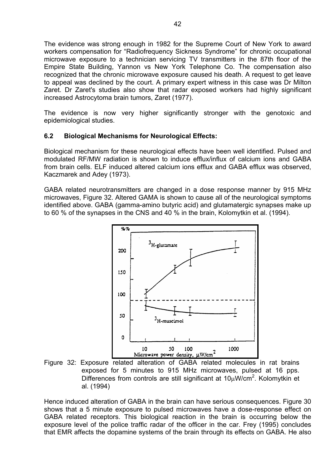The evidence was strong enough in 1982 for the Supreme Court of New York to award workers compensation for "Radiofrequency Sickness Syndrome" for chronic occupational microwave exposure to a technician servicing TV transmitters in the 87th floor of the Empire State Building, Yannon vs New York Telephone Co. The compensation also recognized that the chronic microwave exposure caused his death. A request to get leave to appeal was declined by the court. A primary expert witness in this case was Dr Milton Zaret. Dr Zaret's studies also show that radar exposed workers had highly significant increased Astrocytoma brain tumors, Zaret (1977).

The evidence is now very higher significantly stronger with the genotoxic and epidemiological studies.

### **6.2 Biological Mechanisms for Neurological Effects:**

Biological mechanism for these neurological effects have been well identified. Pulsed and modulated RF/MW radiation is shown to induce efflux/influx of calcium ions and GABA from brain cells. ELF induced altered calcium ions efflux and GABA efflux was observed, Kaczmarek and Adey (1973).

GABA related neurotransmitters are changed in a dose response manner by 915 MHz microwaves, Figure 32. Altered GAMA is shown to cause all of the neurological symptoms identified above. GABA (gamma-amino butyric acid) and glutamatergic synapses make up to 60 % of the synapses in the CNS and 40 % in the brain, Kolomytkin et al. (1994).



Figure 32: Exposure related alteration of GABA related molecules in rat brains exposed for 5 minutes to 915 MHz microwaves, pulsed at 16 pps. Differences from controls are still significant at  $10 \mu W/cm^2$ . Kolomytkin et al. (1994)

Hence induced alteration of GABA in the brain can have serious consequences. Figure 30 shows that a 5 minute exposure to pulsed microwaves have a dose-response effect on GABA related receptors. This biological reaction in the brain is occurring below the exposure level of the police traffic radar of the officer in the car. Frey (1995) concludes that EMR affects the dopamine systems of the brain through its effects on GABA. He also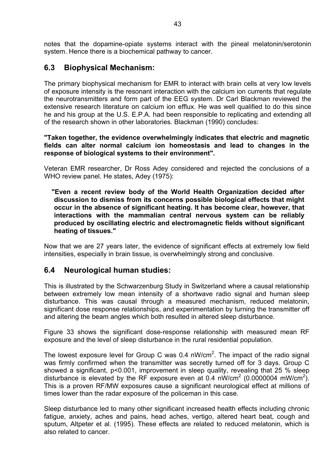notes that the dopamine-opiate systems interact with the pineal melatonin/serotonin system. Hence there is a biochemical pathway to cancer.

## **6.3 Biophysical Mechanism:**

The primary biophysical mechanism for EMR to interact with brain cells at very low levels of exposure intensity is the resonant interaction with the calcium ion currents that regulate the neurotransmitters and form part of the EEG system. Dr Carl Blackman reviewed the extensive research literature on calcium ion efflux. He was well qualified to do this since he and his group at the U.S. E.P.A. had been responsible to replicating and extending all of the research shown in other laboratories. Blackman (1990) concludes:

**"Taken together, the evidence overwhelmingly indicates that electric and magnetic fields can alter normal calcium ion homeostasis and lead to changes in the response of biological systems to their environment".** 

Veteran EMR researcher, Dr Ross Adey considered and rejected the conclusions of a WHO review panel. He states, Adey (1975):

**"Even a recent review body of the World Health Organization decided after discussion to dismiss from its concerns possible biological effects that might occur in the absence of significant heating. It has become clear, however, that interactions with the mammalian central nervous system can be reliably produced by oscillating electric and electromagnetic fields without significant heating of tissues."** 

Now that we are 27 years later, the evidence of significant effects at extremely low field intensities, especially in brain tissue, is overwhelmingly strong and conclusive.

### **6.4 Neurological human studies:**

This is illustrated by the Schwarzenburg Study in Switzerland where a causal relationship between extremely low mean intensity of a shortwave radio signal and human sleep disturbance. This was causal through a measured mechanism, reduced melatonin, significant dose response relationships, and experimentation by turning the transmitter off and altering the beam angles which both resulted in altered sleep disturbance.

Figure 33 shows the significant dose-response relationship with measured mean RF exposure and the level of sleep disturbance in the rural residential population.

The lowest exposure level for Group C was 0.4 nW/cm<sup>2</sup>. The impact of the radio signal was firmly confirmed when the transmitter was secretly turned off for 3 days. Group C showed a significant, p<0.001, improvement in sleep quality, revealing that 25 % sleep disturbance is elevated by the RF exposure even at 0.4 nW/cm<sup>2</sup> (0.0000004 mW/cm<sup>2</sup>). This is a proven RF/MW exposures cause a significant neurological effect at millions of times lower than the radar exposure of the policeman in this case.

Sleep disturbance led to many other significant increased health effects including chronic fatigue, anxiety, aches and pains, head aches, vertigo, altered heart beat, cough and sputum, Altpeter et al. (1995). These effects are related to reduced melatonin, which is also related to cancer.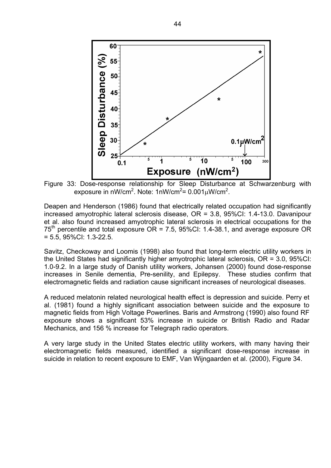

Figure 33: Dose-response relationship for Sleep Disturbance at Schwarzenburg with exposure in nW/cm<sup>2</sup>. Note: 1nW/cm<sup>2</sup>= 0.001 $\mu$ W/cm<sup>2</sup>.

Deapen and Henderson (1986) found that electrically related occupation had significantly increased amyotrophic lateral sclerosis disease, OR = 3.8, 95%CI: 1.4-13.0. Davanipour et al. also found increased amyotrophic lateral sclerosis in electrical occupations for the  $75<sup>th</sup>$  percentile and total exposure OR = 7.5, 95%CI: 1.4-38.1, and average exposure OR = 5.5, 95%CI: 1.3-22.5.

Savitz, Checkoway and Loomis (1998) also found that long-term electric utility workers in the United States had significantly higher amyotrophic lateral sclerosis, OR = 3.0, 95%CI: 1.0-9.2. In a large study of Danish utility workers, Johansen (2000) found dose-response increases in Senile dementia, Pre-senility, and Epilepsy. These studies confirm that electromagnetic fields and radiation cause significant increases of neurological diseases.

A reduced melatonin related neurological health effect is depression and suicide. Perry et al. (1981) found a highly significant association between suicide and the exposure to magnetic fields from High Voltage Powerlines. Baris and Armstrong (1990) also found RF exposure shows a significant 53% increase in suicide or British Radio and Radar Mechanics, and 156 % increase for Telegraph radio operators.

A very large study in the United States electric utility workers, with many having their electromagnetic fields measured, identified a significant dose-response increase in suicide in relation to recent exposure to EMF, Van Wijngaarden et al. (2000), Figure 34.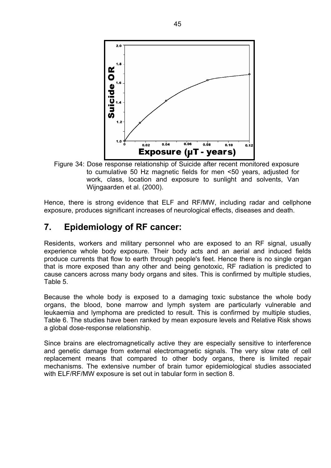

Figure 34: Dose response relationship of Suicide after recent monitored exposure to cumulative 50 Hz magnetic fields for men <50 years, adjusted for work, class, location and exposure to sunlight and solvents, Van Wijngaarden et al. (2000).

Hence, there is strong evidence that ELF and RF/MW, including radar and cellphone exposure, produces significant increases of neurological effects, diseases and death.

## **7. Epidemiology of RF cancer:**

Residents, workers and military personnel who are exposed to an RF signal, usually experience whole body exposure. Their body acts and an aerial and induced fields produce currents that flow to earth through people's feet. Hence there is no single organ that is more exposed than any other and being genotoxic, RF radiation is predicted to cause cancers across many body organs and sites. This is confirmed by multiple studies, Table 5.

Because the whole body is exposed to a damaging toxic substance the whole body organs, the blood, bone marrow and lymph system are particularly vulnerable and leukaemia and lymphoma are predicted to result. This is confirmed by multiple studies, Table 6. The studies have been ranked by mean exposure levels and Relative Risk shows a global dose-response relationship.

Since brains are electromagnetically active they are especially sensitive to interference and genetic damage from external electromagnetic signals. The very slow rate of cell replacement means that compared to other body organs, there is limited repair mechanisms. The extensive number of brain tumor epidemiological studies associated with ELF/RF/MW exposure is set out in tabular form in section 8.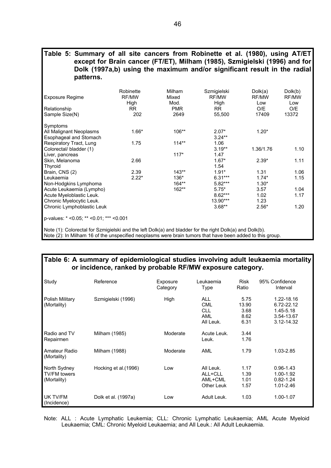#### **Table 5: Summary of all site cancers from Robinette et al. (1980), using AT/ET except for Brain cancer (FT/ET), Milham (1985), Szmigielski (1996) and for Dolk (1997a,b) using the maximum and/or significant result in the radial patterns.**

| <b>Exposure Regime</b>                    | Robinette<br>RF/MW<br>High | Milham<br>Mixed<br>Mod. | Szmigielski<br>RF/MW<br>High | Dolk(a)<br>RF/MW<br>Low | Dolk(b)<br>RF/MW<br>Low |  |  |  |
|-------------------------------------------|----------------------------|-------------------------|------------------------------|-------------------------|-------------------------|--|--|--|
| Relationship                              | <b>RR</b>                  | <b>PMR</b>              | <b>RR</b>                    | O/E                     | O/E                     |  |  |  |
| Sample Size(N)                            | 202                        | 2649                    | 55,500                       | 17409                   | 13372                   |  |  |  |
| Symptoms                                  |                            |                         |                              |                         |                         |  |  |  |
| All Malignant Neoplasms                   | $1.66*$                    | 106**                   | $2.07*$                      | $1.20*$                 |                         |  |  |  |
| Esophageal and Stomach                    |                            |                         | $3.24**$                     |                         |                         |  |  |  |
| Respiratory Tract, Lung                   | 1.75                       | $114**$                 | 1.06                         |                         |                         |  |  |  |
| Colorectal/ bladder (1)                   |                            |                         | $3.19**$                     | 1.36/1.76               | 1.10                    |  |  |  |
| Liver, pancreas                           |                            | $117*$                  | 1.47                         |                         |                         |  |  |  |
| Skin, Melanoma                            | 2.66                       |                         | $1.67*$                      | $2.39*$                 | 1.11                    |  |  |  |
| Thyroid                                   |                            |                         | 1.54                         |                         |                         |  |  |  |
| Brain, CNS (2)                            | 2.39                       | $143**$                 | $1.91*$                      | 1.31                    | 1.06                    |  |  |  |
| Leukaemia                                 | $2.22*$                    | 136*                    | $6.31***$                    | $1.74*$                 | 1.15                    |  |  |  |
| Non-Hodgkins Lymphoma                     |                            | $164**$                 | 5.82***                      | $1.30*$                 |                         |  |  |  |
| Acute Leukaemia (Lympho)                  |                            | $162**$                 | $5.75*$                      | 3.57                    | 1.04                    |  |  |  |
| Acute Myeloblastic Leuk.                  |                            |                         | $8.62***$                    | 1.02                    | 1.17                    |  |  |  |
| Chronic Myelocytic Leuk.                  |                            |                         | 13.90***                     | 1.23                    |                         |  |  |  |
| Chronic Lymphoblastic Leuk                |                            |                         | $3.68**$                     | $2.56*$                 | 1.20                    |  |  |  |
| p-values: $*$ <0.05; ** <0.01; *** <0.001 |                            |                         |                              |                         |                         |  |  |  |
|                                           |                            |                         |                              |                         |                         |  |  |  |

Note (1): Colorectal for Szmigielski and the left Dolk(a) and bladder for the right Dolk(a) and Dolk(b).

Note (2): In Milham 16 of the unspecified neoplasms were brain tumors that have been added to this group.

### **Table 6: A summary of epidemiological studies involving adult leukaemia mortality or incidence, ranked by probable RF/MW exposure category.**

| Study                                              | Reference            | Exposure<br>Category | Leukaemia<br>Type                                          | <b>Risk</b><br>Ratio                  | 95% Confidence<br>Interval                                            |
|----------------------------------------------------|----------------------|----------------------|------------------------------------------------------------|---------------------------------------|-----------------------------------------------------------------------|
| Polish Military<br>(Mortality)                     | Szmigielski (1996)   | High                 | <b>ALL</b><br><b>CML</b><br><b>CLL</b><br>AML<br>All Leuk. | 5.75<br>13.90<br>3.68<br>8.62<br>6.31 | 1.22-18.16<br>6.72-22.12<br>$1.45 - 5.18$<br>3.54-13.67<br>3.12-14.32 |
| Radio and TV<br>Repairmen                          | Milham (1985)        | Moderate             | Acute Leuk.<br>Leuk.                                       | 3.44<br>1.76                          |                                                                       |
| Amateur Radio<br>(Mortality)                       | Milham (1988)        | Moderate             | AML                                                        | 1.79                                  | 1.03-2.85                                                             |
| North Sydney<br><b>TV/FM towers</b><br>(Mortality) | Hocking et al.(1996) | Low                  | All Leuk.<br>ALL+CLL<br>AML+CML<br><b>Other Leuk</b>       | 1.17<br>1.39<br>1.01<br>1.57          | $0.96 - 1.43$<br>1.00-1.92<br>$0.82 - 1.24$<br>1.01-2.46              |
| UK TV/FM<br>(Incidence)                            | Dolk et al. (1997a)  | Low                  | Adult Leuk.                                                | 1.03                                  | 1.00-1.07                                                             |

Note: ALL : Acute Lymphatic Leukemia; CLL: Chronic Lymphatic Leukaemia; AML Acute Myeloid Leukaemia; CML: Chronic Myeloid Leukaemia; and All Leuk.: All Adult Leukaemia.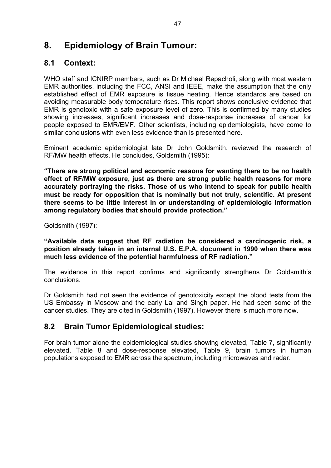# **8. Epidemiology of Brain Tumour:**

## **8.1 Context:**

WHO staff and ICNIRP members, such as Dr Michael Repacholi, along with most western EMR authorities, including the FCC, ANSI and IEEE, make the assumption that the only established effect of EMR exposure is tissue heating. Hence standards are based on avoiding measurable body temperature rises. This report shows conclusive evidence that EMR is genotoxic with a safe exposure level of zero. This is confirmed by many studies showing increases, significant increases and dose-response increases of cancer for people exposed to EMR/EMF. Other scientists, including epidemiologists, have come to similar conclusions with even less evidence than is presented here.

Eminent academic epidemiologist late Dr John Goldsmith, reviewed the research of RF/MW health effects. He concludes, Goldsmith (1995):

**"There are strong political and economic reasons for wanting there to be no health effect of RF/MW exposure, just as there are strong public health reasons for more accurately portraying the risks. Those of us who intend to speak for public health must be ready for opposition that is nominally but not truly, scientific. At present there seems to be little interest in or understanding of epidemiologic information among regulatory bodies that should provide protection."** 

Goldsmith (1997):

**"Available data suggest that RF radiation be considered a carcinogenic risk, a position already taken in an internal U.S. E.P.A. document in 1990 when there was much less evidence of the potential harmfulness of RF radiation."** 

The evidence in this report confirms and significantly strengthens Dr Goldsmith's conclusions.

Dr Goldsmith had not seen the evidence of genotoxicity except the blood tests from the US Embassy in Moscow and the early Lai and Singh paper. He had seen some of the cancer studies. They are cited in Goldsmith (1997). However there is much more now.

## **8.2 Brain Tumor Epidemiological studies:**

For brain tumor alone the epidemiological studies showing elevated, Table 7, significantly elevated, Table 8 and dose-response elevated, Table 9, brain tumors in human populations exposed to EMR across the spectrum, including microwaves and radar.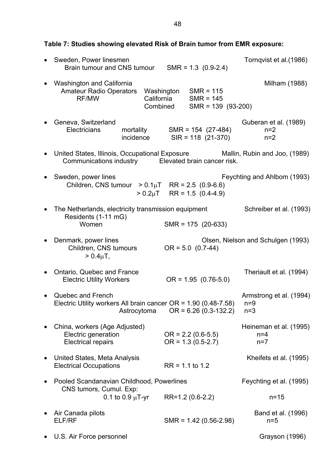**Table 7: Studies showing elevated Risk of Brain tumor from EMR exposure:** 

| Sweden, Power linesmen<br>Brain tumour and CNS tumour                                                                               |                        |            | $SMR = 1.3$ (0.9-2.4)  |                                              |                      | Tornqvist et al. (1986) |                                    |
|-------------------------------------------------------------------------------------------------------------------------------------|------------------------|------------|------------------------|----------------------------------------------|----------------------|-------------------------|------------------------------------|
| <b>Washington and California</b><br><b>Amateur Radio Operators</b><br>RF/MW                                                         |                        | California | Washington<br>Combined | $SMR = 115$<br>$SMR = 145$                   | $SMR = 139 (93-200)$ |                         | Milham (1988)                      |
| Geneva, Switzerland<br>Electricians                                                                                                 | mortality<br>incidence |            |                        | $SMR = 154 (27-484)$<br>$SIR = 118(21-370)$  |                      | $n=2$<br>$n=2$          | Guberan et al. (1989)              |
| United States, Illinois, Occupational Exposure Mallin, Rubin and Joo, (1989)<br>Communications industry Elevated brain cancer risk. |                        |            |                        |                                              |                      |                         |                                    |
| Sweden, power lines<br>Children, CNS tumour $> 0.1 \mu T$ RR = 2.5 (0.9-6.6)                                                        |                        |            |                        | $> 0.2 \mu T$ RR = 1.5 (0.4-4.9)             |                      |                         | Feychting and Ahlbom (1993)        |
| The Netherlands, electricity transmission equipment<br>Residents (1-11 mG)<br>Women                                                 |                        |            |                        | $SMR = 175 (20-633)$                         |                      |                         | Schreiber et al. (1993)            |
| Denmark, power lines<br>Children, CNS tumours<br>$> 0.4 \mu T$ ,                                                                    |                        |            |                        | $OR = 5.0 (0.7-44)$                          |                      |                         | Olsen, Nielson and Schulgen (1993) |
| Ontario, Quebec and France<br><b>Electric Utility Workers</b>                                                                       |                        |            |                        | $OR = 1.95 (0.76-5.0)$                       |                      |                         | Theriault et al. (1994)            |
| Quebec and French<br>Electric Utility workers All brain cancer OR = $1.90$ (0.48-7.58)                                              | Astrocytoma            |            |                        | $OR = 6.26 (0.3-132.2)$                      |                      | $n=9$<br>$n=3$          | Armstrong et al. (1994)            |
| China, workers (Age Adjusted)<br>Electric generation<br><b>Electrical repairs</b>                                                   |                        |            |                        | $OR = 2.2 (0.6-5.5)$<br>$OR = 1.3 (0.5-2.7)$ |                      | $n=4$<br>$n=7$          | Heineman et al. (1995)             |
| United States, Meta Analysis<br><b>Electrical Occupations</b>                                                                       |                        |            |                        | $RR = 1.1$ to 1.2                            |                      |                         | Kheifets et al. (1995)             |
| Pooled Scandanavian Childhood, Powerlines<br>CNS tumors, Cumul. Exp:                                                                |                        |            |                        |                                              |                      |                         | Feychting et al. (1995)            |
|                                                                                                                                     | 0.1 to 0.9 $\mu$ T-yr  |            |                        | RR=1.2 (0.6-2.2)                             |                      |                         | $n = 15$                           |
| Air Canada pilots<br>ELF/RF                                                                                                         |                        |            |                        | $SMR = 1.42 (0.56 - 2.98)$                   |                      | $n=5$                   | Band et al. (1996)                 |
| U.S. Air Force personnel                                                                                                            |                        |            |                        |                                              |                      |                         | Grayson (1996)                     |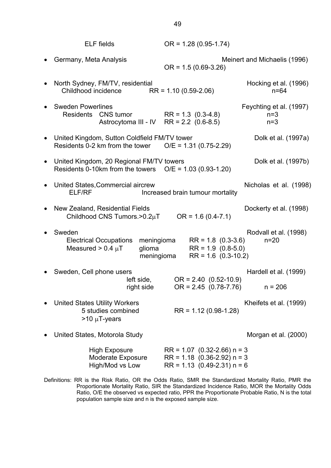|           | <b>ELF</b> fields                                                                                       | $OR = 1.28 (0.95 - 1.74)$                                                                       |                                           |
|-----------|---------------------------------------------------------------------------------------------------------|-------------------------------------------------------------------------------------------------|-------------------------------------------|
|           | Germany, Meta Analysis                                                                                  | $OR = 1.5(0.69-3.26)$                                                                           | Meinert and Michaelis (1996)              |
| $\bullet$ | North Sydney, FM/TV, residential<br>Childhood incidence                                                 | $RR = 1.10 (0.59 - 2.06)$                                                                       | Hocking et al. (1996)<br>$n = 64$         |
|           | <b>Sweden Powerlines</b><br>Residents CNS tumor<br>Astrocytoma III - IV                                 | $RR = 1.3$ (0.3-4.8)<br>$RR = 2.2$ (0.6-8.5)                                                    | Feychting et al. (1997)<br>$n=3$<br>$n=3$ |
| $\bullet$ | United Kingdom, Sutton Coldfield FM/TV tower<br>Residents 0-2 km from the tower                         | $O/E = 1.31 (0.75-2.29)$                                                                        | Dolk et al. (1997a)                       |
|           | • United Kingdom, 20 Regional FM/TV towers<br>Residents 0-10km from the towers                          | $O/E = 1.03 (0.93 - 1.20)$                                                                      | Dolk et al. (1997b)                       |
| $\bullet$ | United States, Commercial aircrew<br>ELF/RF                                                             | Increased brain tumour mortality                                                                | Nicholas et al. (1998)                    |
| $\bullet$ | New Zealand, Residential Fields<br>Childhood CNS Tumors.>0.2µT                                          | $OR = 1.6 (0.4 - 7.1)$                                                                          | Dockerty et al. (1998)                    |
| $\bullet$ | Sweden<br>meningioma<br><b>Electrical Occupations</b><br>Measured $> 0.4 \mu T$<br>glioma<br>meningioma | $RR = 1.8$ (0.3-3.6)<br>$RR = 1.9 (0.8-5.0)$<br>$RR = 1.6 (0.3-10.2)$                           | Rodvall et al. (1998)<br>$n = 20$         |
|           | Sweden, Cell phone users<br>left side,<br>right side                                                    | $OR = 2.40 (0.52-10.9)$<br>$OR = 2.45 (0.78 - 7.76)$                                            | Hardell et al. (1999)<br>$n = 206$        |
|           | <b>United States Utility Workers</b><br>5 studies combined<br>$>10 \mu T$ -years                        | $RR = 1.12(0.98 - 1.28)$                                                                        | Kheifets et al. (1999)                    |
|           | United States, Motorola Study                                                                           |                                                                                                 | Morgan et al. (2000)                      |
|           | <b>High Exposure</b><br><b>Moderate Exposure</b><br>High/Mod vs Low                                     | $RR = 1.07$ (0.32-2.66) n = 3<br>$RR = 1.18$ (0.36-2.92) n = 3<br>$RR = 1.13$ (0.49-2.31) n = 6 |                                           |

Definitions: RR is the Risk Ratio, OR the Odds Ratio, SMR the Standardized Mortality Ratio, PMR the Proportionate Mortality Ratio, SIR the Standardized Incidence Ratio, MOR the Mortality Odds Ratio, O/E the observed vs expected ratio, PPR the Proportionate Probable Ratio, N is the total population sample size and n is the exposed sample size.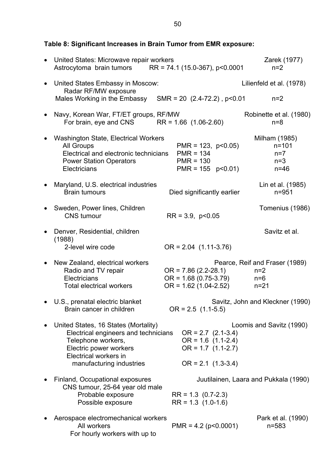**Table 8: Significant Increases in Brain Tumor from EMR exposure:** 

| $\bullet$ | United States: Microwave repair workers<br>Astrocytoma brain tumors RR = $74.1$ (15.0-367), p<0.0001                                                                              |                                                                                              | Zarek (1977)<br>$n=2$                                        |
|-----------|-----------------------------------------------------------------------------------------------------------------------------------------------------------------------------------|----------------------------------------------------------------------------------------------|--------------------------------------------------------------|
| $\bullet$ | United States Embassy in Moscow:<br>Radar RF/MW exposure                                                                                                                          |                                                                                              | Lilienfeld et al. (1978)                                     |
|           | Males Working in the Embassy                                                                                                                                                      | SMR = 20 $(2.4-72.2)$ , p<0.01                                                               | $n=2$                                                        |
|           | Navy, Korean War, FT/ET groups, RF/MW<br>For brain, eye and CNS                                                                                                                   | $RR = 1.66$ (1.06-2.60)                                                                      | Robinette et al. (1980)<br>$n=8$                             |
|           | <b>Washington State, Electrical Workers</b><br><b>All Groups</b><br>Electrical and electronic technicians<br><b>Power Station Operators</b><br>Electricians                       | $PMR = 123$ , $p < 0.05$ )<br>$PMR = 134$<br>$PMR = 130$<br>$PMR = 155 p < 0.01$             | Milham (1985)<br>$n = 101$<br>$n=7$<br>$n=3$<br>$n=46$       |
|           | Maryland, U.S. electrical industries<br><b>Brain tumours</b>                                                                                                                      | Died significantly earlier                                                                   | Lin et al. (1985)<br>$n = 951$                               |
|           | Sweden, Power lines, Children<br><b>CNS</b> tumour                                                                                                                                | $RR = 3.9, p<0.05$                                                                           | Tomenius (1986)                                              |
|           | Denver, Residential, children                                                                                                                                                     |                                                                                              | Savitz et al.                                                |
|           | (1988)<br>2-level wire code                                                                                                                                                       | $OR = 2.04$ (1.11-3.76)                                                                      |                                                              |
|           | New Zealand, electrical workers<br>Radio and TV repair<br>Electricians<br><b>Total electrical workers</b>                                                                         | $OR = 7.86 (2.2 - 28.1)$<br>$OR = 1.68(0.75-3.79)$<br>$OR = 1.62 (1.04 - 2.52)$              | Pearce, Reif and Fraser (1989)<br>$n=2$<br>$n=6$<br>$n = 21$ |
|           | U.S., prenatal electric blanket<br>Brain cancer in children                                                                                                                       | $OR = 2.5 (1.1-5.5)$                                                                         | Savitz, John and Kleckner (1990)                             |
|           | United States, 16 States (Mortality)<br>Electrical engineers and technicians<br>Telephone workers,<br>Electric power workers<br>Electrical workers in<br>manufacturing industries | $OR = 2.7$ (2.1-3.4)<br>$OR = 1.6 (1.1-2.4)$<br>$OR = 1.7 (1.1-2.7)$<br>$OR = 2.1$ (1.3-3.4) | Loomis and Savitz (1990)                                     |
|           | Finland, Occupational exposures                                                                                                                                                   |                                                                                              | Juutilainen, Laara and Pukkala (1990)                        |
|           | CNS tumour, 25-64 year old male<br>Probable exposure<br>Possible exposure                                                                                                         | $RR = 1.3$ (0.7-2.3)<br>$RR = 1.3$ (1.0-1.6)                                                 |                                                              |
|           | Aerospace electromechanical workers<br>All workers<br>For hourly workers with up to                                                                                               | $PMR = 4.2 (p<0.0001)$                                                                       | Park et al. (1990)<br>$n = 583$                              |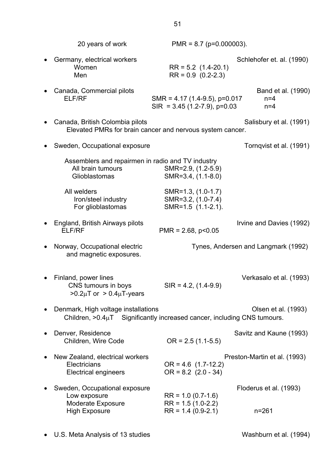| 20 years of work                                                                                                    | $PMR = 8.7$ (p=0.000003).                                             |                                      |
|---------------------------------------------------------------------------------------------------------------------|-----------------------------------------------------------------------|--------------------------------------|
| Germany, electrical workers<br>Women<br>Men                                                                         | $RR = 5.2$ (1.4-20.1)<br>$RR = 0.9 (0.2-2.3)$                         | Schlehofer et. al. (1990)            |
| Canada, Commercial pilots<br><b>ELF/RF</b>                                                                          | SMR = $4.17$ (1.4-9.5), p=0.017<br>$SIR = 3.45 (1.2 - 7.9), p=0.03$   | Band et al. (1990)<br>$n=4$<br>$n=4$ |
| Canada, British Colombia pilots<br>Elevated PMRs for brain cancer and nervous system cancer.                        |                                                                       | Salisbury et al. (1991)              |
| Sweden, Occupational exposure                                                                                       |                                                                       | Tornqvist et al. (1991)              |
| Assemblers and repairmen in radio and TV industry<br>All brain tumours<br>Glioblastomas                             | SMR=2.9, (1.2-5.9)<br>SMR=3.4, (1.1-8.0)                              |                                      |
| All welders<br>Iron/steel industry<br>For glioblastomas                                                             | SMR=1.3, (1.0-1.7)<br>SMR=3.2, (1.0-7.4)<br>SMR=1.5 (1.1-2.1).        |                                      |
| England, British Airways pilots<br>ELF/RF                                                                           | $PMR = 2.68$ , $p < 0.05$                                             | Irvine and Davies (1992)             |
| Norway, Occupational electric<br>and magnetic exposures.                                                            |                                                                       | Tynes, Andersen and Langmark (1992)  |
| Finland, power lines<br>CNS tumours in boys<br>$>0.2\mu$ T or $>0.4\mu$ T-years                                     | $SIR = 4.2, (1.4-9.9)$                                                | Verkasalo et al. (1993)              |
| Denmark, High voltage installations<br>Children, $>0.4\mu$ T Significantly increased cancer, including CNS tumours. |                                                                       | Olsen et al. (1993)                  |
| Denver, Residence<br>Children, Wire Code                                                                            | $OR = 2.5 (1.1-5.5)$                                                  | Savitz and Kaune (1993)              |
| New Zealand, electrical workers<br>Electricians<br><b>Electrical engineers</b>                                      | $OR = 4.6$ (1.7-12.2)<br>$OR = 8.2$ (2.0 - 34)                        | Preston-Martin et al. (1993)         |
| Sweden, Occupational exposure<br>Low exposure<br>Moderate Exposure<br><b>High Exposure</b>                          | $RR = 1.0 (0.7 - 1.6)$<br>$RR = 1.5(1.0-2.2)$<br>$RR = 1.4 (0.9-2.1)$ | Floderus et al. (1993)<br>$n = 261$  |
|                                                                                                                     |                                                                       |                                      |

51

• U.S. Meta Analysis of 13 studies Washburn et al. (1994)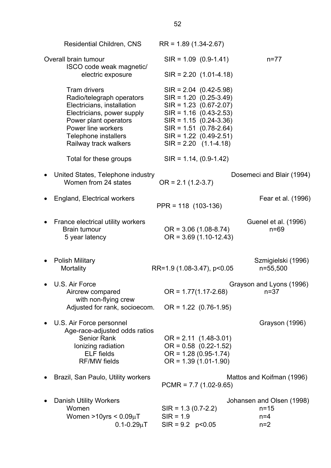| <b>Residential Children, CNS</b>                                                                                                                                                                                                                            | $RR = 1.89(1.34 - 2.67)$                                                                                                                                                                                                                                                                    |                                                         |
|-------------------------------------------------------------------------------------------------------------------------------------------------------------------------------------------------------------------------------------------------------------|---------------------------------------------------------------------------------------------------------------------------------------------------------------------------------------------------------------------------------------------------------------------------------------------|---------------------------------------------------------|
| Overall brain tumour<br>ISCO code weak magnetic/                                                                                                                                                                                                            | $SIR = 1.09 (0.9-1.41)$                                                                                                                                                                                                                                                                     | $n = 77$                                                |
| electric exposure<br><b>Tram drivers</b><br>Radio/telegraph operators<br>Electricians, installation<br>Electricians, power supply<br>Power plant operators<br>Power line workers<br>Telephone installers<br>Railway track walkers<br>Total for these groups | $SIR = 2.20$ (1.01-4.18)<br>$SIR = 2.04$ (0.42-5.98)<br>$SIR = 1.20 (0.25-3.49)$<br>$SIR = 1.23 (0.67 - 2.07)$<br>$SIR = 1.16 (0.43 - 2.53)$<br>$SIR = 1.15 (0.24 - 3.36)$<br>$SIR = 1.51 (0.78-2.64)$<br>$SIR = 1.22 (0.49 - 2.51)$<br>$SIR = 2.20$ (1.1-4.18)<br>$SIR = 1.14, (0.9-1.42)$ |                                                         |
| United States, Telephone industry<br>Women from 24 states                                                                                                                                                                                                   | $OR = 2.1 (1.2-3.7)$                                                                                                                                                                                                                                                                        | Dosemeci and Blair (1994)                               |
| England, Electrical workers                                                                                                                                                                                                                                 | PPR = 118 (103-136)                                                                                                                                                                                                                                                                         | Fear et al. (1996)                                      |
| France electrical utility workers<br><b>Brain tumour</b><br>5 year latency                                                                                                                                                                                  | $OR = 3.06(1.08-8.74)$<br>$OR = 3.69(1.10-12.43)$                                                                                                                                                                                                                                           | Guenel et al. (1996)<br>$n=69$                          |
| <b>Polish Military</b><br><b>Mortality</b>                                                                                                                                                                                                                  | RR=1.9 (1.08-3.47), p<0.05                                                                                                                                                                                                                                                                  | Szmigielski (1996)<br>n=55,500                          |
| U.S. Air Force<br>Aircrew compared<br>with non-flying crew<br>Adjusted for rank, socioecom.                                                                                                                                                                 | $OR = 1.77(1.17-2.68)$<br>$OR = 1.22 (0.76-1.95)$                                                                                                                                                                                                                                           | Grayson and Lyons (1996)<br>$n = 37$                    |
| U.S. Air Force personnel<br>Age-race-adjusted odds ratios<br><b>Senior Rank</b><br>Ionizing radiation<br><b>ELF</b> fields<br><b>RF/MW fields</b>                                                                                                           | $OR = 2.11 (1.48-3.01)$<br>$OR = 0.58$ (0.22-1.52)<br>$OR = 1.28(0.95-1.74)$<br>$OR = 1.39(1.01-1.90)$                                                                                                                                                                                      | Grayson (1996)                                          |
| Brazil, San Paulo, Utility workers                                                                                                                                                                                                                          | $PCMR = 7.7 (1.02-9.65)$                                                                                                                                                                                                                                                                    | Mattos and Koifman (1996)                               |
| <b>Danish Utility Workers</b><br>Women<br>Women >10yrs < $0.09\mu$ T<br>$0.1 - 0.29 \mu T$                                                                                                                                                                  | $SIR = 1.3 (0.7 - 2.2)$<br>$SIR = 1.9$<br>$SIR = 9.2 p < 0.05$                                                                                                                                                                                                                              | Johansen and Olsen (1998)<br>$n = 15$<br>$n=4$<br>$n=2$ |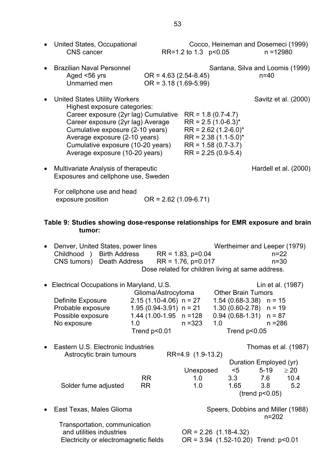|           |                                                                                                                                | ິ                                                   |                      |                                                    |  |
|-----------|--------------------------------------------------------------------------------------------------------------------------------|-----------------------------------------------------|----------------------|----------------------------------------------------|--|
|           | • United States, Occupational<br><b>CNS</b> cancer                                                                             |                                                     | RR=1.2 to 1.3 p<0.05 | Cocco, Heineman and Dosemeci (1999)<br>$n = 12980$ |  |
| $\bullet$ | <b>Brazilian Naval Personnel</b><br>Aged <56 yrs<br>Unmarried men                                                              | $OR = 4.63 (2.54 - 8.45)$<br>$OR = 3.18(1.69-5.99)$ |                      | Santana, Silva and Loomis (1999)<br>$n = 40$       |  |
|           | • United States Utility Workers<br>Highest exposure categories:<br>Career exposure (2yr lag) Cumulative $RR = 1.8 (0.7 - 4.7)$ |                                                     |                      | Savitz et al. (2000)                               |  |

- Career exposure (2yr lag) Average RR =  $2.5$  (1.0-6.3)\* Cumulative exposure (2-10 years) RR =  $2.62$  (1.2-6.0)\* Average exposure (2-10 years) RR =  $2.38$  (1.1-5.0)\* Cumulative exposure  $(10-20 \text{ years})$  RR = 1.58  $(0.7-3.7)$ Average exposure (10-20 years) RR = 2.25 (0.9-5.4)
- Multivariate Analysis of therapeutic example of the Hardell et al. (2000) Exposures and cellphone use, Sweden

For cellphone use and head exposure position OR = 2.62 (1.09-6.71)

### **Table 9: Studies showing dose-response relationships for EMR exposure and brain tumor:**

| Denver, United States, power lines<br>Childhood )<br>CNS tumors) | <b>Birth Address</b><br>Death Address | Dose related for children living at same address. | $RR = 1.83$ , $p=0.04$<br>$RR = 1.76$ , $p=0.017$ |     |                                            |                     | Wertheimer and Leeper (1979)<br>$n = 22$<br>$n=30$ |
|------------------------------------------------------------------|---------------------------------------|---------------------------------------------------|---------------------------------------------------|-----|--------------------------------------------|---------------------|----------------------------------------------------|
| Electrical Occupations in Maryland, U.S.                         |                                       | Glioma/Astrocytoma                                |                                                   |     | <b>Other Brain Tumors</b>                  |                     | Lin et al. (1987)                                  |
| Definite Exposure                                                |                                       | $2.15(1.10-4.06)$ n = 27                          |                                                   |     | $1.54(0.68-3.38)$ n = 15                   |                     |                                                    |
| Probable exposure                                                |                                       | $1.95(0.94-3.91)$ n = 21                          |                                                   |     | $1.30(0.60-2.78)$ n = 19                   |                     |                                                    |
| Possible exposure                                                |                                       | $1.44(1.00-1.95 n = 128$                          |                                                   |     | $0.94$ (0.68-1.31) $n = 87$                |                     |                                                    |
| No exposure                                                      | 1.0                                   |                                                   | $n = 323$                                         | 1.0 |                                            |                     | $n = 286$                                          |
|                                                                  |                                       | Trend p<0.01                                      |                                                   |     | Trend p<0.05                               |                     |                                                    |
| Eastern U.S. Electronic Industries                               |                                       |                                                   |                                                   |     |                                            |                     | Thomas et al. (1987)                               |
| Astrocytic brain tumours                                         |                                       |                                                   | RR=4.9 (1.9-13.2)                                 |     |                                            |                     |                                                    |
|                                                                  |                                       |                                                   |                                                   |     | Duration Employed (yr)                     |                     |                                                    |
|                                                                  |                                       |                                                   | Unexposed                                         |     | $<$ 5                                      | $5-19$              | $\geq 20$                                          |
|                                                                  | <b>RR</b>                             |                                                   | 1.0                                               |     | 3.3 7.6                                    |                     | 10.4                                               |
| Solder fume adjusted                                             | <b>RR</b>                             |                                                   | 1.0                                               |     | 1.65                                       | 3.8                 | 5.2                                                |
|                                                                  |                                       |                                                   |                                                   |     |                                            | $($ trend $p<0.05)$ |                                                    |
| East Texas, Males Glioma                                         |                                       |                                                   |                                                   |     |                                            |                     | Speers, Dobbins and Miller (1988)                  |
|                                                                  |                                       |                                                   |                                                   |     |                                            | $n = 202$           |                                                    |
| Transportation, communication                                    |                                       |                                                   |                                                   |     |                                            |                     |                                                    |
| and utilities industries                                         |                                       |                                                   | $OR = 2.26$ (1.18-4.32)                           |     |                                            |                     |                                                    |
| Electricity or electromagnetic fields                            |                                       |                                                   |                                                   |     | OR = $3.94$ (1.52-10.20) Trend: $p < 0.01$ |                     |                                                    |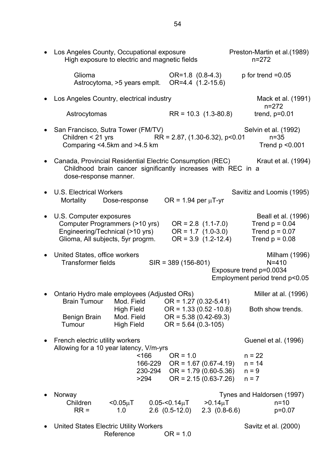| Los Angeles County, Occupational exposure<br>High exposure to electric and magnetic fields                                                         |                                                                                               | Preston-Martin et al. (1989)<br>$n = 272$                                               |
|----------------------------------------------------------------------------------------------------------------------------------------------------|-----------------------------------------------------------------------------------------------|-----------------------------------------------------------------------------------------|
| Glioma<br>Astrocytoma, >5 years emplt.                                                                                                             | OR=1.8 (0.8-4.3)<br>OR=4.4 (1.2-15.6)                                                         | $p$ for trend = 0.05                                                                    |
| Los Angeles Country, electrical industry                                                                                                           |                                                                                               | Mack et al. (1991)                                                                      |
| Astrocytomas                                                                                                                                       | $RR = 10.3$ (1.3-80.8)                                                                        | $n = 272$<br>trend, $p=0.01$                                                            |
| • San Francisco, Sutra Tower (FM/TV)<br>Children < 21 yrs<br>Comparing <4.5km and >4.5 km                                                          | $RR = 2.87, (1.30-6.32), p<0.01$                                                              | Selvin et al. (1992)<br>$n=35$<br>Trend $p < 0.001$                                     |
| Canada, Provincial Residential Electric Consumption (REC)<br>Childhood brain cancer significantly increases with REC in a<br>dose-response manner. |                                                                                               | Kraut et al. (1994)                                                                     |
| <b>U.S. Electrical Workers</b><br>Mortality Dose-response                                                                                          | OR = $1.94$ per $\mu$ T-yr                                                                    | Savitiz and Loomis (1995)                                                               |
| U.S. Computer exposures<br>Computer Programmers (>10 yrs)<br>Engineering/Technical (>10 yrs)<br>Glioma, All subjects, 5yr progrm.                  | $OR = 2.8$ (1.1-7.0)<br>$OR = 1.7 (1.0-3.0)$<br>$OR = 3.9$ (1.2-12.4)                         | Beall et al. (1996)<br>Trend $p = 0.04$<br>Trend $p = 0.07$<br>Trend $p = 0.08$         |
| United States, office workers<br><b>Transformer fields</b>                                                                                         | $SIR = 389(156-801)$                                                                          | Milham (1996)<br>$N = 410$<br>Exposure trend p=0.0034<br>Employment period trend p<0.05 |
| Ontario Hydro male employees (Adjusted ORs)<br><b>Brain Tumour</b><br>Mod. Field                                                                   | $OR = 1.27 (0.32 - 5.41)$                                                                     | Miller at al. (1996)                                                                    |
| High Field<br>Mod. Field<br><b>Benign Brain</b><br>Tumour<br>High Field                                                                            | $OR = 1.33 (0.52 - 10.8)$<br>$OR = 5.38(0.42-69.3)$<br>$OR = 5.64 (0.3-105)$                  | Both show trends.                                                                       |
| French electric utility workers<br>Allowing for a 10 year latency, V/m-yrs                                                                         |                                                                                               | Guenel et al. (1996)                                                                    |
| ~166<br>166-229<br>230-294<br>>294                                                                                                                 | $OR = 1.0$<br>$OR = 1.67 (0.67 - 4.19)$<br>$OR = 1.79(0.60-5.36)$<br>$OR = 2.15(0.63 - 7.26)$ | $n = 22$<br>$n = 14$<br>$n = 9$<br>$n = 7$                                              |
| Norway                                                                                                                                             |                                                                                               | Tynes and Haldorsen (1997)                                                              |
| Children<br>$<$ 0.05 $\mu$ T<br>$RR =$<br>1.0                                                                                                      | $0.05 - 0.14 \mu T$<br>$>0.14 \mu T$<br>$2.6$ $(0.5-12.0)$<br>$2.3(0.8-6.6)$                  | $n = 10$<br>$p=0.07$                                                                    |
| <b>United States Electric Utility Workers</b><br>Reference                                                                                         | $OR = 1.0$                                                                                    | Savitz et al. (2000)                                                                    |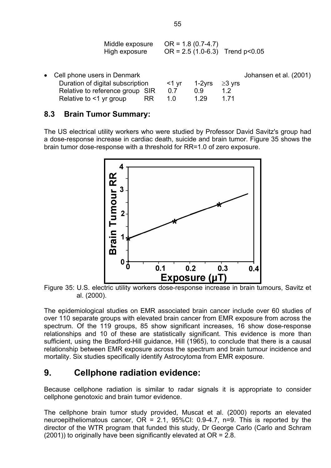| Middle exposure<br>High exposure | $OR = 1.8 (0.7 - 4.7)$<br>$OR = 2.5 (1.0-6.3)$ Trend $p < 0.05$ |  |
|----------------------------------|-----------------------------------------------------------------|--|
|                                  |                                                                 |  |

| • Cell phone users in Denmark        |         |                    |      | Johansen et al. (2001) |
|--------------------------------------|---------|--------------------|------|------------------------|
| Duration of digital subscription     | — <1 vr | 1-2 $yrs$ ≥3 $yrs$ |      |                        |
| Relative to reference group SIR      | 0.7     | 0.9                |      |                        |
| Relative to $\leq$ 1 yr group<br>RR. | 1 ()    | 1.29               | 1 71 |                        |

### **8.3 Brain Tumor Summary:**

The US electrical utility workers who were studied by Professor David Savitz's group had a dose-response increase in cardiac death, suicide and brain tumor. Figure 35 shows the brain tumor dose-response with a threshold for RR=1.0 of zero exposure.



Figure 35: U.S. electric utility workers dose-response increase in brain tumours, Savitz et al. (2000).

The epidemiological studies on EMR associated brain cancer include over 60 studies of over 110 separate groups with elevated brain cancer from EMR exposure from across the spectrum. Of the 119 groups, 85 show significant increases, 16 show dose-response relationships and 10 of these are statistically significant. This evidence is more than sufficient, using the Bradford-Hill guidance, Hill (1965), to conclude that there is a causal relationship between EMR exposure across the spectrum and brain tumour incidence and mortality. Six studies specifically identify Astrocytoma from EMR exposure.

## **9. Cellphone radiation evidence:**

Because cellphone radiation is similar to radar signals it is appropriate to consider cellphone genotoxic and brain tumor evidence.

The cellphone brain tumor study provided, Muscat et al. (2000) reports an elevated neuroepitheliomatous cancer,  $OR = 2.1$ ,  $95\%CI: 0.9-4.7$ , n=9. This is reported by the director of the WTR program that funded this study, Dr George Carlo (Carlo and Schram (2001)) to originally have been significantly elevated at OR = 2.8.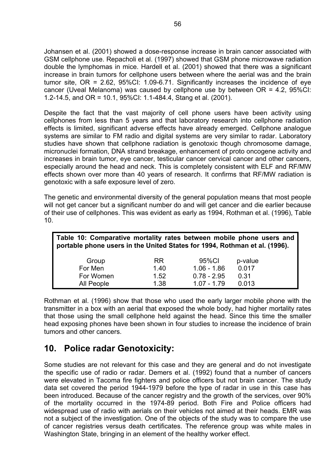Johansen et al. (2001) showed a dose-response increase in brain cancer associated with GSM cellphone use. Repacholi et al. (1997) showed that GSM phone microwave radiation double the lymphomas in mice. Hardell et al. (2001) showed that there was a significant increase in brain tumors for cellphone users between where the aerial was and the brain tumor site, OR = 2.62, 95%CI: 1.09-6.71. Significantly increases the incidence of eye cancer (Uveal Melanoma) was caused by cellphone use by between OR = 4.2, 95%CI: 1.2-14.5, and OR = 10.1, 95%CI: 1.1-484.4, Stang et al. (2001).

Despite the fact that the vast majority of cell phone users have been activity using cellphones from less than 5 years and that laboratory research into cellphone radiation effects is limited, significant adverse effects have already emerged. Cellphone analogue systems are similar to FM radio and digital systems are very similar to radar. Laboratory studies have shown that cellphone radiation is genotoxic though chromosome damage, micronuclei formation, DNA strand breakage, enhancement of proto oncogene activity and increases in brain tumor, eye cancer, testicular cancer cervical cancer and other cancers, especially around the head and neck. This is completely consistent with ELF and RF/MW effects shown over more than 40 years of research. It confirms that RF/MW radiation is genotoxic with a safe exposure level of zero.

The genetic and environmental diversity of the general population means that most people will not get cancer but a significant number do and will get cancer and die earlier because of their use of cellphones. This was evident as early as 1994, Rothman et al. (1996), Table 10.

| Table 10: Comparative mortality rates between mobile phone users and<br>portable phone users in the United States for 1994, Rothman et al. (1996). |           |               |         |  |  |  |  |
|----------------------------------------------------------------------------------------------------------------------------------------------------|-----------|---------------|---------|--|--|--|--|
| Group                                                                                                                                              | <b>RR</b> | 95%CI         | p-value |  |  |  |  |
| For Men                                                                                                                                            | 1.40      | $1.06 - 1.86$ | 0.017   |  |  |  |  |
| For Women                                                                                                                                          | 1.52      | $0.78 - 2.95$ | 0.31    |  |  |  |  |
| All People                                                                                                                                         | 1.38      | $1.07 - 1.79$ | 0.013   |  |  |  |  |

Rothman et al. (1996) show that those who used the early larger mobile phone with the transmitter in a box with an aerial that exposed the whole body, had higher mortality rates that those using the small cellphone held against the head. Since this time the smaller head exposing phones have been shown in four studies to increase the incidence of brain tumors and other cancers.

# **10. Police radar Genotoxicity:**

Some studies are not relevant for this case and they are general and do not investigate the specific use of radio or radar. Demers et al. (1992) found that a number of cancers were elevated in Tacoma fire fighters and police officers but not brain cancer. The study data set covered the period 1944-1979 before the type of radar in use in this case has been introduced. Because of the cancer registry and the growth of the services, over 90% of the mortality occurred in the 1974-89 period. Both Fire and Police officers had widespread use of radio with aerials on their vehicles not aimed at their heads. EMR was not a subject of the investigation. One of the objects of the study was to compare the use of cancer registries versus death certificates. The reference group was white males in Washington State, bringing in an element of the healthy worker effect.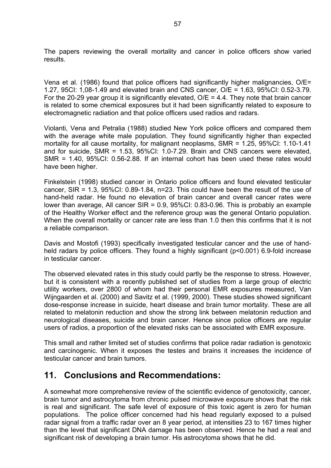The papers reviewing the overall mortality and cancer in police officers show varied results.

Vena et al. (1986) found that police officers had significantly higher malignancies, O/E= 1.27, 95CI: 1,08-1.49 and elevated brain and CNS cancer, O/E = 1.63, 95%CI: 0.52-3.79. For the 20-29 year group it is significantly elevated,  $O/E = 4.4$ . They note that brain cancer is related to some chemical exposures but it had been significantly related to exposure to electromagnetic radiation and that police officers used radios and radars.

Violanti, Vena and Petralia (1988) studied New York police officers and compared them with the average white male population. They found significantly higher than expected mortality for all cause mortality, for malignant neoplasms, SMR = 1.25, 95%CI: 1.10-1.41 and for suicide, SMR = 1.53, 95%CI: 1.0-7.29. Brain and CNS cancers were elevated, SMR = 1.40, 95%CI: 0.56-2.88. If an internal cohort has been used these rates would have been higher.

Finkelstein (1998) studied cancer in Ontario police officers and found elevated testicular cancer, SIR = 1.3, 95%CI: 0.89-1.84, n=23. This could have been the result of the use of hand-held radar. He found no elevation of brain cancer and overall cancer rates were lower than average. All cancer  $SIR = 0.9$ , 95%CI: 0.83-0.96. This is probably an example of the Healthy Worker effect and the reference group was the general Ontario population. When the overall mortality or cancer rate are less than 1.0 then this confirms that it is not a reliable comparison.

Davis and Mostofi (1993) specifically investigated testicular cancer and the use of handheld radars by police officers. They found a highly significant (p<0.001) 6.9-fold increase in testicular cancer.

The observed elevated rates in this study could partly be the response to stress. However, but it is consistent with a recently published set of studies from a large group of electric utility workers, over 2800 of whom had their personal EMR exposures measured, Van Wijngaarden et al. (2000) and Savitz et al. (1999, 2000). These studies showed significant dose-response increase in suicide, heart disease and brain tumor mortality. These are all related to melatonin reduction and show the strong link between melatonin reduction and neurological diseases, suicide and brain cancer. Hence since police officers are regular users of radios, a proportion of the elevated risks can be associated with EMR exposure.

This small and rather limited set of studies confirms that police radar radiation is genotoxic and carcinogenic. When it exposes the testes and brains it increases the incidence of testicular cancer and brain tumors.

## **11. Conclusions and Recommendations:**

A somewhat more comprehensive review of the scientific evidence of genotoxicity, cancer, brain tumor and astrocytoma from chronic pulsed microwave exposure shows that the risk is real and significant. The safe level of exposure of this toxic agent is zero for human populations. The police officer concerned had his head regularly exposed to a pulsed radar signal from a traffic radar over an 8 year period, at intensities 23 to 167 times higher than the level that significant DNA damage has been observed. Hence he had a real and significant risk of developing a brain tumor. His astrocytoma shows that he did.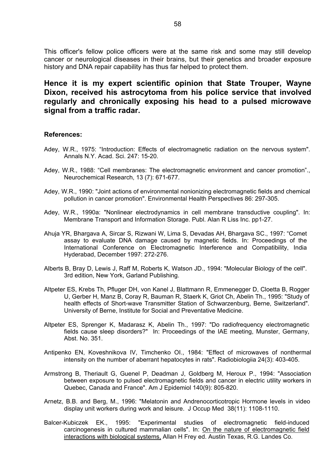This officer's fellow police officers were at the same risk and some may still develop cancer or neurological diseases in their brains, but their genetics and broader exposure history and DNA repair capability has thus far helped to protect them.

## **Hence it is my expert scientific opinion that State Trouper, Wayne Dixon, received his astrocytoma from his police service that involved regularly and chronically exposing his head to a pulsed microwave signal from a traffic radar.**

#### **References:**

- Adey, W.R., 1975: "Introduction: Effects of electromagnetic radiation on the nervous system". Annals N.Y. Acad. Sci. 247: 15-20.
- Adey, W.R., 1988: "Cell membranes: The electromagnetic environment and cancer promotion"., Neurochemical Research, 13 (7): 671-677.
- Adey, W.R., 1990: "Joint actions of environmental nonionizing electromagnetic fields and chemical pollution in cancer promotion". Environmental Health Perspectives 86: 297-305.
- Adey, W.R., 1990a: "Nonlinear electrodynamics in cell membrane transductive coupling". In: Membrane Transport and Information Storage. Publ. Alan R Liss Inc. pp1-27.
- Ahuja YR, Bhargava A, Sircar S, Rizwani W, Lima S, Devadas AH, Bhargava SC., 1997: "Comet assay to evaluate DNA damage caused by magnetic fields. In: Proceedings of the International Conference on Electromagnetic Interference and Compatibility, India Hyderabad, December 1997: 272-276.
- Alberts B, Bray D, Lewis J, Raff M, Roberts K, Watson JD., 1994: "Molecular Biology of the cell". 3rd edition, New York, Garland Publishing.
- Altpeter ES, Krebs Th, Pfluger DH, von Kanel J, Blattmann R, Emmenegger D, Cloetta B, Rogger U, Gerber H, Manz B, Coray R, Bauman R, Staerk K, Griot Ch, Abelin Th., 1995: "Study of health effects of Short-wave Transmitter Station of Schwarzenburg, Berne, Switzerland". University of Berne, Institute for Social and Preventative Medicine.
- Altpeter ES, Sprenger K, Madarasz K, Abelin Th., 1997: "Do radiofrequency electromagnetic fields cause sleep disorders?" In: Proceedings of the IAE meeting, Munster, Germany, Abst. No. 351.
- Antipenko EN, Koveshnikova IV, Timchenko OI., 1984: "Effect of microwaves of nonthermal intensity on the number of aberrant hepatocytes in rats". Radiobiologiia 24(3): 403-405.
- Armstrong B, Theriault G, Guenel P, Deadman J, Goldberg M, Heroux P., 1994: "Association between exposure to pulsed electromagnetic fields and cancer in electric utility workers in Quebec, Canada and France". Am J Epidemiol 140(9): 805-820.
- Arnetz, B.B. and Berg, M., 1996: "Melatonin and Andrenocorticotropic Hormone levels in video display unit workers during work and leisure. J Occup Med 38(11): 1108-1110.
- Balcer-Kubiczek EK., 1995: "Experimental studies of electromagnetic field-induced carcinogenesis in cultured mammalian cells". In: On the nature of electromagnetic field interactions with biological systems, Allan H Frey ed. Austin Texas, R.G. Landes Co.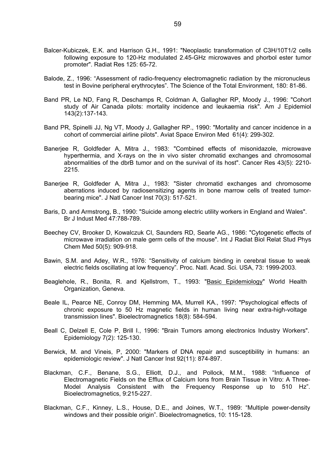- Balcer-Kubiczek, E.K. and Harrison G.H., 1991: "Neoplastic transformation of C3H/10T1/2 cells following exposure to 120-Hz modulated 2.45-GHz microwaves and phorbol ester tumor promoter". Radiat Res 125: 65-72.
- Balode, Z., 1996: "Assessment of radio-frequency electromagnetic radiation by the micronucleus test in Bovine peripheral erythrocytes". The Science of the Total Environment, 180: 81-86.
- Band PR, Le ND, Fang R, Deschamps R, Coldman A, Gallagher RP, Moody J., 1996: "Cohort study of Air Canada pilots: mortality incidence and leukaemia risk". Am J Epidemiol 143(2):137-143.
- Band PR, Spinelli JJ, Ng VT, Moody J, Gallagher RP., 1990: "Mortality and cancer incidence in a cohort of commercial airline pilots". Aviat Space Environ Med 61(4): 299-302.
- Banerjee R, Goldfeder A, Mitra J., 1983: "Combined effects of misonidazole, microwave hyperthermia, and X-rays on the in vivo sister chromatid exchanges and chromosomal abnormalities of the dbrB tumor and on the survival of its host". Cancer Res 43(5): 2210- 2215.
- Banerjee R, Goldfeder A, Mitra J., 1983: "Sister chromatid exchanges and chromosome aberrations induced by radiosensitizing agents in bone marrow cells of treated tumorbearing mice". J Natl Cancer Inst 70(3): 517-521.
- Baris, D. and Armstrong, B., 1990: "Suicide among electric utility workers in England and Wales". Br J Indust Med 47:788-789.
- Beechey CV, Brooker D, Kowalczuk CI, Saunders RD, Searle AG., 1986: "Cytogenetic effects of microwave irradiation on male germ cells of the mouse". Int J Radiat Biol Relat Stud Phys Chem Med 50(5): 909-918.
- Bawin, S.M. and Adey, W.R., 1976: "Sensitivity of calcium binding in cerebral tissue to weak electric fields oscillating at low frequency". Proc. Natl. Acad. Sci. USA, 73: 1999-2003.
- Beaglehole, R., Bonita, R. and Kjellstrom, T., 1993: "Basic Epidemiology" World Health Organization, Geneva.
- Beale IL, Pearce NE, Conroy DM, Hemming MA, Murrell KA., 1997: "Psychological effects of chronic exposure to 50 Hz magnetic fields in human living near extra-high-voltage transmission lines". Bioelectromagnetics 18(8): 584-594.
- Beall C, Delzell E, Cole P, Brill I., 1996: "Brain Tumors among electronics Industry Workers". Epidemiology 7(2): 125-130.
- Berwick, M. and Vineis, P, 2000: "Markers of DNA repair and susceptibility in humans: an epidemiologic review". J Natl Cancer Inst 92(11): 874-897.
- Blackman, C.F., Benane, S.G., Elliott, D.J., and Pollock, M.M., 1988: "Influence of Electromagnetic Fields on the Efflux of Calcium Ions from Brain Tissue in Vitro: A Three-Model Analysis Consistent with the Frequency Response up to 510 Hz". Bioelectromagnetics, 9:215-227.
- Blackman, C.F., Kinney, L.S., House, D.E., and Joines, W.T., 1989: "Multiple power-density windows and their possible origin". Bioelectromagnetics, 10: 115-128.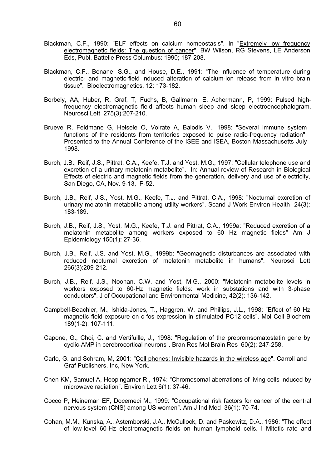- Blackman, C.F., 1990: "ELF effects on calcium homeostasis". In "Extremely low frequency electromagnetic fields: The question of cancer", BW Wilson, RG Stevens, LE Anderson Eds, Publ. Battelle Press Columbus: 1990; 187-208.
- Blackman, C.F., Benane, S.G., and House, D.E., 1991: "The influence of temperature during electric- and magnetic-field induced alteration of calcium-ion release from in vitro brain tissue". Bioelectromagnetics, 12: 173-182.
- Borbely, AA, Huber, R, Graf, T, Fuchs, B, Gallmann, E, Achermann, P, 1999: Pulsed highfrequency electromagnetic field affects human sleep and sleep electroencephalogram. Neurosci Lett 275(3):207-210.
- Brueve R, Feldmane G, Heisele O, Volrate A, Balodis V., 1998: "Several immune system functions of the residents from territories exposed to pulse radio-frequency radiation". Presented to the Annual Conference of the ISEE and ISEA, Boston Massachusetts July 1998.
- Burch, J.B., Reif, J.S., Pittrat, C.A., Keefe, T.J. and Yost, M.G., 1997: "Cellular telephone use and excretion of a urinary melatonin metabolite". In: Annual review of Research in Biological Effects of electric and magnetic fields from the generation, delivery and use of electricity, San Diego, CA, Nov. 9-13, P-52.
- Burch, J.B., Reif, J.S., Yost, M.G., Keefe, T.J. and Pittrat, C.A., 1998: "Nocturnal excretion of urinary melatonin metabolite among utility workers". Scand J Work Environ Health 24(3): 183-189.
- Burch, J.B., Reif, J.S., Yost, M.G., Keefe, T.J. and Pittrat, C.A., 1999a: "Reduced excretion of a melatonin metabolite among workers exposed to 60 Hz magnetic fields" Am J Epidemiology 150(1): 27-36.
- Burch, J.B., Reif, J.S. and Yost, M.G., 1999b: "Geomagnetic disturbances are associated with reduced nocturnal excretion of melatonin metabolite in humans". Neurosci Lett 266(3):209-212.
- Burch, J.B., Reif, J.S., Noonan, C.W. and Yost, M.G., 2000: "Melatonin metabolite levels in workers exposed to 60-Hz magnetic fields: work in substations and with 3-phase conductors". J of Occupational and Environmental Medicine, 42(2): 136-142.
- Campbell-Beachler, M., Ishida-Jones, T., Haggren, W. and Phillips, J.L., 1998: "Effect of 60 Hz magnetic field exposure on c-fos expression in stimulated PC12 cells". Mol Cell Biochem 189(1-2): 107-111.
- Capone, G., Choi, C. and Vertifuille, J., 1998: "Regulation of the prepromsomatostatin gene by cyclic-AMP in cerebrocortical neurons". Bran Res Mol Brain Res 60(2): 247-258.
- Carlo, G. and Schram, M, 2001: "Cell phones: Invisible hazards in the wireless age". Carroll and Graf Publishers, Inc, New York.
- Chen KM, Samuel A, Hoopingarner R., 1974: "Chromosomal aberrations of living cells induced by microwave radiation". Environ Lett 6(1): 37-46.
- Cocco P, Heineman EF, Docemeci M., 1999: "Occupational risk factors for cancer of the central nervous system (CNS) among US women". Am J Ind Med 36(1): 70-74.
- Cohan, M.M., Kunska, A., Astemborski, J.A., McCullock, D. and Paskewitz, D.A., 1986: "The effect of low-level 60-Hz electromagnetic fields on human lymphoid cells. I Mitotic rate and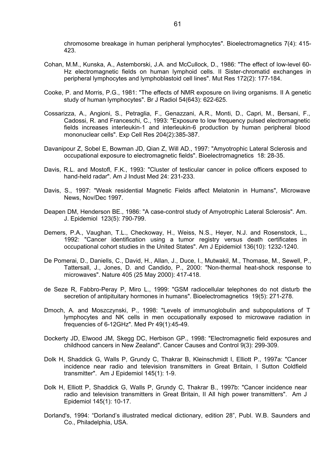chromosome breakage in human peripheral lymphocytes". Bioelectromagnetics 7(4): 415- 423.

- Cohan, M.M., Kunska, A., Astemborski, J.A. and McCullock, D., 1986: "The effect of low-level 60- Hz electromagnetic fields on human lymphoid cells. II Sister-chromatid exchanges in peripheral lymphocytes and lymphoblastoid cell lines". Mut Res 172(2): 177-184.
- Cooke, P. and Morris, P.G., 1981: "The effects of NMR exposure on living organisms. II A genetic study of human lymphocytes". Br J Radiol 54(643): 622-625.
- Cossarizza, A., Angioni, S., Petraglia, F., Genazzani, A.R., Monti, D., Capri, M., Bersani, F., Cadossi, R. and Franceschi, C., 1993: "Exposure to low frequency pulsed electromagnetic fields increases interleukin-1 and interleukin-6 production by human peripheral blood mononuclear cells". Exp Cell Res 204(2):385-387.
- Davanipour Z, Sobel E, Bowman JD, Qian Z, Will AD., 1997: "Amyotrophic Lateral Sclerosis and occupational exposure to electromagnetic fields". Bioelectromagnetics 18: 28-35.
- Davis, R.L. and Mostofl, F.K., 1993: "Cluster of testicular cancer in police officers exposed to hand-held radar". Am J Indust Med 24: 231-233.
- Davis, S., 1997: "Weak residential Magnetic Fields affect Melatonin in Humans", Microwave News, Nov/Dec 1997.
- Deapen DM, Henderson BE., 1986: "A case-control study of Amyotrophic Lateral Sclerosis". Am. J. Epidemiol 123(5): 790-799.
- Demers, P.A., Vaughan, T.L., Checkoway, H., Weiss, N.S., Heyer, N.J. and Rosenstock, L., 1992: "Cancer identification using a tumor registry versus death certificates in occupational cohort studies in the United States". Am J Epidemiol 136(10): 1232-1240.
- De Pomerai, D., Daniells, C., David, H., Allan, J., Duce, I., Mutwakil, M., Thomase, M., Sewell, P., Tattersall, J., Jones, D. and Candido, P., 2000: "Non-thermal heat-shock response to microwaves". Nature 405 (25 May 2000): 417-418.
- de Seze R, Fabbro-Peray P, Miro L., 1999: "GSM radiocellular telephones do not disturb the secretion of antipituitary hormones in humans". Bioelectromagnetics 19(5): 271-278.
- Dmoch, A. and Moszczynski, P., 1998: "Levels of immunoglobulin and subpopulations of T lymphocytes and NK cells in men occupationally exposed to microwave radiation in frequencies of 6-12GHz". Med Pr 49(1):45-49.
- Dockerty JD, Elwood JM, Skegg DC, Herbison GP., 1998: "Electromagnetic field exposures and childhood cancers in New Zealand". Cancer Causes and Control 9(3): 299-309.
- Dolk H, Shaddick G, Walls P, Grundy C, Thakrar B, Kleinschmidt I, Elliott P., 1997a: "Cancer incidence near radio and television transmitters in Great Britain, I Sutton Coldfield transmitter". Am J Epidemiol 145(1): 1-9.
- Dolk H, Elliott P, Shaddick G, Walls P, Grundy C, Thakrar B., 1997b: "Cancer incidence near radio and television transmitters in Great Britain, II All high power transmitters". Am J Epidemiol 145(1): 10-17.
- Dorland's, 1994: "Dorland's illustrated medical dictionary, edition 28", Publ. W.B. Saunders and Co., Philadelphia, USA.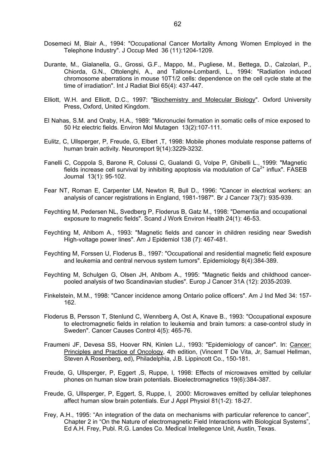- Dosemeci M, Blair A., 1994: "Occupational Cancer Mortality Among Women Employed in the Telephone Industry". J Occup Med 36 (11):1204-1209.
- Durante, M., Gialanella, G., Grossi, G.F., Mappo, M., Pugliese, M., Bettega, D., Calzolari, P., Chiorda, G.N., Ottolenghi, A., and Tallone-Lombardi, L., 1994: "Radiation induced chromosome aberrations in mouse 10T1/2 cells: dependence on the cell cycle state at the time of irradiation". Int J Radiat Biol 65(4): 437-447.
- Elliott, W.H. and Elliott, D.C., 1997: "Biochemistry and Molecular Biology". Oxford University Press, Oxford, United Kingdom.
- El Nahas, S.M. and Oraby, H.A., 1989: "Micronuclei formation in somatic cells of mice exposed to 50 Hz electric fields. Environ Mol Mutagen 13(2):107-111.
- Eulitz, C, Ullsperger, P, Freude, G, Elbert ,T, 1998: Mobile phones modulate response patterns of human brain activity. Neuroreport 9(14):3229-3232.
- Fanelli C, Coppola S, Barone R, Colussi C, Gualandi G, Volpe P, Ghibelli L., 1999: "Magnetic fields increase cell survival by inhibiting apoptosis via modulation of  $Ca<sup>2+</sup>$  influx". FASEB Journal 13(1): 95-102.
- Fear NT, Roman E, Carpenter LM, Newton R, Bull D., 1996: "Cancer in electrical workers: an analysis of cancer registrations in England, 1981-1987". Br J Cancer 73(7): 935-939.
- Feychting M, Pedersen NL, Svedberg P, Floderus B, Gatz M., 1998: "Dementia and occupational exposure to magnetic fields". Scand J Work Environ Health 24(1): 46-53.
- Feychting M, Ahlbom A., 1993: "Magnetic fields and cancer in children residing near Swedish High-voltage power lines". Am J Epidemiol 138 (7): 467-481.
- Feychting M, Forssen U, Floderus B., 1997: "Occupational and residential magnetic field exposure and leukemia and central nervous system tumors". Epidemiology 8(4):384-389.
- Feychting M, Schulgen G, Olsen JH, Ahlbom A., 1995: "Magnetic fields and childhood cancerpooled analysis of two Scandinavian studies". Europ J Cancer 31A (12): 2035-2039.
- Finkelstein, M.M., 1998: "Cancer incidence among Ontario police officers". Am J Ind Med 34: 157- 162.
- Floderus B, Persson T, Stenlund C, Wennberg A, Ost A, Knave B., 1993: "Occupational exposure to electromagnetic fields in relation to leukemia and brain tumors: a case-control study in Sweden". Cancer Causes Control 4(5): 465-76.
- Fraumeni JF, Devesa SS, Hoover RN, Kinlen LJ., 1993: "Epidemiology of cancer". In: Cancer: Principles and Practice of Oncology, 4th edition, (Vincent T De Vita, Jr, Samuel Hellman, Steven A Rosenberg, ed), Philadelphia, J.B. Lippincott Co., 150-181.
- Freude, G, Ullsperger, P, Eggert ,S, Ruppe, I, 1998: Effects of microwaves emitted by cellular phones on human slow brain potentials. Bioelectromagnetics 19(6):384-387.
- Freude, G, Ullsperger, P, Eggert, S, Ruppe, I, 2000: Microwaves emitted by cellular telephones affect human slow brain potentials. Eur J Appl Physiol 81(1-2): 18-27.
- Frey, A.H., 1995: "An integration of the data on mechanisms with particular reference to cancer", Chapter 2 in "On the Nature of electromagnetic Field Interactions with Biological Systems", Ed A.H. Frey, Publ. R.G. Landes Co. Medical Intellegence Unit, Austin, Texas.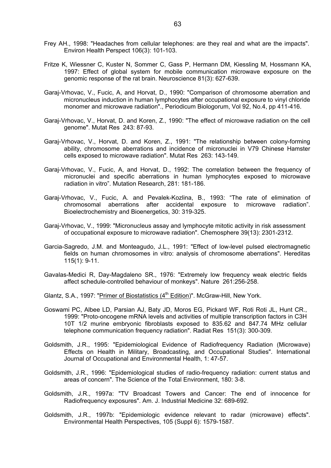- Frey AH., 1998: "Headaches from cellular telephones: are they real and what are the impacts". Environ Health Perspect 106(3): 101-103.
- Fritze K, Wiessner C, Kuster N, Sommer C, Gass P, Hermann DM, Kiessling M, Hossmann KA, 1997: Effect of global system for mobile communication microwave exposure on the genomic response of the rat brain. Neuroscience 81(3): 627-639.
- Garaj-Vrhovac, V., Fucic, A, and Horvat, D., 1990: "Comparison of chromosome aberration and micronucleus induction in human lymphocytes after occupational exposure to vinyl chloride monomer and microwave radiation"., Periodicum Biologorum, Vol 92, No.4, pp 411-416.
- Garaj-Vrhovac, V., Horvat, D. and Koren, Z., 1990: "The effect of microwave radiation on the cell genome". Mutat Res 243: 87-93.
- Garaj-Vrhovac, V., Horvat, D. and Koren, Z., 1991: "The relationship between colony-forming ability, chromosome aberrations and incidence of micronuclei in V79 Chinese Hamster cells exposed to microwave radiation". Mutat Res 263: 143-149.
- Garaj-Vrhovac, V., Fucic, A, and Horvat, D., 1992: The correlation between the frequency of micronuclei and specific aberrations in human lymphocytes exposed to microwave radiation in vitro". Mutation Research, 281: 181-186.
- Garaj-Vrhovac, V., Fucic, A. and Pevalek-Kozlina, B., 1993: "The rate of elimination of chromosomal aberrations after accidental exposure to microwave radiation". Bioelectrochemistry and Bioenergetics, 30: 319-325.
- Garaj-Vrhovac, V., 1999: "Micronucleus assay and lymphocyte mitotic activity in risk assessment of occupational exposure to microwave radiation". Chemosphere 39(13): 2301-2312.
- Garcia-Sagredo, J.M. and Monteagudo, J.L., 1991: "Effect of low-level pulsed electromagnetic fields on human chromosomes in vitro: analysis of chromosome aberrations". Hereditas 115(1): 9-11.
- Gavalas-Medici R, Day-Magdaleno SR., 1976: "Extremely low frequency weak electric fields affect schedule-controlled behaviour of monkeys". Nature 261:256-258.
- Glantz, S.A., 1997: "Primer of Biostatistics (4<sup>th</sup> Edition)". McGraw-Hill, New York.
- Goswami PC, Albee LD, Parsian AJ, Baty JD, Moros EG, Pickard WF, Roti Roti JL, Hunt CR., 1999: "Proto-oncogene mRNA levels and activities of multiple transcription factors in C3H 10T 1/2 murine embryonic fibroblasts exposed to 835.62 and 847.74 MHz cellular telephone communication frequency radiation". Radiat Res 151(3): 300-309.
- Goldsmith, J.R., 1995: "Epidemiological Evidence of Radiofrequency Radiation (Microwave) Effects on Health in Military, Broadcasting, and Occupational Studies". International Journal of Occupational and Environmental Health, 1: 47-57.
- Goldsmith, J.R., 1996: "Epidemiological studies of radio-frequency radiation: current status and areas of concern". The Science of the Total Environment, 180: 3-8.
- Goldsmith, J.R., 1997a: "TV Broadcast Towers and Cancer: The end of innocence for Radiofrequency exposures". Am. J. Industrial Medicine 32: 689-692.
- Goldsmith, J.R., 1997b: "Epidemiologic evidence relevant to radar (microwave) effects". Environmental Health Perspectives, 105 (Suppl 6): 1579-1587.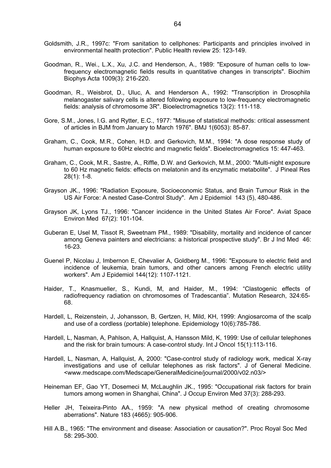- Goldsmith, J.R., 1997c: "From sanitation to cellphones: Participants and principles involved in environmental health protection". Public Health review 25: 123-149.
- Goodman, R., Wei., L.X., Xu, J.C. and Henderson, A., 1989: "Exposure of human cells to lowfrequency electromagnetic fields results in quantitative changes in transcripts". Biochim Biophys Acta 1009(3): 216-220.
- Goodman, R., Weisbrot, D., Uluc, A. and Henderson A., 1992: "Transcription in Drosophila melanogaster salivary cells is altered following exposure to low-frequency electromagnetic fields: analysis of chromosome 3R". Bioelectromagnetics 13(2): 111-118.
- Gore, S.M., Jones, I.G. and Rytter, E.C., 1977: "Misuse of statistical methods: critical assessment of articles in BJM from January to March 1976". BMJ 1(6053): 85-87.
- Graham, C., Cook, M.R., Cohen, H.D. and Gerkovich, M.M., 1994: "A dose response study of human exposure to 60Hz electric and magnetic fields". Bioelectromagnetics 15: 447-463.
- Graham, C., Cook, M.R., Sastre, A., Riffle, D.W. and Gerkovich, M.M., 2000: "Multi-night exposure to 60 Hz magnetic fields: effects on melatonin and its enzymatic metabolite". J Pineal Res 28(1): 1-8.
- Grayson JK., 1996: "Radiation Exposure, Socioeconomic Status, and Brain Tumour Risk in the US Air Force: A nested Case-Control Study". Am J Epidemiol 143 (5), 480-486.
- Grayson JK, Lyons TJ., 1996: "Cancer incidence in the United States Air Force". Aviat Space Environ Med 67(2): 101-104.
- Guberan E, Usel M, Tissot R, Sweetnam PM., 1989: "Disability, mortality and incidence of cancer among Geneva painters and electricians: a historical prospective study". Br J Ind Med 46: 16-23.
- Guenel P, Nicolau J, Imbernon E, Chevalier A, Goldberg M., 1996: "Exposure to electric field and incidence of leukemia, brain tumors, and other cancers among French electric utility workers". Am J Epidemiol 144(12): 1107-1121.
- Haider, T., Knasmueller, S., Kundi, M, and Haider, M., 1994: "Clastogenic effects of radiofrequency radiation on chromosomes of Tradescantia". Mutation Research, 324:65- 68.
- Hardell, L, Reizenstein, J, Johansson, B, Gertzen, H, Mild, KH, 1999: Angiosarcoma of the scalp and use of a cordless (portable) telephone. Epidemiology 10(6):785-786.
- Hardell, L, Nasman, A, Pahlson, A, Hallquist, A, Hansson Mild, K, 1999: Use of cellular telephones and the risk for brain tumours: A case-control study. Int J Oncol 15(1):113-116.
- Hardell, L, Nasman, A, Hallquist, A, 2000: "Case-control study of radiology work, medical X-ray investigations and use of cellular telephones as risk factors". J of General Medicine. <www.medscape.com/Medscape/GeneralMedicine/journal/2000/v02.n03/>
- Heineman EF, Gao YT, Dosemeci M, McLaughlin JK., 1995: "Occupational risk factors for brain tumors among women in Shanghai, China". J Occup Environ Med 37(3): 288-293.
- Heller JH, Teixeira-Pinto AA., 1959: "A new physical method of creating chromosome aberrations". Nature 183 (4665): 905-906.
- Hill A.B., 1965: "The environment and disease: Association or causation?". Proc Royal Soc Med 58: 295-300.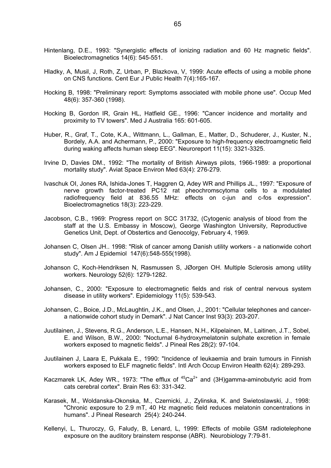- Hintenlang, D.E., 1993: "Synergistic effects of ionizing radiation and 60 Hz magnetic fields". Bioelectromagnetics 14(6): 545-551.
- Hladky, A, Musil, J, Roth, Z, Urban, P, Blazkova, V, 1999: Acute effects of using a mobile phone on CNS functions. Cent Eur J Public Health 7(4):165-167.
- Hocking B, 1998: "Preliminary report: Symptoms associated with mobile phone use". Occup Med 48(6): 357-360 (1998).
- Hocking B, Gordon IR, Grain HL, Hatfield GE., 1996: "Cancer incidence and mortality and proximity to TV towers". Med J Australia 165: 601-605.
- Huber, R., Graf, T., Cote, K.A., Wittmann, L., Gallman, E., Matter, D., Schuderer, J., Kuster, N., Bordely, A.A. and Achermann, P., 2000: "Exposure to high-frequency electroamgnetic field during waking affects human sleep EEG". Neuroreport 11(15): 3321-3325.
- Irvine D, Davies DM., 1992: "The mortality of British Airways pilots, 1966-1989: a proportional mortality study". Aviat Space Environ Med 63(4): 276-279.
- Ivaschuk OI, Jones RA, Ishida-Jones T, Haggren Q, Adey WR and Phillips JL., 1997: "Exposure of nerve growth factor-treated PC12 rat pheochromscytoma cells to a modulated radiofrequency field at 836.55 MHz: effects on c-jun and c-fos expression". Bioelectromagnetics 18(3): 223-229.
- Jacobson, C.B., 1969: Progress report on SCC 31732, (Cytogenic analysis of blood from the staff at the U.S. Embassy in Moscow), George Washington University, Reproductive Genetics Unit, Dept. of Obstertics and Genocolgy, February 4, 1969.
- Johansen C, Olsen JH.. 1998: "Risk of cancer among Danish utility workers a nationwide cohort study". Am J Epidemiol 147(6):548-555(1998).
- Johanson C, Koch-Hendriksen N, Rasmussen S, JØorgen OH. Multiple Sclerosis among utility workers. Neurology 52(6): 1279-1282.
- Johansen, C., 2000: "Exposure to electromagnetic fields and risk of central nervous system disease in utility workers". Epidemiology 11(5): 539-543.
- Johansen, C., Boice, J.D., McLaughtin, J.K., and Olsen, J., 2001: "Cellular telephones and cancera nationwide cohort study in Demark". J Nat Cancer Inst 93(3): 203-207.
- Juutilainen, J., Stevens, R.G., Anderson, L.E., Hansen, N.H., Kilpelainen, M., Laitinen, J.T., Sobel, E. and Wilson, B.W., 2000: "Nocturnal 6-hydroxymelatonin sulphate excretion in female workers exposed to magnetic fields". J Pineal Res 28(2): 97-104.
- Juutilainen J, Laara E, Pukkala E., 1990: "Incidence of leukaemia and brain tumours in Finnish workers exposed to ELF magnetic fields". Intl Arch Occup Environ Health 62(4): 289-293.
- Kaczmarek LK, Adey WR., 1973: "The efflux of  $45Ca^{2+}$  and (3H)gamma-aminobutyric acid from cats cerebral cortex". Brain Res 63: 331-342.
- Karasek, M., Woldanska-Okonska, M., Czernicki, J., Zylinska, K. and Swietoslawski, J., 1998: "Chronic exposure to 2.9 mT, 40 Hz magnetic field reduces melatonin concentrations in humans". J Pineal Research 25(4): 240-244.
- Kellenyi, L, Thuroczy, G, Faludy, B, Lenard, L, 1999: Effects of mobile GSM radiotelephone exposure on the auditory brainstem response (ABR). Neurobiology 7:79-81.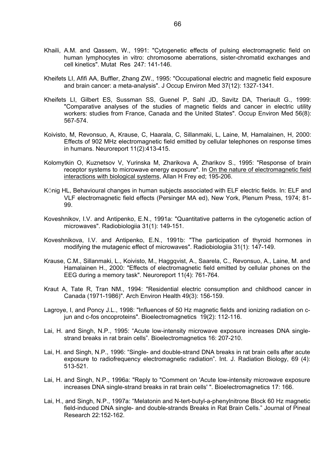- Khaili, A.M. and Qassem, W., 1991: "Cytogenetic effects of pulsing electromagnetic field on human lymphocytes in vitro: chromosome aberrations, sister-chromatid exchanges and cell kinetics". Mutat Res 247: 141-146.
- Kheifets LI, Afifi AA, Buffler, Zhang ZW., 1995: "Occupational electric and magnetic field exposure and brain cancer: a meta-analysis". J Occup Environ Med 37(12): 1327-1341.
- Kheifets LI, Gilbert ES, Sussman SS, Guenel P, Sahl JD, Savitz DA, Theriault G., 1999: "Comparative analyses of the studies of magnetic fields and cancer in electric utility workers: studies from France, Canada and the United States". Occup Environ Med 56(8): 567-574.
- Koivisto, M, Revonsuo, A, Krause, C, Haarala, C, Sillanmaki, L, Laine, M, Hamalainen, H, 2000: Effects of 902 MHz electromagnetic field emitted by cellular telephones on response times in humans. Neuroreport 11(2):413-415.
- Kolomytkin O, Kuznetsov V, Yurinska M, Zharikova A, Zharikov S., 1995: "Response of brain receptor systems to microwave energy exposure". In On the nature of electromagnetic field interactions with biological systems, Allan H Frey ed; 195-206.
- KÖnig HL, Behavioural changes in human subjects associated with ELF electric fields. In: ELF and VLF electromagnetic field effects (Persinger MA ed), New York, Plenum Press, 1974; 81- 99.
- Koveshnikov, I.V. and Antipenko, E.N., 1991a: "Quantitative patterns in the cytogenetic action of microwaves". Radiobiologiia 31(1): 149-151.
- Koveshnikova, I.V. and Antipenko, E.N., 1991b: "The participation of thyroid hormones in modifying the mutagenic effect of microwaves". Radiobiologiia 31(1): 147-149.
- Krause, C.M., Sillanmaki, L., Koivisto, M., Haggqvist, A., Saarela, C., Revonsuo, A., Laine, M. and Hamalainen H., 2000: "Effects of electromagnetic field emitted by cellular phones on the EEG during a memory task". Neuroreport 11(4): 761-764.
- Kraut A, Tate R, Tran NM., 1994: "Residential electric consumption and childhood cancer in Canada (1971-1986)". Arch Environ Health 49(3): 156-159.
- Lagroye, I, and Poncy J.L., 1998: "Influences of 50 Hz magnetic fields and ionizing radiation on cjun and c-fos oncoproteins". Bioelectromagnetics 19(2): 112-116.
- Lai, H. and Singh, N.P., 1995: "Acute low-intensity microwave exposure increases DNA singlestrand breaks in rat brain cells". Bioelectromagnetics 16: 207-210.
- Lai, H. and Singh, N.P., 1996: "Single- and double-strand DNA breaks in rat brain cells after acute exposure to radiofrequency electromagnetic radiation". Int. J. Radiation Biology, 69 (4): 513-521.
- Lai, H. and Singh, N.P., 1996a: "Reply to "Comment on 'Acute low-intensity microwave exposure increases DNA single-strand breaks in rat brain cells' ". Bioelectromagnetics 17: 166.
- Lai, H., and Singh, N.P., 1997a: "Melatonin and N-tert-butyl-a-phenylnitrone Block 60 Hz magnetic field-induced DNA single- and double-strands Breaks in Rat Brain Cells." Journal of Pineal Research 22:152-162.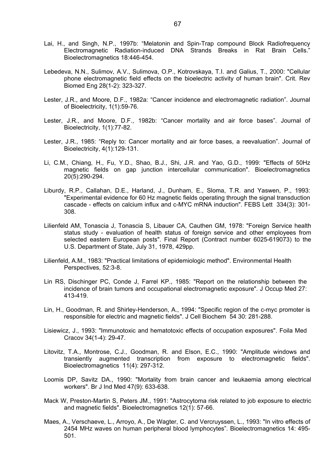- Lai, H., and Singh, N.P., 1997b: "Melatonin and Spin-Trap compound Block Radiofrequency Electromagnetic Radiation-induced DNA Strands Breaks in Rat Brain Cells." Bioelectromagnetics 18:446-454.
- Lebedeva, N.N., Sulimov, A.V., Sulimova, O.P., Kotrovskaya, T.I. and Galius, T., 2000: "Cellular phone electromagnetic field effects on the bioelectric activity of human brain". Crit. Rev Biomed Eng 28(1-2): 323-327.
- Lester, J.R., and Moore, D.F., 1982a: "Cancer incidence and electromagnetic radiation". Journal of Bioelectricity, 1(1):59-76.
- Lester, J.R., and Moore, D.F., 1982b: "Cancer mortality and air force bases". Journal of Bioelectricity, 1(1):77-82.
- Lester, J.R., 1985: "Reply to: Cancer mortality and air force bases, a reevaluation". Journal of Bioelectricity, 4(1):129-131.
- Li, C.M., Chiang, H., Fu, Y.D., Shao, B.J., Shi, J.R. and Yao, G.D., 1999: "Effects of 50Hz magnetic fields on gap junction intercellular communication". Bioelectromagnetics 20(5):290-294.
- Liburdy, R.P., Callahan, D.E., Harland, J., Dunham, E., Sloma, T.R. and Yaswen, P., 1993: "Experimental evidence for 60 Hz magnetic fields operating through the signal transduction cascade - effects on calcium influx and c-MYC mRNA induction". FEBS Lett 334(3): 301- 308.
- Lilienfeld AM, Tonascia J, Tonascia S, Libauer CA, Cauthen GM, 1978: "Foreign Service health status study - evaluation of health status of foreign service and other employees from selected eastern European posts". Final Report (Contract number 6025-619073) to the U.S. Department of State, July 31, 1978, 429pp.
- Lilienfeld, A.M., 1983: "Practical limitations of epidemiologic method". Environmental Health Perspectives, 52:3-8.
- Lin RS, Dischinger PC, Conde J, Farrel KP., 1985: "Report on the relationship between the incidence of brain tumors and occupational electromagnetic exposure". J Occup Med 27: 413-419.
- Lin, H., Goodman, R. and Shirley-Henderson, A., 1994: "Specific region of the c-myc promoter is responsible for electric and magnetic fields". J Cell Biochem 54 30: 281-288.
- Lisiewicz, J., 1993: "Immunotoxic and hematotoxic effects of occupation exposures". Foila Med Cracov 34(1-4): 29-47.
- Litovitz, T.A., Montrose, C.J., Goodman, R. and Elson, E.C., 1990: "Amplitude windows and transiently augmented transcription from exposure to electromagnetic fields". Bioelectromagnetics 11(4): 297-312.
- Loomis DP, Savitz DA., 1990: "Mortality from brain cancer and leukaemia among electrical workers". Br J Ind Med 47(9): 633-638.
- Mack W, Preston-Martin S, Peters JM., 1991: "Astrocytoma risk related to job exposure to electric and magnetic fields". Bioelectromagnetics 12(1): 57-66.
- Maes, A., Verschaeve, L., Arroyo, A., De Wagter, C. and Vercruyssen, L., 1993: "In vitro effects of 2454 MHz waves on human peripheral blood lymphocytes". Bioelectromagnetics 14: 495- 501.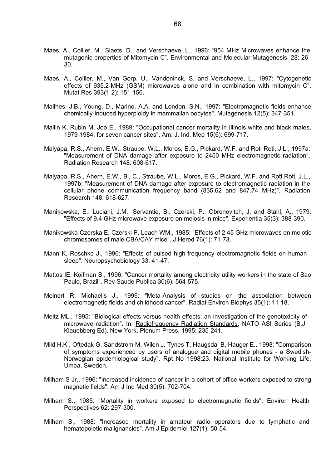- Maes, A., Collier, M., Slaets, D., and Verschaeve, L., 1996: "954 MHz Microwaves enhance the mutagenic properties of Mitomycin C". Environmental and Molecular Mutagenesis, 28: 26- 30.
- Maes, A., Collier, M., Van Gorp, U., Vandoninck, S. and Verschaeve, L., 1997: "Cytogenetic effects of 935.2-MHz (GSM) microwaves alone and in combination with mitomycin C". Mutat Res 393(1-2): 151-156.
- Mailhes, J.B., Young, D., Marino, A.A. and London, S.N., 1997: "Electromagnetic fields enhance chemically-induced hyperploidy in mammalian oocytes". Mutagenesis 12(5): 347-351.
- Mallin K, Rubin M, Joo E., 1989: "Occupational cancer mortality in Illinois white and black males, 1979-1984, for seven cancer sites". Am. J. Ind. Med 15(6): 699-717.
- Malyapa, R.S., Ahern, E.W., Straube, W.L., Moros, E.G., Pickard, W.F. and Roti Roti, J.L., 1997a: "Measurement of DNA damage after exposure to 2450 MHz electromagnetic radiation". Radiation Research 148: 608-617.
- Malyapa, R.S., Ahern, E.W., Bi, C., Straube, W.L., Moros, E.G., Pickard, W.F. and Roti Roti, J.L., 1997b: "Measurement of DNA damage after exposure to electromagnetic radiation in the cellular phone communication frequency band (835.62 and 847.74 MHz)". Radiation Research 148: 618-627.
- Manikowska, E., Luciani, J.M., Servantie, B., Czerski, P., Obrenovitch, J. and Stahl, A., 1979: "Effects of 9.4 GHz microwave exposure on meiosis in mice". Experientia 35(3): 388-390.
- Manikowska-Czerska E, Czerski P, Leach WM., 1985: "Effects of 2.45 GHz microwaves on meiotic chromosomes of male CBA/CAY mice". J Hered 76(1): 71-73.
- Mann K, Roschke J., 1996: "Effects of pulsed high-frequency electromagnetic fields on human sleep". Neuropsychobiology 33: 41-47.
- Mattos IE, Koifman S., 1996: "Cancer mortality among electricity utility workers in the state of Sao Paulo, Brazil". Rev Saude Publica 30(6): 564-575.
- Meinert R, Michaelis J., 1996: "Meta-Analysis of studies on the association between electromagnetic fields and childhood cancer". Radiat Environ Biophys 35(1): 11-18.
- Meltz ML., 1995: "Biological effects versus health effects: an investigation of the genotoxicity of microwave radiation". In: Radiofrequency Radiation Standards, NATO ASI Series (B.J. Klauebberg Ed). New York, Plenum Press, 1995: 235-241.
- Mild H.K., Oftedak G, Sandstrom M, Wilen J, Tynes T, Haugsdal B, Hauger E., 1998: "Comparison of symptoms experienced by users of analogue and digital mobile phones - a Swedish-Norwegian epidemiological study". Rpt No 1998:23. National Institute for Working Life, Umea, Sweden.
- Milham S Jr., 1996: "Increased incidence of cancer in a cohort of office workers exposed to strong magnetic fields". Am J Ind Med 30(5): 702-704.
- Milham S., 1985: "Mortality in workers exposed to electromagnetic fields". Environ Health Perspectives 62: 297-300.
- Milham S., 1988: "Increased mortality in amateur radio operators due to lymphatic and hematopoietic malignancies". Am J Epidemiol 127(1): 50-54.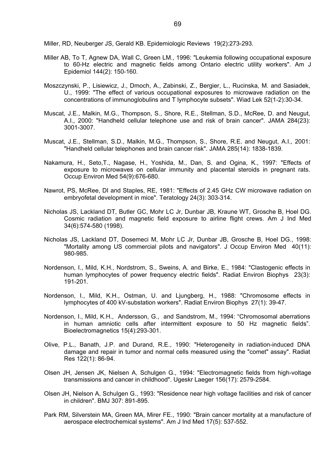Miller, RD, Neuberger JS, Gerald KB. Epidemiologic Reviews 19(2):273-293.

- Miller AB, To T, Agnew DA, Wall C, Green LM., 1996: "Leukemia following occupational exposure to 60-Hz electric and magnetic fields among Ontario electric utility workers". Am J Epidemiol 144(2): 150-160.
- Moszczynski, P., Lisiewicz, J., Dmoch, A., Zabinski, Z., Bergier, L., Rucinska, M. and Sasiadek, U., 1999: "The effect of various occupational exposures to microwave radiation on the concentrations of immunoglobulins and T lymphocyte subsets". Wiad Lek 52(1-2):30-34.
- Muscat, J.E., Malkin, M.G., Thompson, S., Shore, R.E., Stellman, S.D., McRee, D. and Neugut, A.I., 2000: "Handheld cellular telephone use and risk of brain cancer". JAMA 284(23): 3001-3007.
- Muscat, J.E., Stellman, S.D., Malkin, M.G., Thompson, S., Shore, R.E. and Neugut, A.I., 2001: "Handheld cellular telephones and brain cancer risk". JAMA 285(14): 1838-1839.
- Nakamura, H., Seto,T., Nagase, H., Yoshida, M., Dan, S. and Ogina, K., 1997: "Effects of exposure to microwaves on cellular immunity and placental steroids in pregnant rats. Occup Environ Med 54(9):676-680.
- Nawrot, PS, McRee, DI and Staples, RE, 1981: "Effects of 2.45 GHz CW microwave radiation on embryofetal development in mice". Teratology 24(3): 303-314.
- Nicholas JS, Lackland DT, Butler GC, Mohr LC Jr, Dunbar JB, Kraune WT, Grosche B, Hoel DG. Cosmic radiation and magnetic field exposure to airline flight crews. Am J Ind Med 34(6):574-580 (1998).
- Nicholas JS, Lackland DT, Dosemeci M, Mohr LC Jr, Dunbar JB, Grosche B, Hoel DG., 1998: "Mortality among US commercial pilots and navigators". J Occup Environ Med 40(11): 980-985.
- Nordenson, I., Mild, K.H., Nordstrom, S., Sweins, A. and Birke, E., 1984: "Clastogenic effects in human lymphocytes of power frequency electric fields". Radiat Environ Biophys 23(3): 191-201.
- Nordenson, I., Mild, K.H., Ostman, U. and Ljungberg, H., 1988: "Chromosome effects in lymphocytes of 400 kV-substation workers". Radiat Environ Biophys 27(1): 39-47.
- Nordenson, I., Mild, K.H., Andersson, G., and Sandstrom, M., 1994: "Chromosomal aberrations in human amniotic cells after intermittent exposure to 50 Hz magnetic fields". Bioelectromagnetics 15(4):293-301.
- Olive, P.L., Banath, J.P. and Durand, R.E., 1990: "Heterogeneity in radiation-induced DNA damage and repair in tumor and normal cells measured using the "comet" assay". Radiat Res 122(1): 86-94.
- Olsen JH, Jensen JK, Nielsen A, Schulgen G., 1994: "Electromagnetic fields from high-voltage transmissions and cancer in childhood". Ugeskr Laeger 156(17): 2579-2584.
- Olsen JH, Nielson A, Schulgen G., 1993: "Residence near high voltage facilities and risk of cancer in children". BMJ 307: 891-895.
- Park RM, Silverstein MA, Green MA, Mirer FE., 1990: "Brain cancer mortality at a manufacture of aerospace electrochemical systems". Am J Ind Med 17(5): 537-552.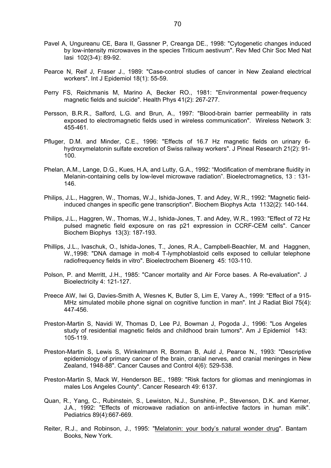- Pavel A, Ungureanu CE, Bara II, Gassner P, Creanga DE., 1998: "Cytogenetic changes induced by low-intensity microwaves in the species Triticum aestivum". Rev Med Chir Soc Med Nat Iasi 102(3-4): 89-92.
- Pearce N, Reif J, Fraser J., 1989: "Case-control studies of cancer in New Zealand electrical workers". Int J Epidemiol 18(1): 55-59.
- Perry FS, Reichmanis M, Marino A, Becker RO., 1981: "Environmental power-frequency magnetic fields and suicide". Health Phys 41(2): 267-277.
- Persson, B.R.R., Salford, L.G. and Brun, A., 1997: "Blood-brain barrier permeability in rats exposed to electromagnetic fields used in wireless communication". Wireless Network 3: 455-461.
- Pfluger, D.M. and Minder, C.E., 1996: "Effects of 16.7 Hz magnetic fields on urinary 6 hydroxymelatonin sulfate excretion of Swiss railway workers". J Pineal Research 21(2): 91- 100.
- Phelan, A.M., Lange, D.G., Kues, H.A, and Lutty, G.A., 1992: "Modification of membrane fluidity in Melanin-containing cells by low-level microwave radiation". Bioelectromagnetics, 13 : 131- 146.
- Philips, J.L., Haggren, W., Thomas, W.J., Ishida-Jones, T. and Adey, W.R., 1992: "Magnetic fieldinduced changes in specific gene transcription". Biochem Biophys Acta 1132(2): 140-144.
- Philips, J.L., Haggren, W., Thomas, W.J., Ishida-Jones, T. and Adey, W.R., 1993: "Effect of 72 Hz pulsed magnetic field exposure on ras p21 expression in CCRF-CEM cells". Cancer Biochem Biophys 13(3): 187-193.
- Phillips, J.L., Ivaschuk, O., Ishida-Jones, T., Jones, R.A., Campbell-Beachler, M. and Haggnen, W.,1998: "DNA damage in molt-4 T-lymphoblastoid cells exposed to cellular telephone radiofrequency fields in vitro". Bioelectrochem Bioenerg 45: 103-110.
- Polson, P. and Merritt, J.H., 1985: "Cancer mortality and Air Force bases. A Re-evaluation". J Bioelectricity 4: 121-127.
- Preece AW, Iwi G, Davies-Smith A, Wesnes K, Butler S, Lim E, Varey A., 1999: "Effect of a 915- MHz simulated mobile phone signal on cognitive function in man". Int J Radiat Biol 75(4): 447-456.
- Preston-Martin S, Navidi W, Thomas D, Lee PJ, Bowman J, Pogoda J., 1996: "Los Angeles study of residential magnetic fields and childhood brain tumors". Am J Epidemiol 143: 105-119.
- Preston-Martin S, Lewis S, Winkelmann R, Borman B, Auld J, Pearce N., 1993: "Descriptive epidemiology of primary cancer of the brain, cranial nerves, and cranial meninges in New Zealand, 1948-88". Cancer Causes and Control 4(6): 529-538.
- Preston-Martin S, Mack W, Henderson BE., 1989: "Risk factors for gliomas and meningiomas in males Los Angeles County". Cancer Research 49: 6137.
- Quan, R., Yang, C., Rubinstein, S., Lewiston, N.J., Sunshine, P., Stevenson, D.K. and Kerner, J.A., 1992: "Effects of microwave radiation on anti-infective factors in human milk". Pediatrics 89(4):667-669.
- Reiter, R.J., and Robinson, J., 1995: "Melatonin: your body's natural wonder drug". Bantam Books, New York.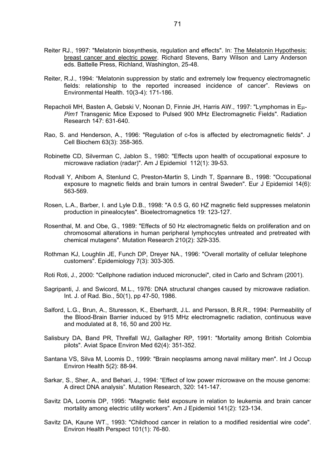- Reiter RJ., 1997: "Melatonin biosynthesis, regulation and effects". In: The Melatonin Hypothesis: breast cancer and electric power. Richard Stevens, Barry Wilson and Larry Anderson eds. Battelle Press, Richland, Washington, 25-48.
- Reiter, R.J., 1994: "Melatonin suppression by static and extremely low frequency electromagnetic fields: relationship to the reported increased incidence of cancer". Reviews on Environmental Health. 10(3-4): 171-186.
- Repacholi MH, Basten A, Gebski V, Noonan D, Finnie JH, Harris AW., 1997: "Lymphomas in Eµ-*Pim1* Transgenic Mice Exposed to Pulsed 900 MHz Electromagnetic Fields". Radiation Research 147: 631-640.
- Rao, S. and Henderson, A., 1996: "Regulation of c-fos is affected by electromagnetic fields". J Cell Biochem 63(3): 358-365.
- Robinette CD, Silverman C, Jablon S., 1980: "Effects upon health of occupational exposure to microwave radiation (radar)". Am J Epidemiol 112(1): 39-53.
- Rodvall Y, Ahlbom A, Stenlund C, Preston-Martin S, Lindh T, Spannare B., 1998: "Occupational exposure to magnetic fields and brain tumors in central Sweden". Eur J Epidemiol 14(6): 563-569.
- Rosen, L.A., Barber, I. and Lyle D.B., 1998: "A 0.5 G, 60 HZ magnetic field suppresses melatonin production in pinealocytes". Bioelectromagnetics 19: 123-127.
- Rosenthal, M. and Obe, G., 1989: "Effects of 50 Hz electromagnetic fields on proliferation and on chromosomal alterations in human peripheral lymphocytes untreated and pretreated with chemical mutagens". Mutation Research 210(2): 329-335.
- Rothman KJ, Loughlin JE, Funch DP, Dreyer NA., 1996: "Overall mortality of cellular telephone customers". Epidemiology 7(3): 303-305.
- Roti Roti, J., 2000: "Cellphone radiation induced micronuclei", cited in Carlo and Schram (2001).
- Sagripanti, J. and Swicord, M.L., 1976: DNA structural changes caused by microwave radiation. Int. J. of Rad. Bio., 50(1), pp 47-50, 1986.
- Salford, L.G., Brun, A., Sturesson, K., Eberhardt, J.L. and Persson, B.R.R., 1994: Permeability of the Blood-Brain Barrier induced by 915 MHz electromagnetic radiation, continuous wave and modulated at 8, 16, 50 and 200 Hz.
- Salisbury DA, Band PR, Threlfall WJ, Gallagher RP, 1991: "Mortality among British Colombia pilots". Aviat Space Environ Med 62(4): 351-352.
- Santana VS, Silva M, Loomis D., 1999: "Brain neoplasms among naval military men". Int J Occup Environ Health 5(2): 88-94.
- Sarkar, S., Sher, A., and Behari, J., 1994: "Effect of low power microwave on the mouse genome: A direct DNA analysis". Mutation Research, 320: 141-147.
- Savitz DA, Loomis DP, 1995: "Magnetic field exposure in relation to leukemia and brain cancer mortality among electric utility workers". Am J Epidemiol 141(2): 123-134.
- Savitz DA, Kaune WT., 1993: "Childhood cancer in relation to a modified residential wire code". Environ Health Perspect 101(1): 76-80.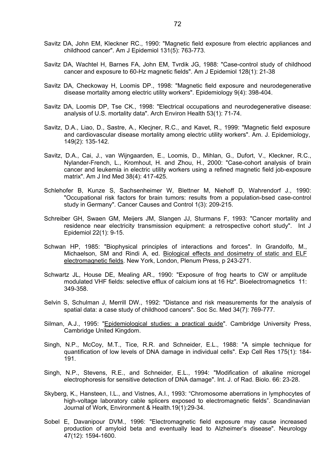- Savitz DA, John EM, Kleckner RC., 1990: "Magnetic field exposure from electric appliances and childhood cancer". Am J Epidemiol 131(5): 763-773.
- Savitz DA, Wachtel H, Barnes FA, John EM, Tvrdik JG, 1988: "Case-control study of childhood cancer and exposure to 60-Hz magnetic fields". Am J Epidemiol 128(1): 21-38
- Savitz DA, Checkoway H, Loomis DP., 1998: "Magnetic field exposure and neurodegenerative disease mortality among electric utility workers". Epidemiology 9(4): 398-404.
- Savitz DA, Loomis DP, Tse CK., 1998: "Electrical occupations and neurodegenerative disease: analysis of U.S. mortality data". Arch Environ Health 53(1): 71-74.
- Savitz, D.A., Liao, D., Sastre, A., Klecjner, R.C., and Kavet, R., 1999: "Magnetic field exposure and cardiovascular disease mortality among electric utility workers". Am. J. Epidemiology, 149(2): 135-142.
- Savitz, D.A., Cai, J., van Wijngaarden, E., Loomis, D., Mihlan, G., Dufort, V., Kleckner, R.C., Nylander-French, L., Kromhout, H. and Zhou, H., 2000: "Case-cohort analysis of brain cancer and leukemia in electric utility workers using a refined magnetic field job-exposure matrix". Am J Ind Med 38(4): 417-425.
- Schlehofer B, Kunze S, Sachsenheimer W, Blettner M, Niehoff D, Wahrendorf J., 1990: "Occupational risk factors for brain tumors: results from a population-bsed case-control study in Germany". Cancer Causes and Control 1(3): 209-215.
- Schreiber GH, Swaen GM, Meijers JM, Slangen JJ, Sturmans F, 1993: "Cancer mortality and residence near electricity transmission equipment: a retrospective cohort study". Int J Epidemiol 22(1): 9-15.
- Schwan HP, 1985: "Biophysical principles of interactions and forces". In Grandolfo, M., Michaelson, SM and Rindi A, ed. Biological effects and dosimetry of static and ELF electromagnetic fields. New York, London, Plenum Press, p 243-271.
- Schwartz JL, House DE, Mealing AR., 1990: "Exposure of frog hearts to CW or amplitude modulated VHF fields: selective efflux of calcium ions at 16 Hz". Bioelectromagnetics 11: 349-358.
- Selvin S, Schulman J, Merrill DW., 1992: "Distance and risk measurements for the analysis of spatial data: a case study of childhood cancers". Soc Sc. Med 34(7): 769-777.
- Silman, A.J., 1995: "Epidemiological studies: a practical guide". Cambridge University Press, Cambridge United Kingdom.
- Singh, N.P., McCoy, M.T., Tice, R.R. and Schneider, E.L., 1988: "A simple technique for quantification of low levels of DNA damage in individual cells". Exp Cell Res 175(1): 184- 191.
- Singh, N.P., Stevens, R.E., and Schneider, E.L., 1994: "Modification of alkaline microgel electrophoresis for sensitive detection of DNA damage". Int. J. of Rad. Biolo. 66: 23-28.
- Skyberg, K., Hansteen, I.L., and Vistnes, A.I., 1993: "Chromosome aberrations in lymphocytes of high-voltage laboratory cable splicers exposed to electromagnetic fields". Scandinavian Journal of Work, Environment & Health.19(1):29-34.
- Sobel E, Davanipour DVM., 1996: "Electromagnetic field exposure may cause increased production of amyloid beta and eventually lead to Alzheimer's disease". Neurology 47(12): 1594-1600.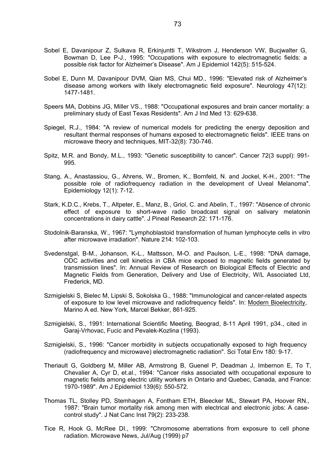- Sobel E, Davanipour Z, Sulkava R, Erkinjuntti T, Wikstrom J, Henderson VW, Bucjwalter G, Bowman D, Lee P-J., 1995: "Occupations with exposure to electromagnetic fields: a possible risk factor for Alzheimer's Disease". Am J Epidemiol 142(5): 515-524.
- Sobel E, Dunn M, Davanipour DVM, Qian MS, Chui MD., 1996: "Elevated risk of Alzheimer's disease among workers with likely electromagnetic field exposure". Neurology 47(12): 1477-1481.
- Speers MA, Dobbins JG, Miller VS., 1988: "Occupational exposures and brain cancer mortality: a preliminary study of East Texas Residents". Am J Ind Med 13: 629-638.
- Spiegel, R.J., 1984: "A review of numerical models for predicting the energy deposition and resultant thermal responses of humans exposed to electromagnetic fields". IEEE trans on microwave theory and techniques, MIT-32(8): 730-746.
- Spitz, M.R. and Bondy, M.L., 1993: "Genetic susceptibility to cancer". Cancer 72(3 suppl): 991- 995.
- Stang, A., Anastassiou, G., Ahrens, W., Bromen, K., Bornfeld, N. and Jockel, K-H., 2001: "The possible role of radiofrequency radiation in the development of Uveal Melanoma". Epidemiology 12(1): 7-12.
- Stark, K.D.C., Krebs, T., Altpeter, E., Manz, B., Griol, C. and Abelin, T., 1997: "Absence of chronic effect of exposure to short-wave radio broadcast signal on salivary melatonin concentrations in dairy cattle". J Pineal Research 22: 171-176.
- Stodolnik-Baranska, W., 1967: "Lymphoblastoid transformation of human lymphocyte cells in vitro after microwave irradiation". Nature 214: 102-103.
- Svedenstgal, B-M., Johanson, K-L., Mattsson, M-O. and Paulson, L-E., 1998: "DNA damage, ODC activities and cell kinetics in CBA mice exposed to magnetic fields generated by transmission lines". In: Annual Review of Research on Biological Effects of Electric and Magnetic Fields from Generation, Delivery and Use of Electricity, W/L Associated Ltd, Frederick, MD.
- Szmigielski S, Bielec M, Lipski S, Sokolska G., 1988: "Immunological and cancer-related aspects of exposure to low level microwave and radiofrequency fields". In: Modern Bioelectricity, Marino A ed. New York, Marcel Bekker, 861-925.
- Szmigielski, S., 1991: International Scientific Meeting, Beograd, 8-11 April 1991, p34., cited in Garaj-Vrhovac, Fucic and Pevalek-Kozlina (1993).
- Szmigielski, S., 1996: "Cancer morbidity in subjects occupationally exposed to high frequency (radiofrequency and microwave) electromagnetic radiation". Sci Total Env 180: 9-17.
- Theriault G, Goldberg M, Miller AB, Armstrong B, Guenel P, Deadman J, Imbernon E, To T, Chevalier A, Cyr D, et.al., 1994: "Cancer risks associated with occupational exposure to magnetic fields among electric utility workers in Ontario and Quebec, Canada, and France: 1970-1989". Am J Epidemiol 139(6): 550-572.
- Thomas TL, Stolley PD, Stemhagen A, Fontham ETH, Bleecker ML, Stewart PA, Hoover RN., 1987: "Brain tumor mortality risk among men with electrical and electronic jobs: A casecontrol study". J Nat Canc Inst 79(2): 233-238.
- Tice R, Hook G, McRee DI., 1999: "Chromosome aberrations from exposure to cell phone radiation. Microwave News, Jul/Aug (1999) p7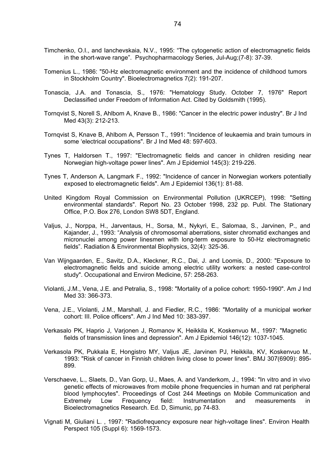- Timchenko, O.I., and Ianchevskaia, N.V., 1995: "The cytogenetic action of electromagnetic fields in the short-wave range". Psychopharmacology Series, Jul-Aug;(7-8): 37-39.
- Tomenius L., 1986: "50-Hz electromagnetic environment and the incidence of childhood tumors in Stockholm Country". Bioelectromagnetics 7(2): 191-207.
- Tonascia, J.A. and Tonascia, S., 1976: "Hematology Study. October 7, 1976" Report Declassified under Freedom of Information Act. Cited by Goldsmith (1995).
- Tornqvist S, Norell S, Ahlbom A, Knave B., 1986: "Cancer in the electric power industry". Br J Ind Med 43(3): 212-213.
- Tornqvist S, Knave B, Ahlbom A, Persson T., 1991: "Incidence of leukaemia and brain tumours in some 'electrical occupations". Br J Ind Med 48: 597-603.
- Tynes T, Haldorsen T., 1997: "Electromagnetic fields and cancer in children residing near Norwegian high-voltage power lines". Am J Epidemiol 145(3): 219-226.
- Tynes T, Anderson A, Langmark F., 1992: "Incidence of cancer in Norwegian workers potentially exposed to electromagnetic fields". Am J Epidemiol 136(1): 81-88.
- United Kingdom Royal Commission on Environmental Pollution (UKRCEP), 1998: "Setting environmental standards". Report No. 23 October 1998, 232 pp. Publ. The Stationary Office, P.O. Box 276, London SW8 5DT, England.
- Valjus, J., Norppa, H., Jarventaus, H., Sorsa, M., Nykyri, E., Salomaa, S., Jarvinen, P., and Kajander, J., 1993: "Analysis of chromosomal aberrations, sister chromatid exchanges and micronuclei among power linesmen with long-term exposure to 50-Hz electromagnetic fields". Radiation & Environmental Biophysics, 32(4): 325-36.
- Van Wijngaarden, E., Savitz, D.A., Kleckner, R.C., Dai, J. and Loomis, D., 2000: "Exposure to electromagnetic fields and suicide among electric utility workers: a nested case-control study". Occupational and Environ Medicine, 57: 258-263.
- Violanti, J.M., Vena, J.E. and Petralia, S., 1998: "Mortality of a police cohort: 1950-1990". Am J Ind Med 33: 366-373.
- Vena, J.E., Violanti, J.M., Marshall, J. and Fiedler, R.C., 1986: "Mortality of a municipal worker cohort: III. Police officers". Am J Ind Med 10: 383-397.
- Verkasalo PK, Haprio J, Varjonen J, Romanov K, Heikkila K, Koskenvuo M., 1997: "Magnetic fields of transmission lines and depression". Am J Epidemiol 146(12): 1037-1045.
- Verkasola PK, Pukkala E, Hongistro MY, Valjus JE, Jarvinen PJ, Heikkila, KV, Koskenvuo M., 1993: "Risk of cancer in Finnish children living close to power lines". BMJ 307(6909): 895- 899.
- Verschaeve, L., Slaets, D., Van Gorp, U., Maes, A. and Vanderkom, J., 1994: "In vitro and in vivo genetic effects of microwaves from mobile phone frequencies in human and rat peripheral blood lymphocytes". Proceedings of Cost 244 Meetings on Mobile Communication and Extremely Low Frequency field: Instrumentation and measurements in Bioelectromagnetics Research. Ed. D, Simunic, pp 74-83.
- Vignati M, Giuliani L. , 1997: "Radiofrequency exposure near high-voltage lines". Environ Health Perspect 105 (Suppl 6): 1569-1573.